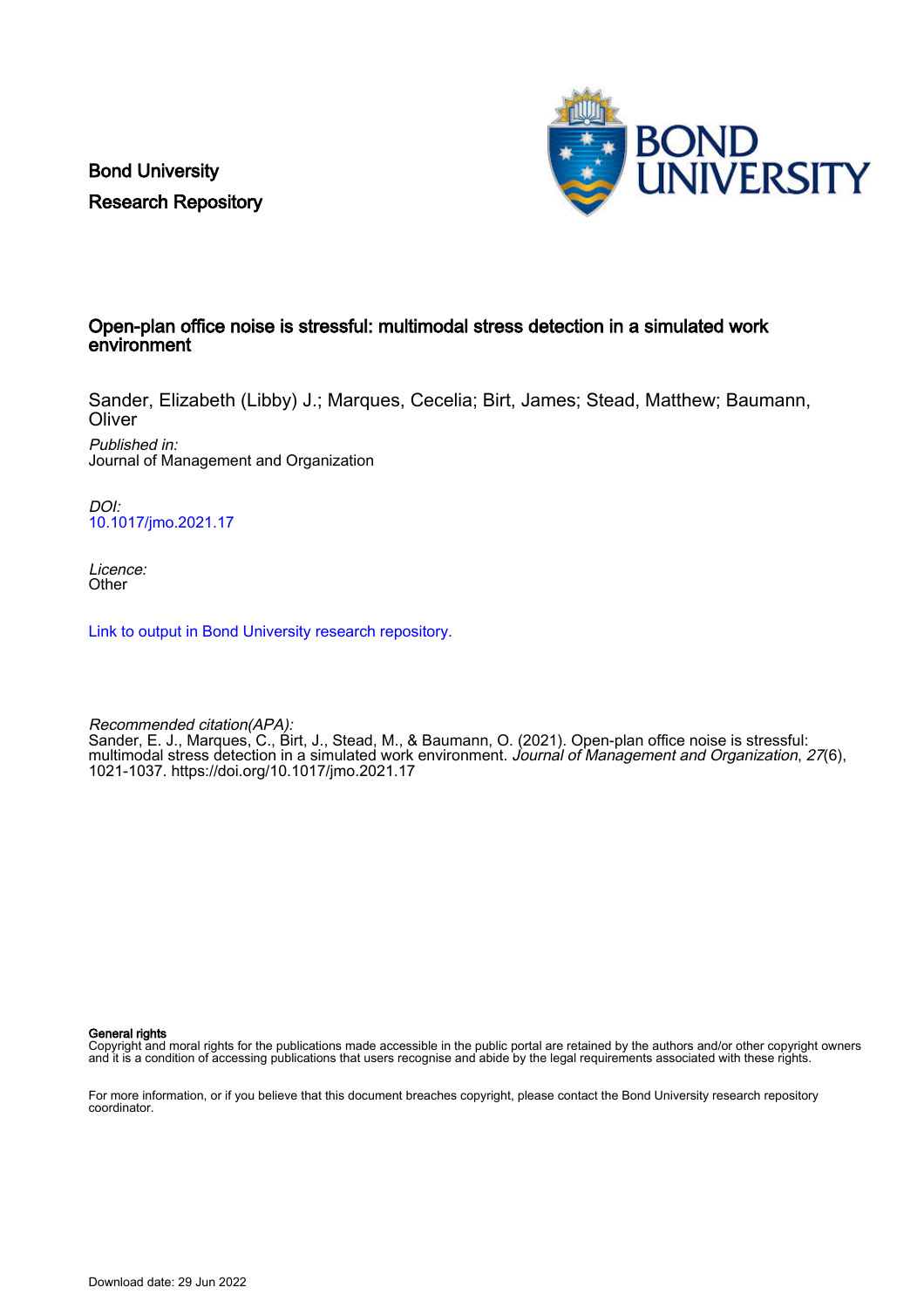Bond University Research Repository



# Open-plan office noise is stressful: multimodal stress detection in a simulated work environment

Sander, Elizabeth (Libby) J.; Marques, Cecelia; Birt, James; Stead, Matthew; Baumann, **Oliver** 

Published in: Journal of Management and Organization

DOI: [10.1017/jmo.2021.17](https://doi.org/10.1017/jmo.2021.17)

Licence: **Other** 

[Link to output in Bond University research repository.](https://research.bond.edu.au/en/publications/d37bb2e3-ceda-436d-9688-7b3a93a67fa0)

Recommended citation(APA): Sander, E. J., Marques, C., Birt, J., Stead, M., & Baumann, O. (2021). Open-plan office noise is stressful: multimodal stress detection in a simulated work environment. Journal of Management and Organization, 27(6), 1021-1037.<https://doi.org/10.1017/jmo.2021.17>

General rights

Copyright and moral rights for the publications made accessible in the public portal are retained by the authors and/or other copyright owners and it is a condition of accessing publications that users recognise and abide by the legal requirements associated with these rights.

For more information, or if you believe that this document breaches copyright, please contact the Bond University research repository coordinator.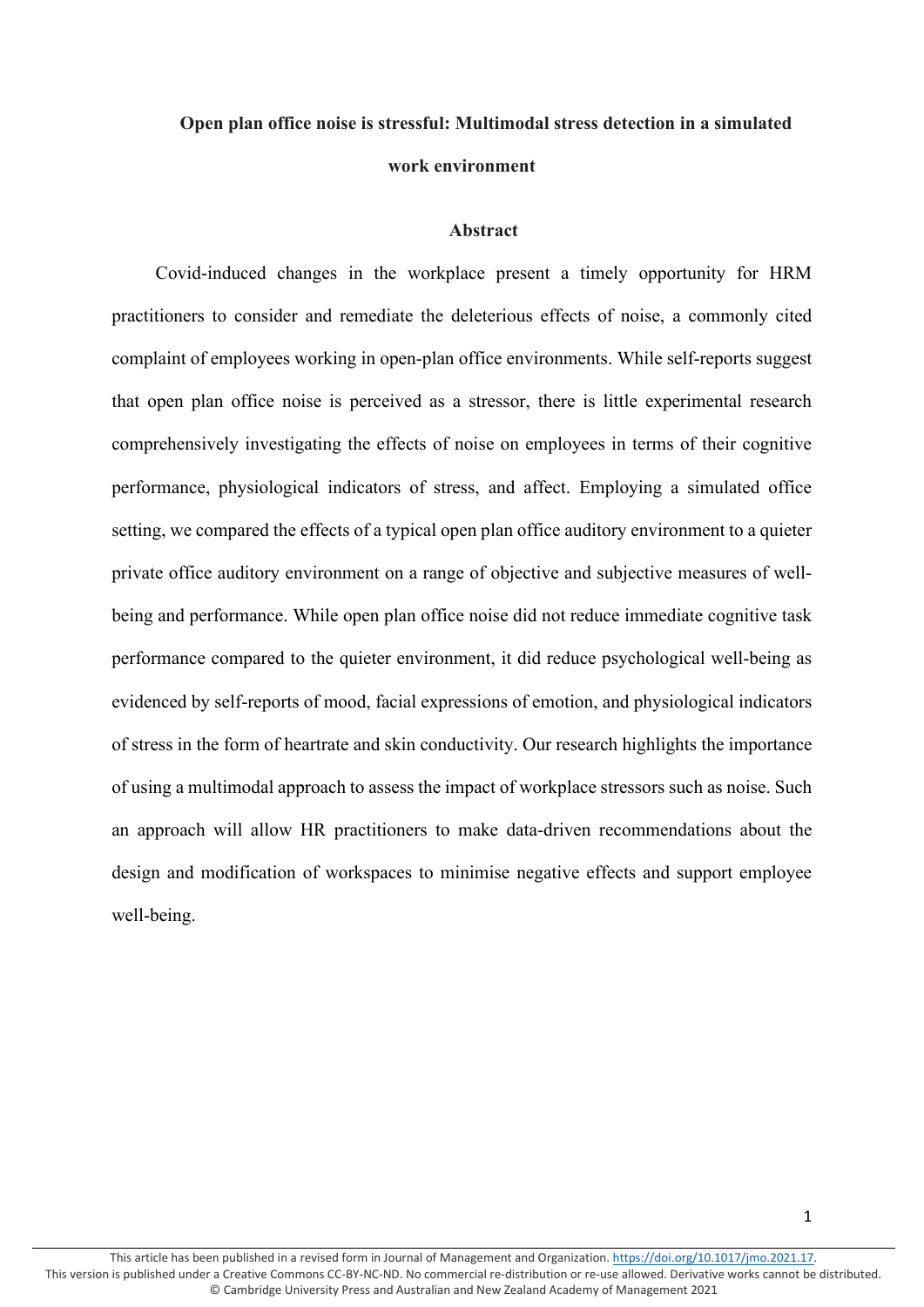# **Open plan office noise is stressful: Multimodal stress detection in a simulated work environment**

# **Abstract**

Covid-induced changes in the workplace present a timely opportunity for HRM practitioners to consider and remediate the deleterious effects of noise, a commonly cited complaint of employees working in open-plan office environments. While self-reports suggest that open plan office noise is perceived as a stressor, there is little experimental research comprehensively investigating the effects of noise on employees in terms of their cognitive performance, physiological indicators of stress, and affect. Employing a simulated office setting, we compared the effects of a typical open plan office auditory environment to a quieter private office auditory environment on a range of objective and subjective measures of wellbeing and performance. While open plan office noise did not reduce immediate cognitive task performance compared to the quieter environment, it did reduce psychological well-being as evidenced by self-reports of mood, facial expressions of emotion, and physiological indicators of stress in the form of heartrate and skin conductivity. Our research highlights the importance of using a multimodal approach to assess the impact of workplace stressors such as noise. Such an approach will allow HR practitioners to make data-driven recommendations about the design and modification of workspaces to minimise negative effects and support employee well-being.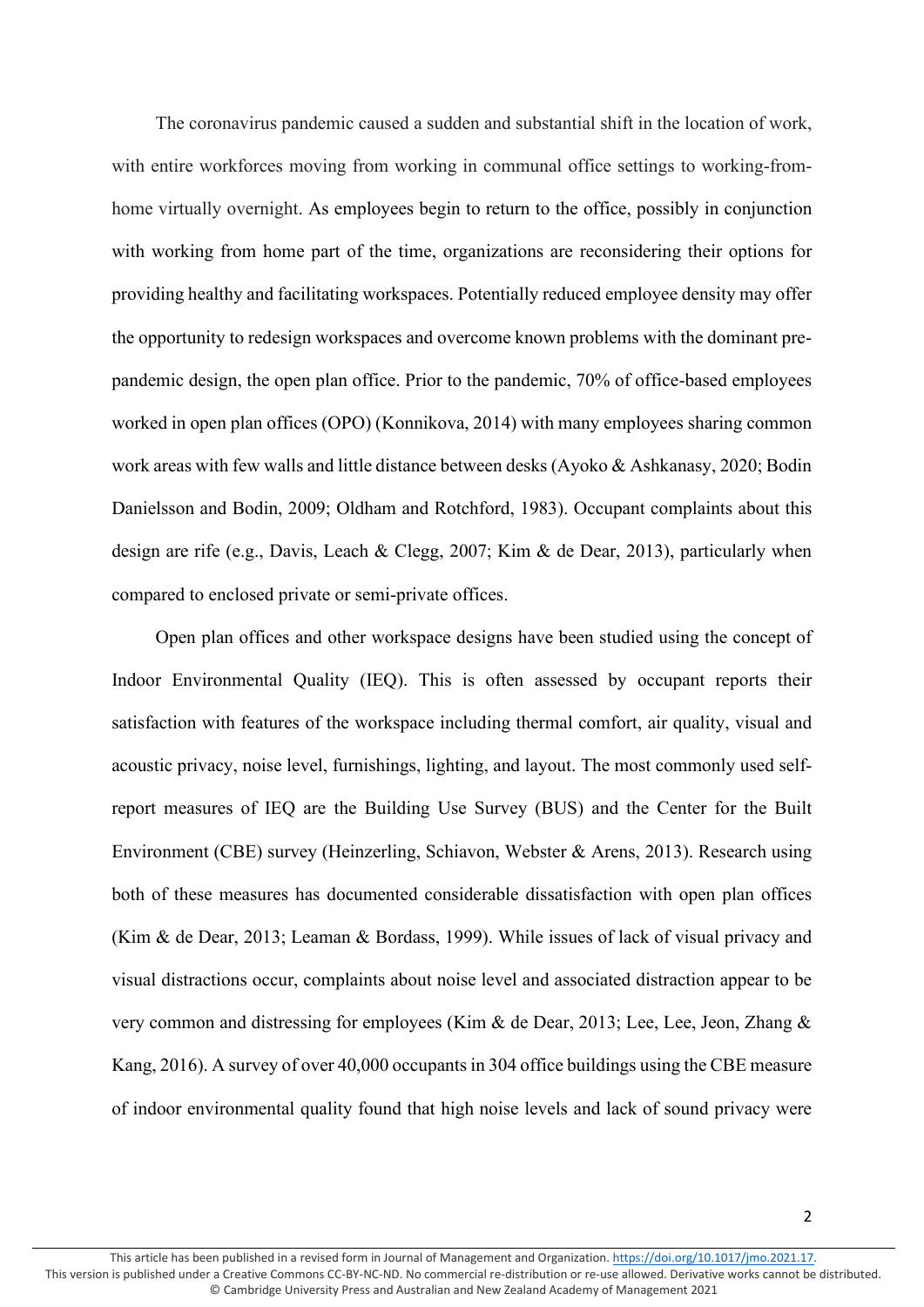The coronavirus pandemic caused a sudden and substantial shift in the location of work, with entire workforces moving from working in communal office settings to working-fromhome virtually overnight. As employees begin to return to the office, possibly in conjunction with working from home part of the time, organizations are reconsidering their options for providing healthy and facilitating workspaces. Potentially reduced employee density may offer the opportunity to redesign workspaces and overcome known problems with the dominant prepandemic design, the open plan office. Prior to the pandemic, 70% of office-based employees worked in open plan offices (OPO) (Konnikova, 2014) with many employees sharing common work areas with few walls and little distance between desks (Ayoko & Ashkanasy, 2020; Bodin Danielsson and Bodin, 2009; Oldham and Rotchford, 1983). Occupant complaints about this design are rife (e.g., Davis, Leach & Clegg, 2007; Kim & de Dear, 2013), particularly when compared to enclosed private or semi-private offices.

Open plan offices and other workspace designs have been studied using the concept of Indoor Environmental Quality (IEQ). This is often assessed by occupant reports their satisfaction with features of the workspace including thermal comfort, air quality, visual and acoustic privacy, noise level, furnishings, lighting, and layout. The most commonly used selfreport measures of IEQ are the Building Use Survey (BUS) and the Center for the Built Environment (CBE) survey (Heinzerling, Schiavon, Webster & Arens, 2013). Research using both of these measures has documented considerable dissatisfaction with open plan offices (Kim & de Dear, 2013; Leaman & Bordass, 1999). While issues of lack of visual privacy and visual distractions occur, complaints about noise level and associated distraction appear to be very common and distressing for employees (Kim & de Dear, 2013; Lee, Lee, Jeon, Zhang & Kang, 2016). A survey of over 40,000 occupantsin 304 office buildings using the CBE measure of indoor environmental quality found that high noise levels and lack of sound privacy were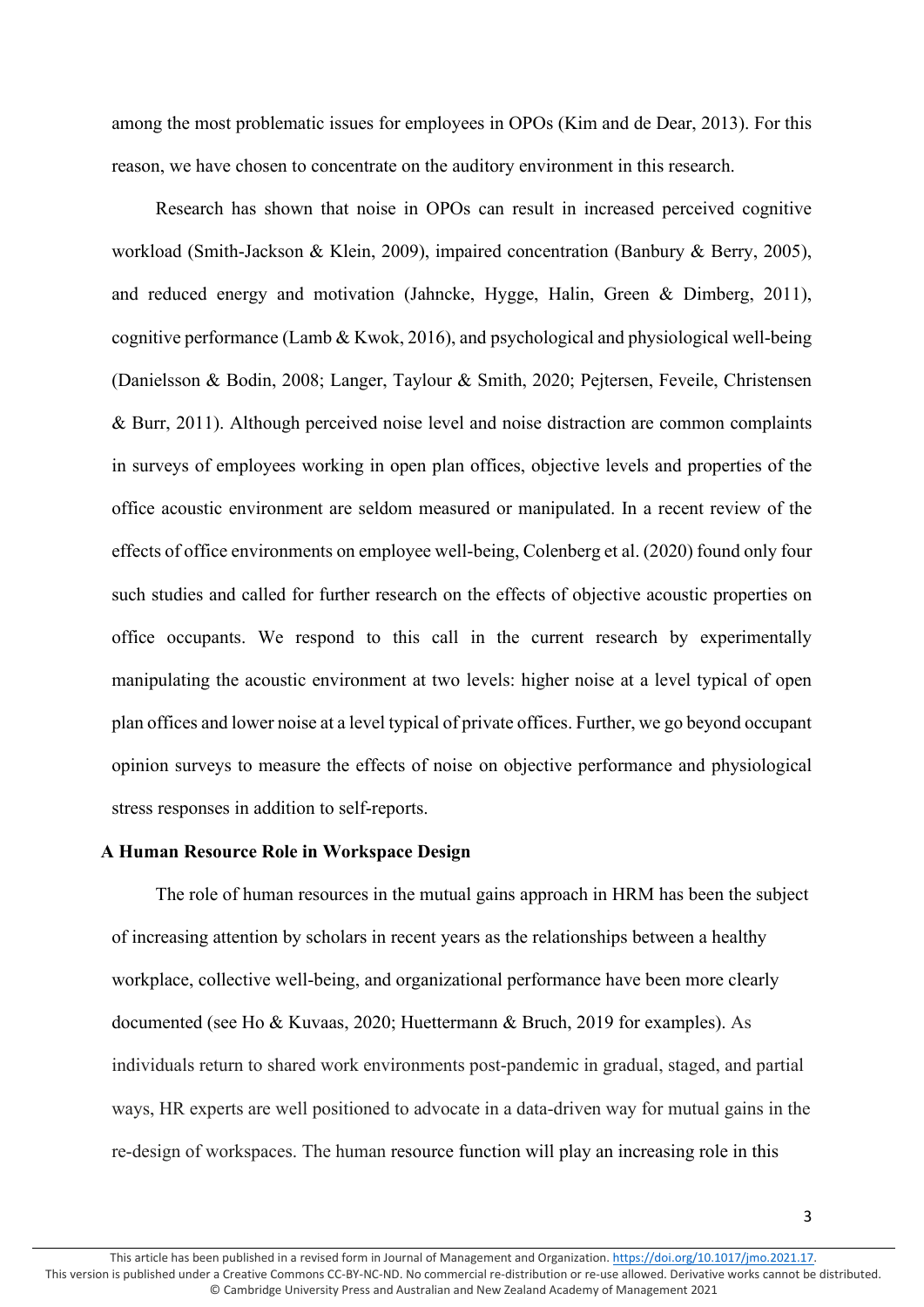among the most problematic issues for employees in OPOs (Kim and de Dear, 2013). For this reason, we have chosen to concentrate on the auditory environment in this research.

Research has shown that noise in OPOs can result in increased perceived cognitive workload (Smith-Jackson & Klein, 2009), impaired concentration (Banbury & Berry, 2005), and reduced energy and motivation (Jahncke, Hygge, Halin, Green & Dimberg, 2011), cognitive performance (Lamb & Kwok, 2016), and psychological and physiological well-being (Danielsson & Bodin, 2008; Langer, Taylour & Smith, 2020; Pejtersen, Feveile, Christensen & Burr, 2011). Although perceived noise level and noise distraction are common complaints in surveys of employees working in open plan offices, objective levels and properties of the office acoustic environment are seldom measured or manipulated. In a recent review of the effects of office environments on employee well-being, Colenberg et al. (2020) found only four such studies and called for further research on the effects of objective acoustic properties on office occupants. We respond to this call in the current research by experimentally manipulating the acoustic environment at two levels: higher noise at a level typical of open plan offices and lower noise at a level typical of private offices. Further, we go beyond occupant opinion surveys to measure the effects of noise on objective performance and physiological stress responses in addition to self-reports.

# **A Human Resource Role in Workspace Design**

The role of human resources in the mutual gains approach in HRM has been the subject of increasing attention by scholars in recent years as the relationships between a healthy workplace, collective well-being, and organizational performance have been more clearly documented (see Ho & Kuvaas, 2020; Huettermann & Bruch, 2019 for examples). As individuals return to shared work environments post-pandemic in gradual, staged, and partial ways, HR experts are well positioned to advocate in a data-driven way for mutual gains in the re-design of workspaces. The human resource function will play an increasing role in this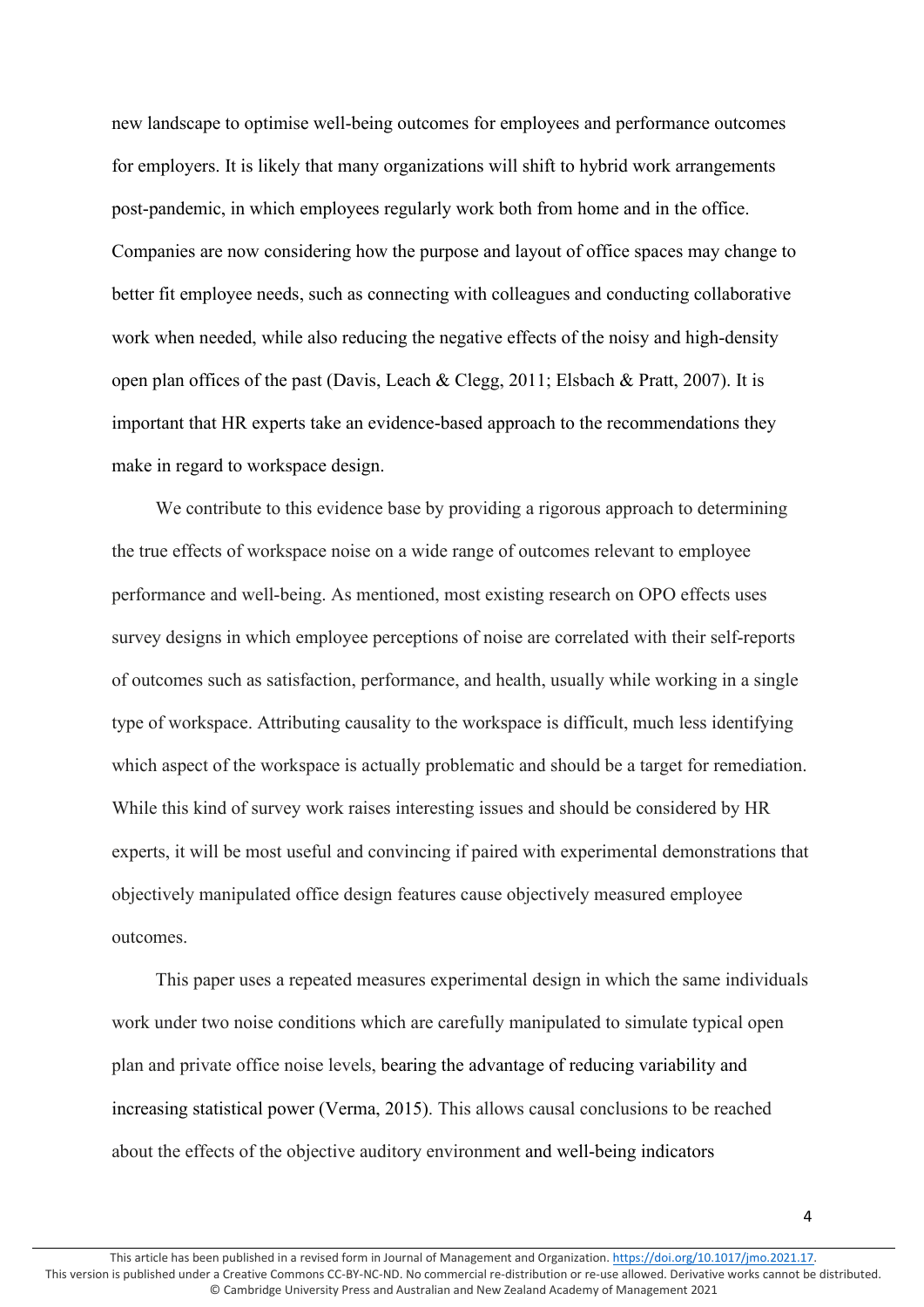new landscape to optimise well-being outcomes for employees and performance outcomes for employers. It is likely that many organizations will shift to hybrid work arrangements post-pandemic, in which employees regularly work both from home and in the office. Companies are now considering how the purpose and layout of office spaces may change to better fit employee needs, such as connecting with colleagues and conducting collaborative work when needed, while also reducing the negative effects of the noisy and high-density open plan offices of the past (Davis, Leach & Clegg, 2011; Elsbach & Pratt, 2007). It is important that HR experts take an evidence-based approach to the recommendations they make in regard to workspace design.

We contribute to this evidence base by providing a rigorous approach to determining the true effects of workspace noise on a wide range of outcomes relevant to employee performance and well-being. As mentioned, most existing research on OPO effects uses survey designs in which employee perceptions of noise are correlated with their self-reports of outcomes such as satisfaction, performance, and health, usually while working in a single type of workspace. Attributing causality to the workspace is difficult, much less identifying which aspect of the workspace is actually problematic and should be a target for remediation. While this kind of survey work raises interesting issues and should be considered by HR experts, it will be most useful and convincing if paired with experimental demonstrations that objectively manipulated office design features cause objectively measured employee outcomes.

This paper uses a repeated measures experimental design in which the same individuals work under two noise conditions which are carefully manipulated to simulate typical open plan and private office noise levels, bearing the advantage of reducing variability and increasing statistical power (Verma, 2015). This allows causal conclusions to be reached about the effects of the objective auditory environment and well-being indicators

4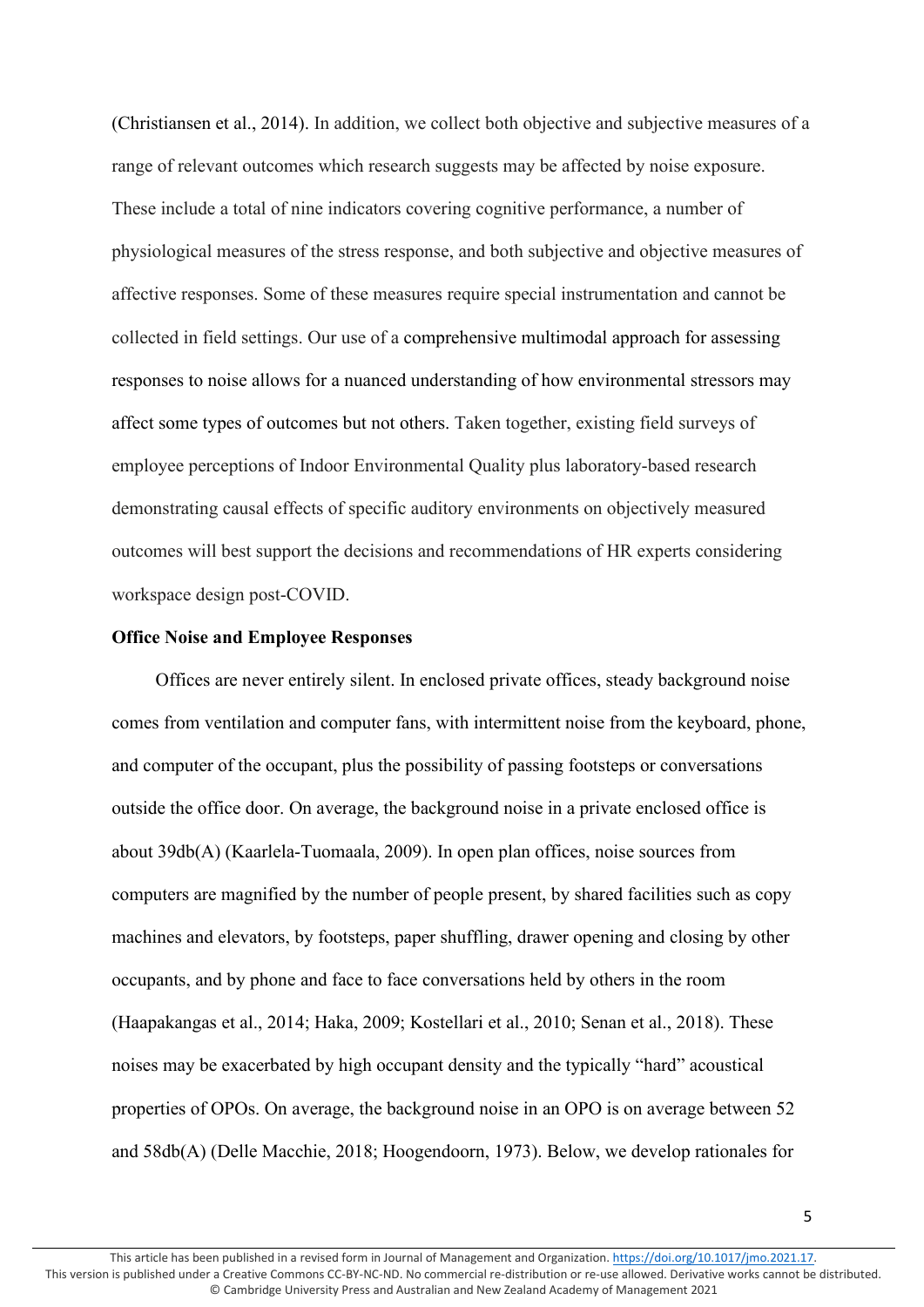(Christiansen et al., 2014). In addition, we collect both objective and subjective measures of a range of relevant outcomes which research suggests may be affected by noise exposure. These include a total of nine indicators covering cognitive performance, a number of physiological measures of the stress response, and both subjective and objective measures of affective responses. Some of these measures require special instrumentation and cannot be collected in field settings. Our use of a comprehensive multimodal approach for assessing responses to noise allows for a nuanced understanding of how environmental stressors may affect some types of outcomes but not others. Taken together, existing field surveys of employee perceptions of Indoor Environmental Quality plus laboratory-based research demonstrating causal effects of specific auditory environments on objectively measured outcomes will best support the decisions and recommendations of HR experts considering workspace design post-COVID.

# **Office Noise and Employee Responses**

Offices are never entirely silent. In enclosed private offices, steady background noise comes from ventilation and computer fans, with intermittent noise from the keyboard, phone, and computer of the occupant, plus the possibility of passing footsteps or conversations outside the office door. On average, the background noise in a private enclosed office is about 39db(A) (Kaarlela-Tuomaala, 2009). In open plan offices, noise sources from computers are magnified by the number of people present, by shared facilities such as copy machines and elevators, by footsteps, paper shuffling, drawer opening and closing by other occupants, and by phone and face to face conversations held by others in the room (Haapakangas et al., 2014; Haka, 2009; Kostellari et al., 2010; Senan et al., 2018). These noises may be exacerbated by high occupant density and the typically "hard" acoustical properties of OPOs. On average, the background noise in an OPO is on average between 52 and 58db(A) (Delle Macchie, 2018; Hoogendoorn, 1973). Below, we develop rationales for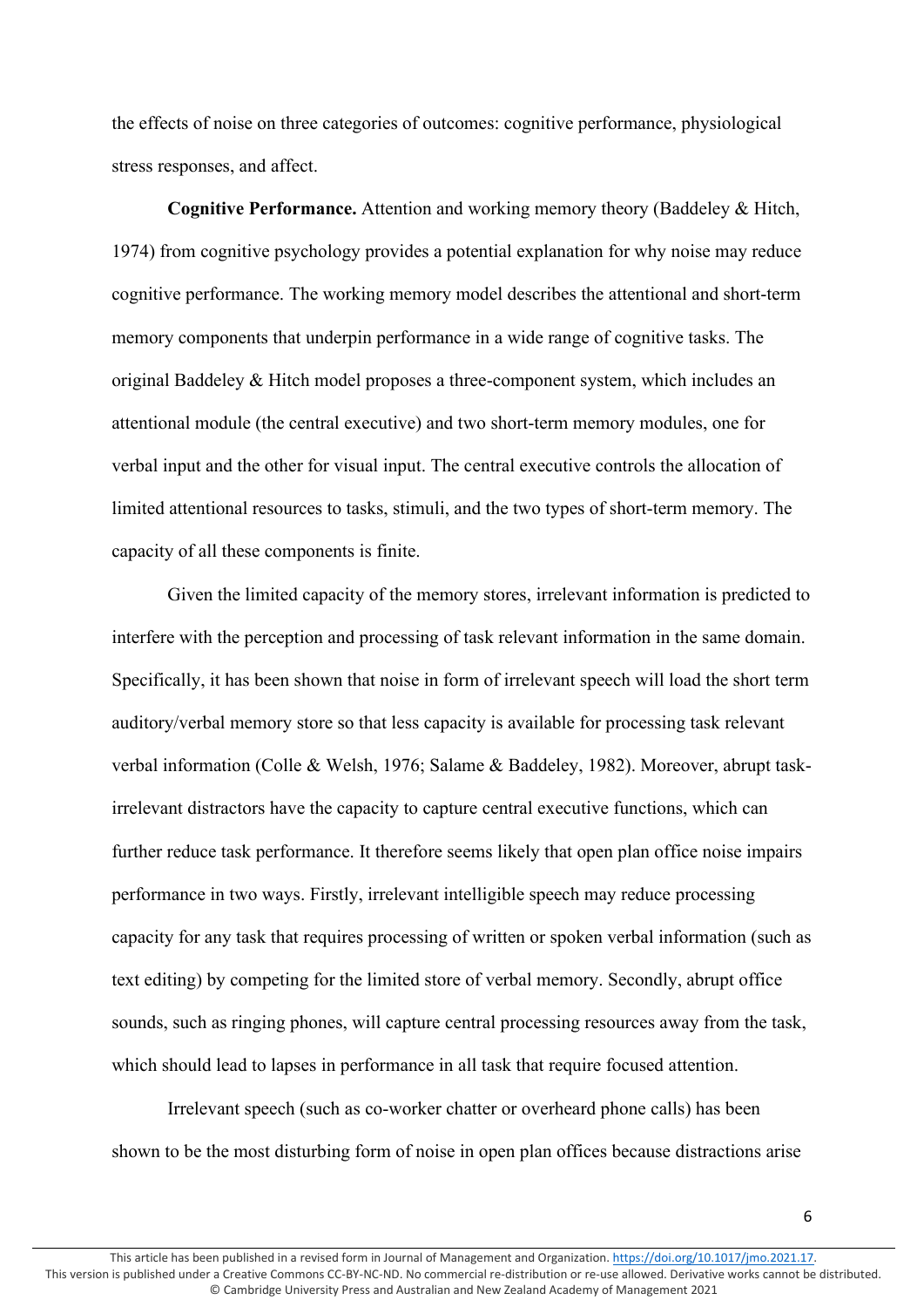the effects of noise on three categories of outcomes: cognitive performance, physiological stress responses, and affect.

**Cognitive Performance.** Attention and working memory theory (Baddeley & Hitch, 1974) from cognitive psychology provides a potential explanation for why noise may reduce cognitive performance. The working memory model describes the attentional and short-term memory components that underpin performance in a wide range of cognitive tasks. The original Baddeley & Hitch model proposes a three-component system, which includes an attentional module (the central executive) and two short-term memory modules, one for verbal input and the other for visual input. The central executive controls the allocation of limited attentional resources to tasks, stimuli, and the two types of short-term memory. The capacity of all these components is finite.

Given the limited capacity of the memory stores, irrelevant information is predicted to interfere with the perception and processing of task relevant information in the same domain. Specifically, it has been shown that noise in form of irrelevant speech will load the short term auditory/verbal memory store so that less capacity is available for processing task relevant verbal information (Colle & Welsh, 1976; Salame & Baddeley, 1982). Moreover, abrupt taskirrelevant distractors have the capacity to capture central executive functions, which can further reduce task performance. It therefore seems likely that open plan office noise impairs performance in two ways. Firstly, irrelevant intelligible speech may reduce processing capacity for any task that requires processing of written or spoken verbal information (such as text editing) by competing for the limited store of verbal memory. Secondly, abrupt office sounds, such as ringing phones, will capture central processing resources away from the task, which should lead to lapses in performance in all task that require focused attention.

Irrelevant speech (such as co-worker chatter or overheard phone calls) has been shown to be the most disturbing form of noise in open plan offices because distractions arise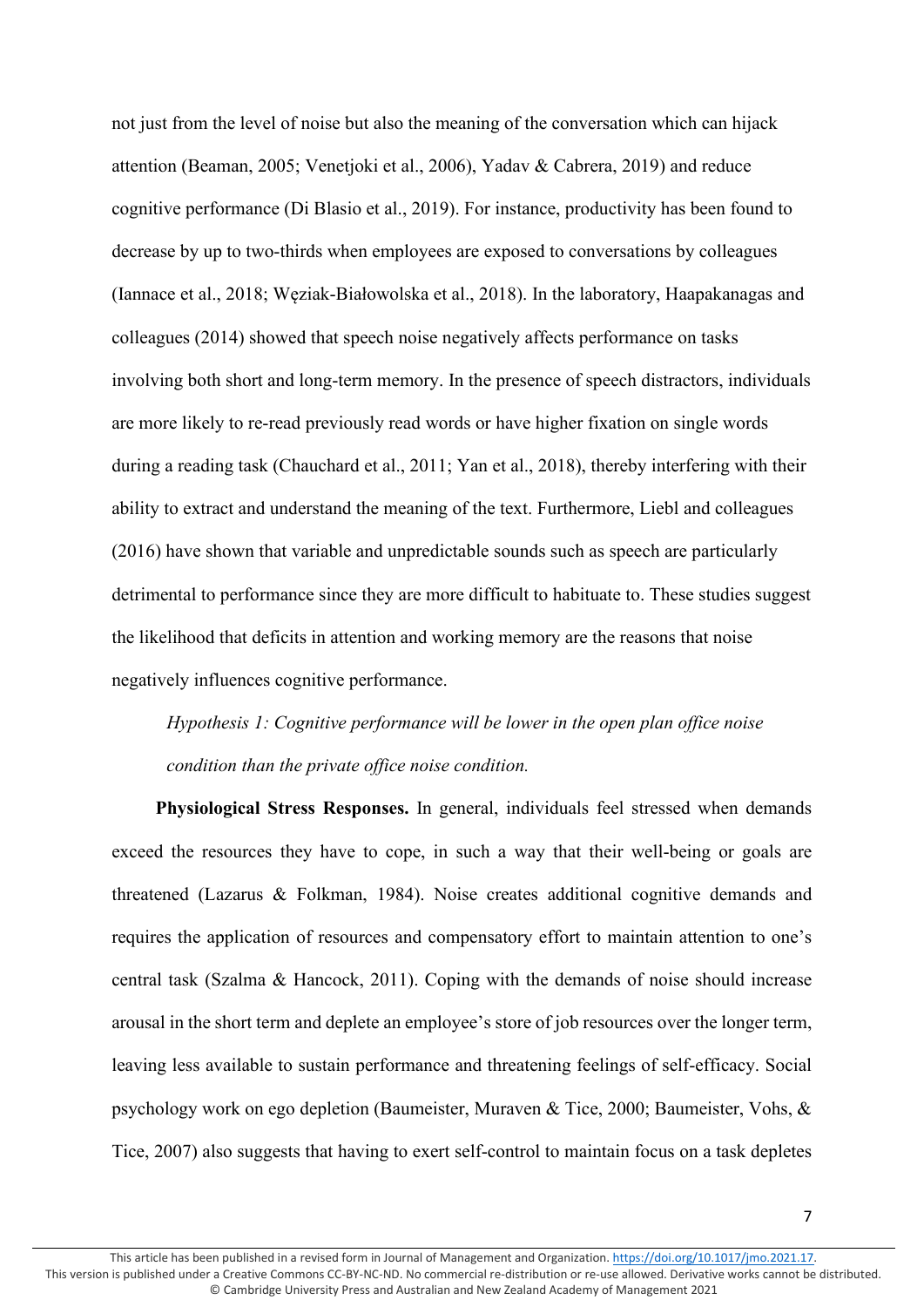not just from the level of noise but also the meaning of the conversation which can hijack attention (Beaman, 2005; Venetjoki et al., 2006), Yadav & Cabrera, 2019) and reduce cognitive performance (Di Blasio et al., 2019). For instance, productivity has been found to decrease by up to two-thirds when employees are exposed to conversations by colleagues (Iannace et al., 2018; Węziak-Białowolska et al., 2018). In the laboratory, Haapakanagas and colleagues (2014) showed that speech noise negatively affects performance on tasks involving both short and long-term memory. In the presence of speech distractors, individuals are more likely to re-read previously read words or have higher fixation on single words during a reading task (Chauchard et al., 2011; Yan et al., 2018), thereby interfering with their ability to extract and understand the meaning of the text. Furthermore, Liebl and colleagues (2016) have shown that variable and unpredictable sounds such as speech are particularly detrimental to performance since they are more difficult to habituate to. These studies suggest the likelihood that deficits in attention and working memory are the reasons that noise negatively influences cognitive performance.

*Hypothesis 1: Cognitive performance will be lower in the open plan office noise condition than the private office noise condition.*

**Physiological Stress Responses.** In general, individuals feel stressed when demands exceed the resources they have to cope, in such a way that their well-being or goals are threatened (Lazarus & Folkman, 1984). Noise creates additional cognitive demands and requires the application of resources and compensatory effort to maintain attention to one's central task (Szalma & Hancock, 2011). Coping with the demands of noise should increase arousal in the short term and deplete an employee's store of job resources over the longer term, leaving less available to sustain performance and threatening feelings of self-efficacy. Social psychology work on ego depletion (Baumeister, Muraven & Tice, 2000; Baumeister, Vohs, & Tice, 2007) also suggests that having to exert self-control to maintain focus on a task depletes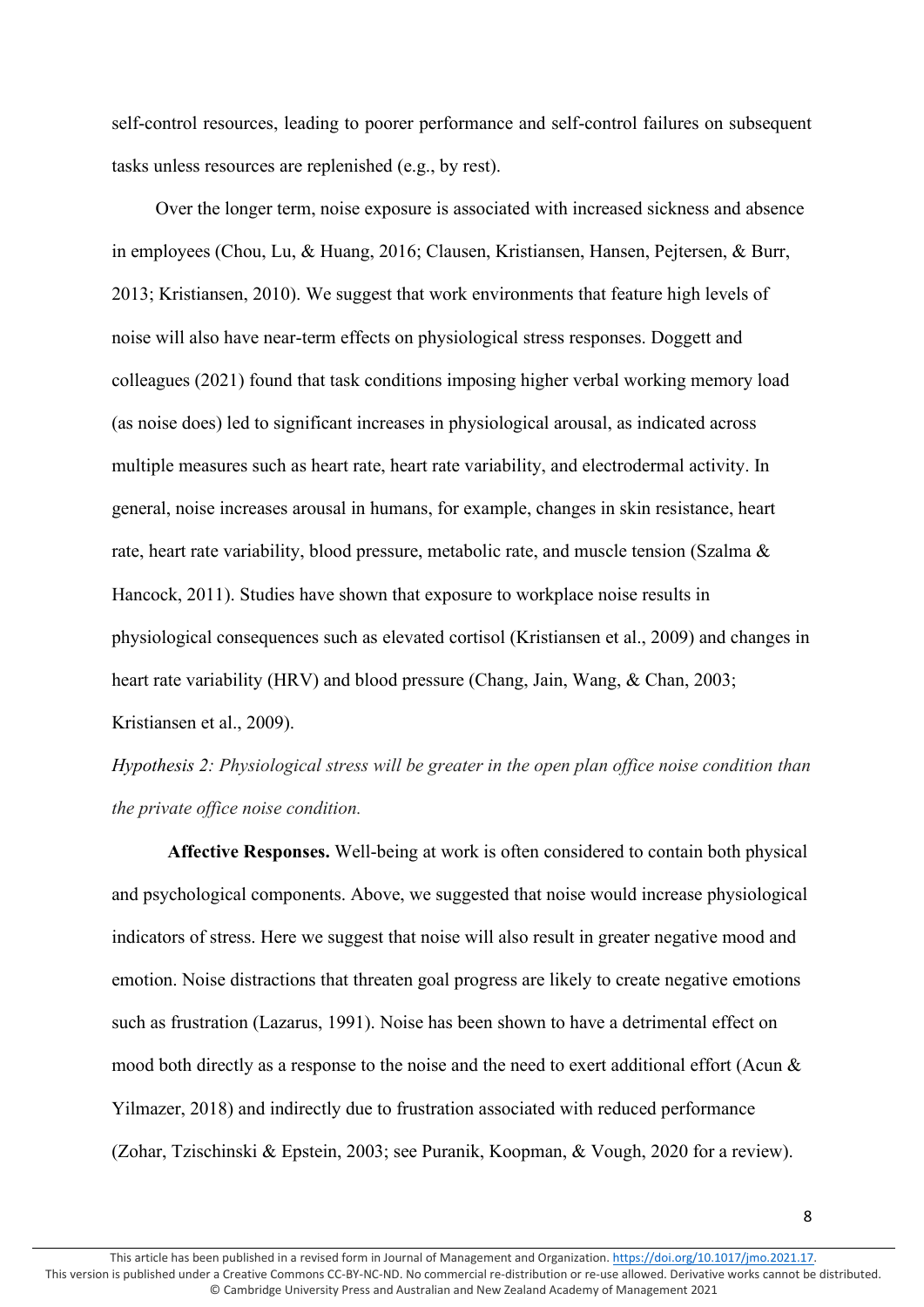self-control resources, leading to poorer performance and self-control failures on subsequent tasks unless resources are replenished (e.g., by rest).

Over the longer term, noise exposure is associated with increased sickness and absence in employees (Chou, Lu, & Huang, 2016; Clausen, Kristiansen, Hansen, Pejtersen, & Burr, 2013; Kristiansen, 2010). We suggest that work environments that feature high levels of noise will also have near-term effects on physiological stress responses. Doggett and colleagues (2021) found that task conditions imposing higher verbal working memory load (as noise does) led to significant increases in physiological arousal, as indicated across multiple measures such as heart rate, heart rate variability, and electrodermal activity. In general, noise increases arousal in humans, for example, changes in skin resistance, heart rate, heart rate variability, blood pressure, metabolic rate, and muscle tension (Szalma & Hancock, 2011). Studies have shown that exposure to workplace noise results in physiological consequences such as elevated cortisol (Kristiansen et al., 2009) and changes in heart rate variability (HRV) and blood pressure (Chang, Jain, Wang, & Chan, 2003; Kristiansen et al., 2009).

*Hypothesis 2: Physiological stress will be greater in the open plan office noise condition than the private office noise condition.*

**Affective Responses.** Well-being at work is often considered to contain both physical and psychological components. Above, we suggested that noise would increase physiological indicators of stress. Here we suggest that noise will also result in greater negative mood and emotion. Noise distractions that threaten goal progress are likely to create negative emotions such as frustration (Lazarus, 1991). Noise has been shown to have a detrimental effect on mood both directly as a response to the noise and the need to exert additional effort (Acun & Yilmazer, 2018) and indirectly due to frustration associated with reduced performance (Zohar, Tzischinski & Epstein, 2003; see Puranik, Koopman, & Vough, 2020 for a review).

8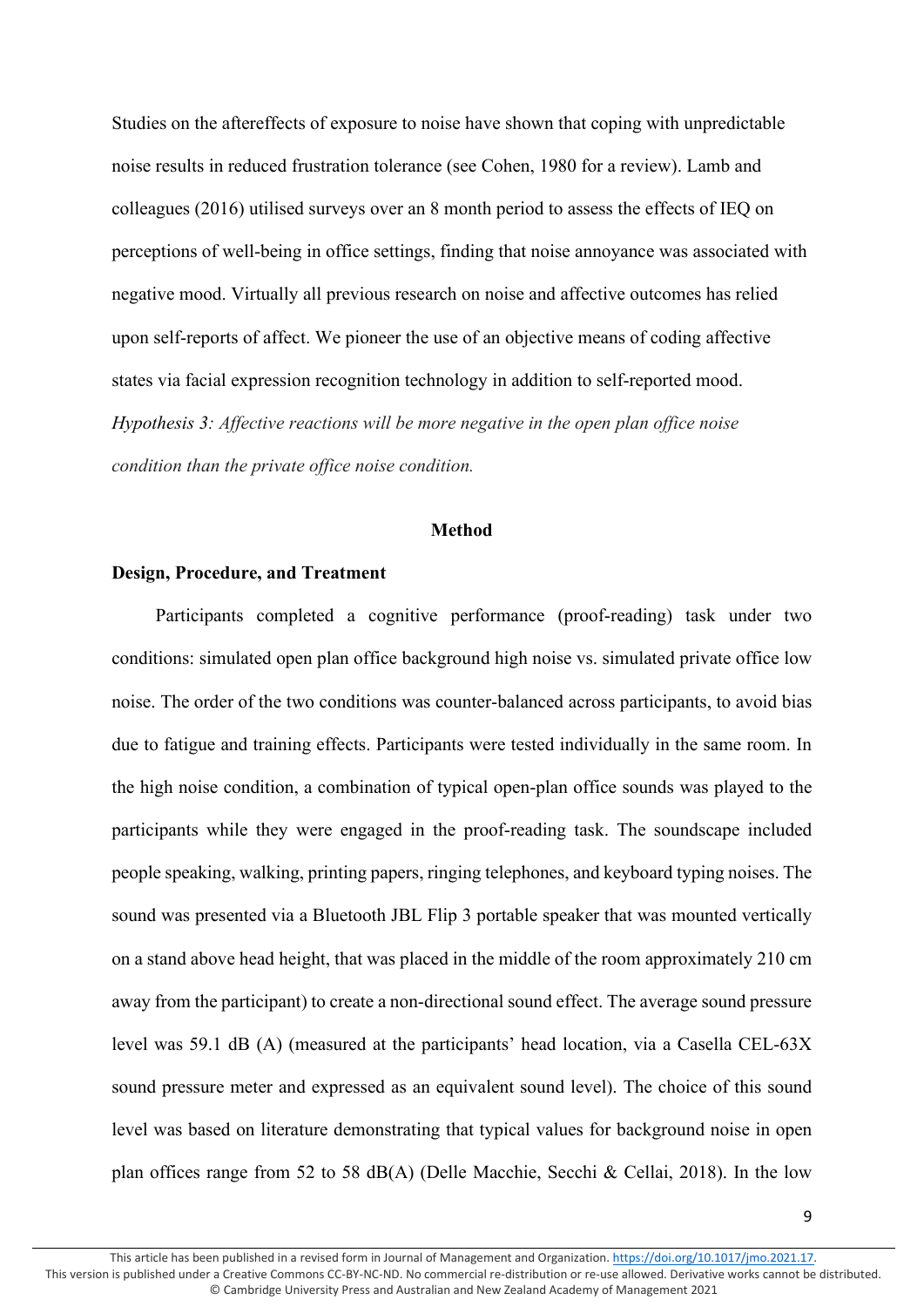Studies on the aftereffects of exposure to noise have shown that coping with unpredictable noise results in reduced frustration tolerance (see Cohen, 1980 for a review). Lamb and colleagues (2016) utilised surveys over an 8 month period to assess the effects of IEQ on perceptions of well-being in office settings, finding that noise annoyance was associated with negative mood. Virtually all previous research on noise and affective outcomes has relied upon self-reports of affect. We pioneer the use of an objective means of coding affective states via facial expression recognition technology in addition to self-reported mood. *Hypothesis 3: Affective reactions will be more negative in the open plan office noise condition than the private office noise condition.*

#### **Method**

# **Design, Procedure, and Treatment**

Participants completed a cognitive performance (proof-reading) task under two conditions: simulated open plan office background high noise vs. simulated private office low noise. The order of the two conditions was counter-balanced across participants, to avoid bias due to fatigue and training effects. Participants were tested individually in the same room. In the high noise condition, a combination of typical open-plan office sounds was played to the participants while they were engaged in the proof-reading task. The soundscape included people speaking, walking, printing papers, ringing telephones, and keyboard typing noises. The sound was presented via a Bluetooth JBL Flip 3 portable speaker that was mounted vertically on a stand above head height, that was placed in the middle of the room approximately 210 cm away from the participant) to create a non-directional sound effect. The average sound pressure level was 59.1 dB (A) (measured at the participants' head location, via a Casella CEL-63X sound pressure meter and expressed as an equivalent sound level). The choice of this sound level was based on literature demonstrating that typical values for background noise in open plan offices range from 52 to 58 dB(A) (Delle Macchie, Secchi & Cellai, 2018). In the low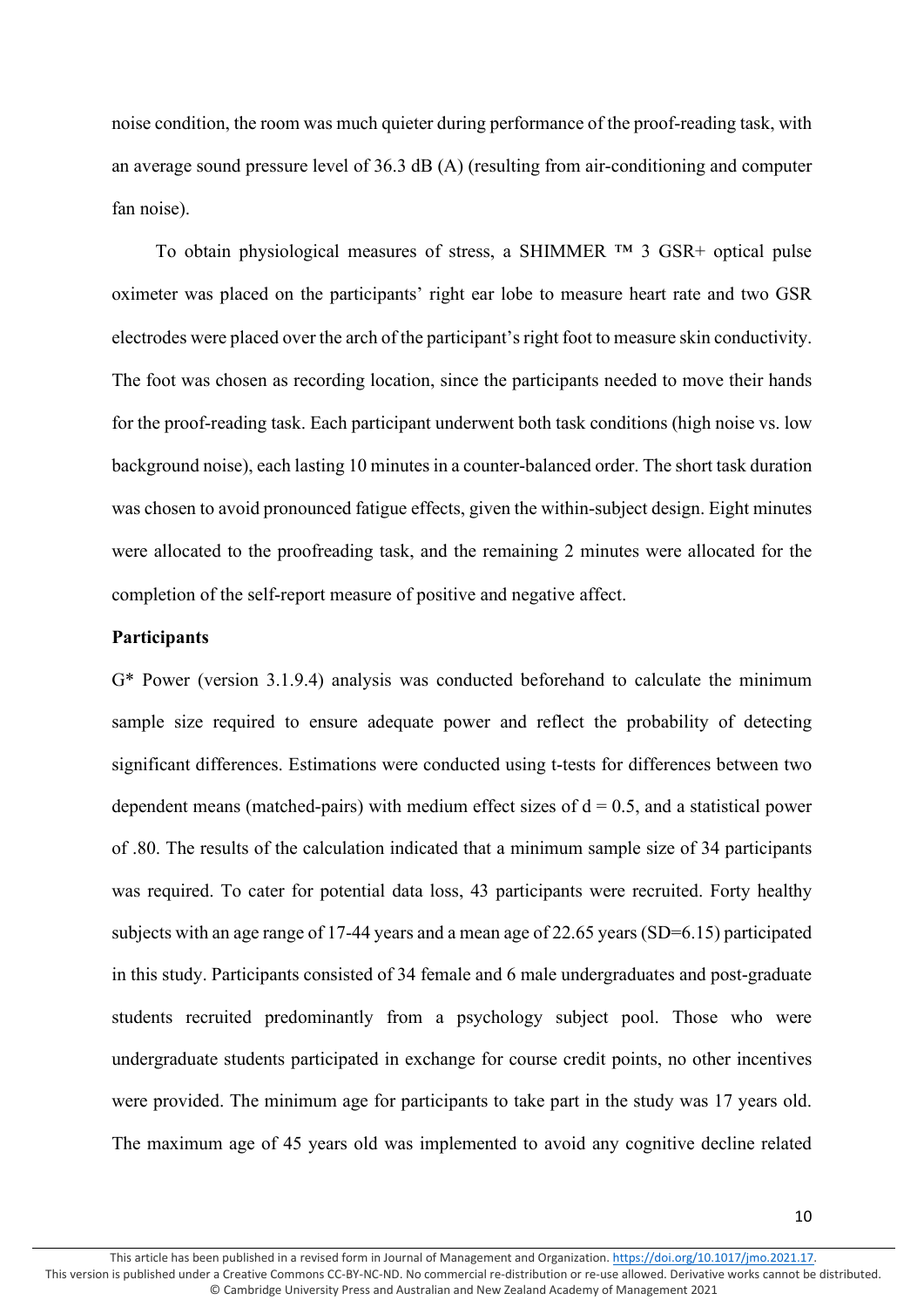noise condition, the room was much quieter during performance of the proof-reading task, with an average sound pressure level of 36.3 dB (A) (resulting from air-conditioning and computer fan noise).

To obtain physiological measures of stress, a SHIMMER ™ 3 GSR+ optical pulse oximeter was placed on the participants' right ear lobe to measure heart rate and two GSR electrodes were placed over the arch of the participant's right foot to measure skin conductivity. The foot was chosen as recording location, since the participants needed to move their hands for the proof-reading task. Each participant underwent both task conditions (high noise vs. low background noise), each lasting 10 minutes in a counter-balanced order. The short task duration was chosen to avoid pronounced fatigue effects, given the within-subject design. Eight minutes were allocated to the proofreading task, and the remaining 2 minutes were allocated for the completion of the self-report measure of positive and negative affect.

# **Participants**

G\* Power (version 3.1.9.4) analysis was conducted beforehand to calculate the minimum sample size required to ensure adequate power and reflect the probability of detecting significant differences. Estimations were conducted using t-tests for differences between two dependent means (matched-pairs) with medium effect sizes of  $d = 0.5$ , and a statistical power of .80. The results of the calculation indicated that a minimum sample size of 34 participants was required. To cater for potential data loss, 43 participants were recruited. Forty healthy subjects with an age range of 17-44 years and a mean age of 22.65 years (SD=6.15) participated in this study. Participants consisted of 34 female and 6 male undergraduates and post-graduate students recruited predominantly from a psychology subject pool. Those who were undergraduate students participated in exchange for course credit points, no other incentives were provided. The minimum age for participants to take part in the study was 17 years old. The maximum age of 45 years old was implemented to avoid any cognitive decline related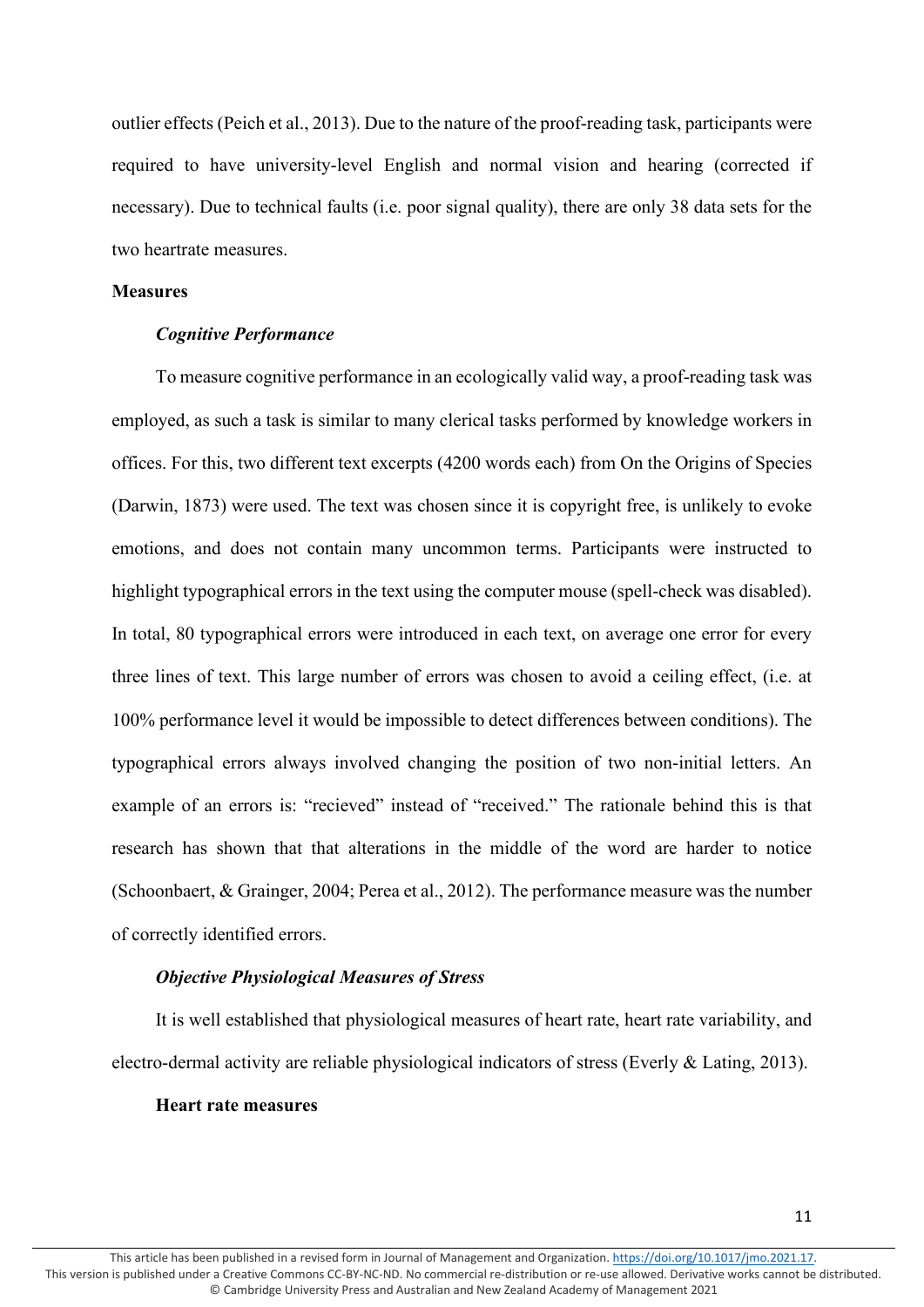outlier effects (Peich et al., 2013). Due to the nature of the proof-reading task, participants were required to have university-level English and normal vision and hearing (corrected if necessary). Due to technical faults (i.e. poor signal quality), there are only 38 data sets for the two heartrate measures.

# **Measures**

# *Cognitive Performance*

To measure cognitive performance in an ecologically valid way, a proof-reading task was employed, as such a task is similar to many clerical tasks performed by knowledge workers in offices. For this, two different text excerpts (4200 words each) from On the Origins of Species (Darwin, 1873) were used. The text was chosen since it is copyright free, is unlikely to evoke emotions, and does not contain many uncommon terms. Participants were instructed to highlight typographical errors in the text using the computer mouse (spell-check was disabled). In total, 80 typographical errors were introduced in each text, on average one error for every three lines of text. This large number of errors was chosen to avoid a ceiling effect, (i.e. at 100% performance level it would be impossible to detect differences between conditions). The typographical errors always involved changing the position of two non-initial letters. An example of an errors is: "recieved" instead of "received." The rationale behind this is that research has shown that that alterations in the middle of the word are harder to notice (Schoonbaert, & Grainger, 2004; Perea et al., 2012). The performance measure was the number of correctly identified errors.

# *Objective Physiological Measures of Stress*

It is well established that physiological measures of heart rate, heart rate variability, and electro-dermal activity are reliable physiological indicators of stress (Everly & Lating, 2013).

#### **Heart rate measures**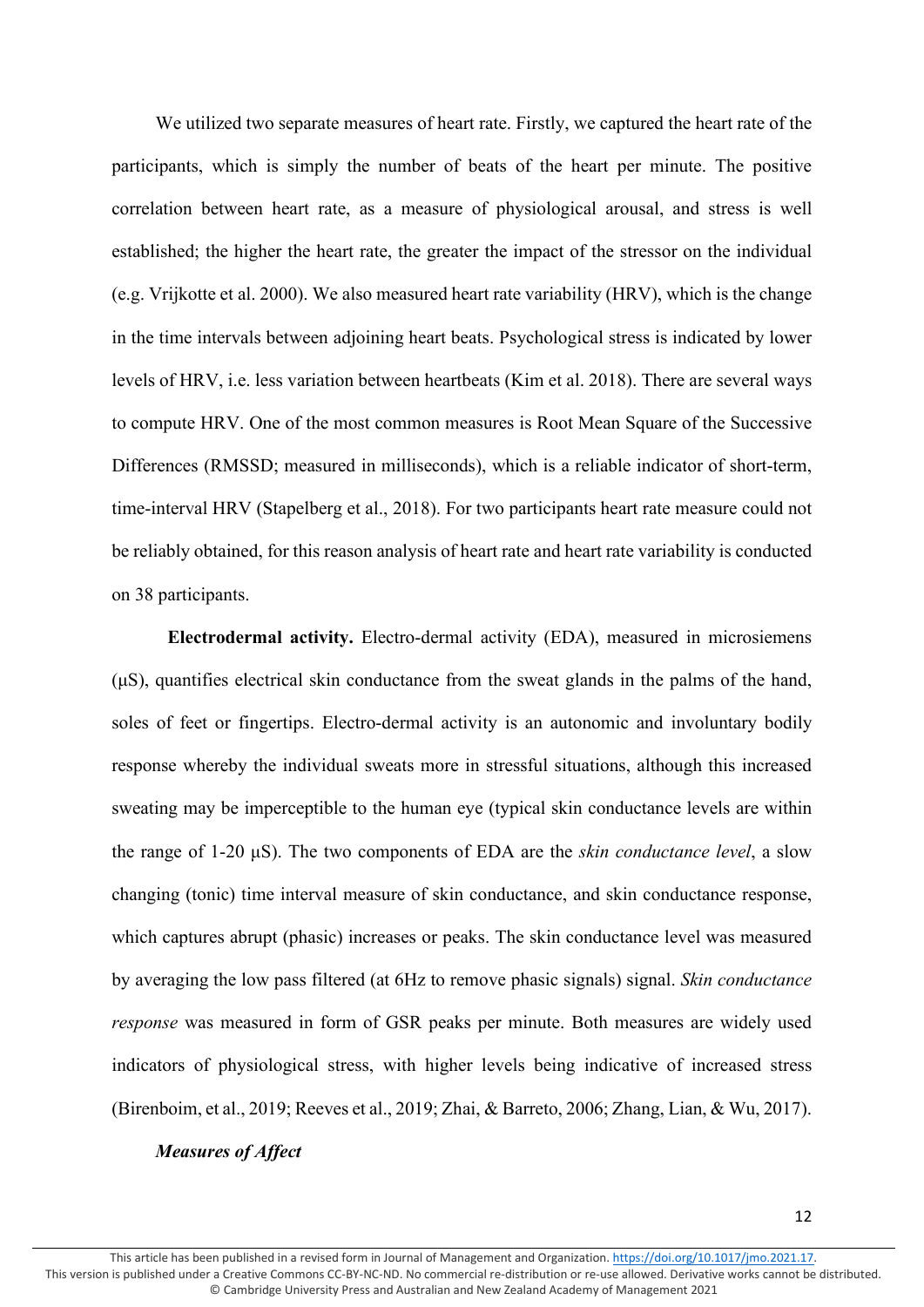We utilized two separate measures of heart rate. Firstly, we captured the heart rate of the participants, which is simply the number of beats of the heart per minute. The positive correlation between heart rate, as a measure of physiological arousal, and stress is well established; the higher the heart rate, the greater the impact of the stressor on the individual (e.g. Vrijkotte et al. 2000). We also measured heart rate variability (HRV), which is the change in the time intervals between adjoining heart beats. Psychological stress is indicated by lower levels of HRV, i.e. less variation between heartbeats (Kim et al. 2018). There are several ways to compute HRV. One of the most common measures is Root Mean Square of the Successive Differences (RMSSD; measured in milliseconds), which is a reliable indicator of short-term, time-interval HRV (Stapelberg et al., 2018). For two participants heart rate measure could not be reliably obtained, for this reason analysis of heart rate and heart rate variability is conducted on 38 participants.

**Electrodermal activity.** Electro-dermal activity (EDA), measured in microsiemens (μS), quantifies electrical skin conductance from the sweat glands in the palms of the hand, soles of feet or fingertips. Electro-dermal activity is an autonomic and involuntary bodily response whereby the individual sweats more in stressful situations, although this increased sweating may be imperceptible to the human eye (typical skin conductance levels are within the range of 1-20 μS). The two components of EDA are the *skin conductance level*, a slow changing (tonic) time interval measure of skin conductance, and skin conductance response, which captures abrupt (phasic) increases or peaks. The skin conductance level was measured by averaging the low pass filtered (at 6Hz to remove phasic signals) signal. *Skin conductance response* was measured in form of GSR peaks per minute. Both measures are widely used indicators of physiological stress, with higher levels being indicative of increased stress (Birenboim, et al., 2019; Reeves et al., 2019; Zhai, & Barreto, 2006; Zhang, Lian, & Wu, 2017).

# *Measures of Affect*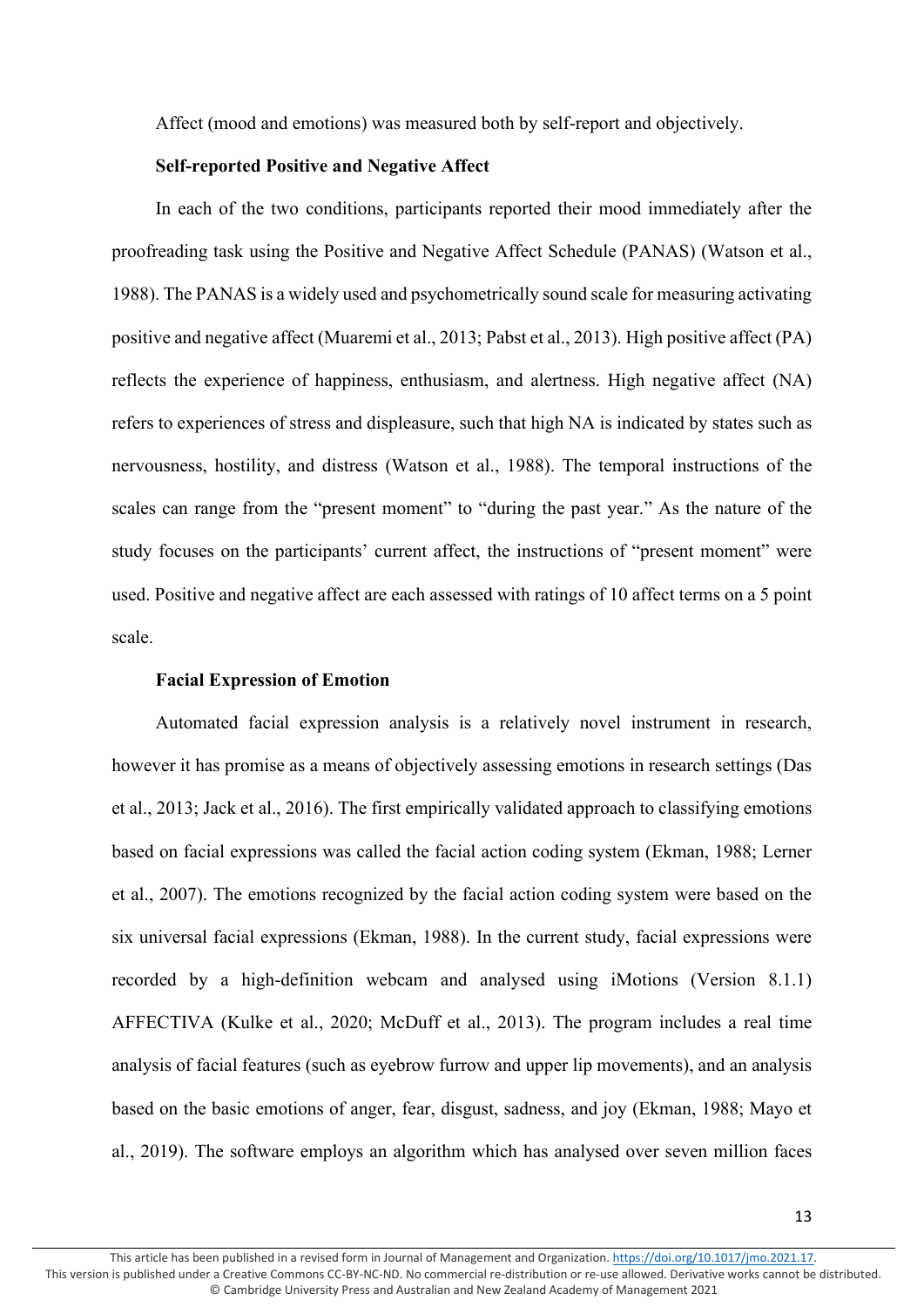Affect (mood and emotions) was measured both by self-report and objectively.

# **Self-reported Positive and Negative Affect**

In each of the two conditions, participants reported their mood immediately after the proofreading task using the Positive and Negative Affect Schedule (PANAS) (Watson et al., 1988). The PANAS is a widely used and psychometrically sound scale for measuring activating positive and negative affect (Muaremi et al., 2013; Pabst et al., 2013). High positive affect (PA) reflects the experience of happiness, enthusiasm, and alertness. High negative affect (NA) refers to experiences of stress and displeasure, such that high NA is indicated by states such as nervousness, hostility, and distress (Watson et al., 1988). The temporal instructions of the scales can range from the "present moment" to "during the past year." As the nature of the study focuses on the participants' current affect, the instructions of "present moment" were used. Positive and negative affect are each assessed with ratings of 10 affect terms on a 5 point scale.

# **Facial Expression of Emotion**

Automated facial expression analysis is a relatively novel instrument in research, however it has promise as a means of objectively assessing emotions in research settings (Das et al., 2013; Jack et al., 2016). The first empirically validated approach to classifying emotions based on facial expressions was called the facial action coding system (Ekman, 1988; Lerner et al., 2007). The emotions recognized by the facial action coding system were based on the six universal facial expressions (Ekman, 1988). In the current study, facial expressions were recorded by a high-definition webcam and analysed using iMotions (Version 8.1.1) AFFECTIVA (Kulke et al., 2020; McDuff et al., 2013). The program includes a real time analysis of facial features (such as eyebrow furrow and upper lip movements), and an analysis based on the basic emotions of anger, fear, disgust, sadness, and joy (Ekman, 1988; Mayo et al., 2019). The software employs an algorithm which has analysed over seven million faces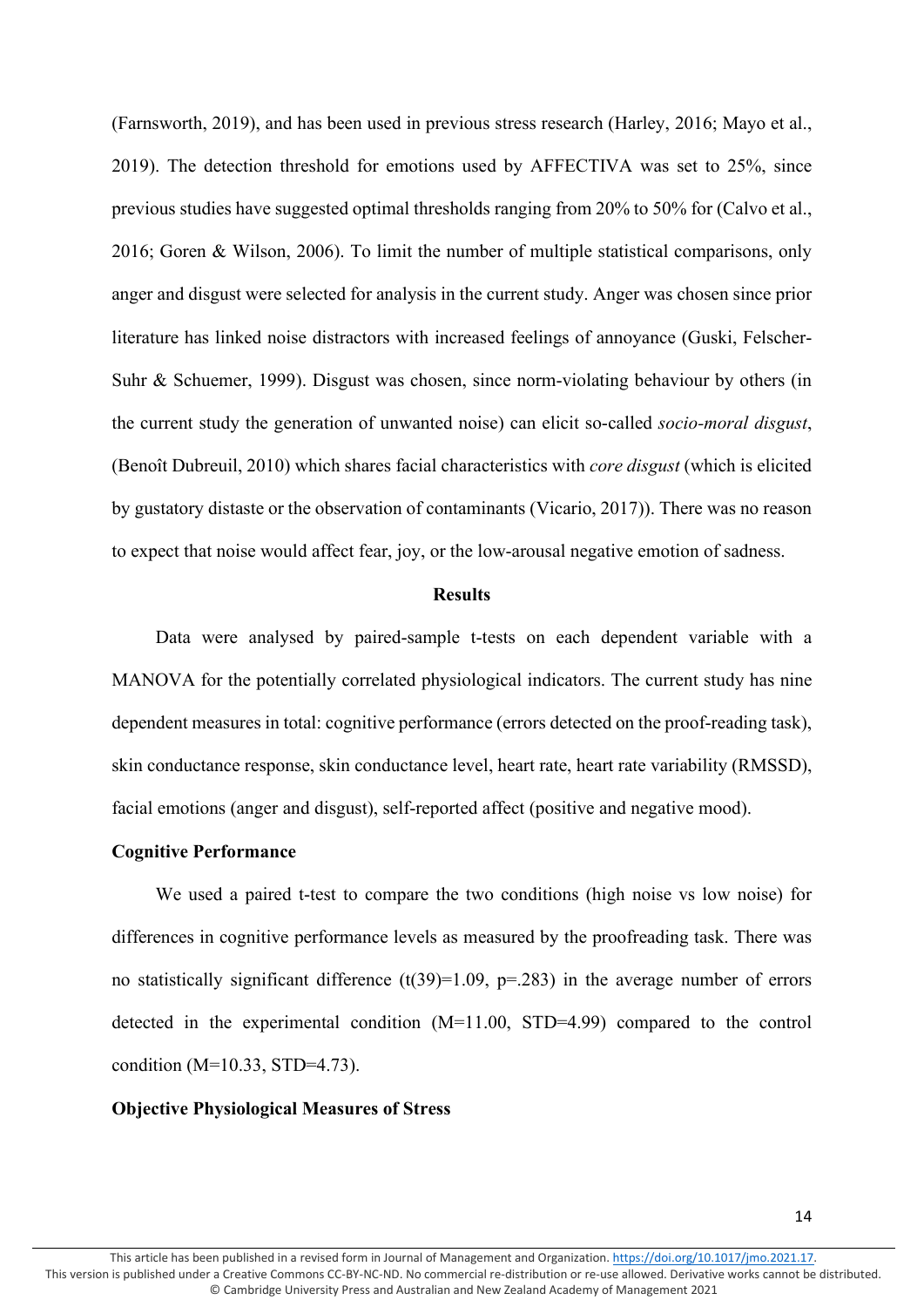(Farnsworth, 2019), and has been used in previous stress research (Harley, 2016; Mayo et al., 2019). The detection threshold for emotions used by AFFECTIVA was set to 25%, since previous studies have suggested optimal thresholds ranging from 20% to 50% for (Calvo et al., 2016; Goren & Wilson, 2006). To limit the number of multiple statistical comparisons, only anger and disgust were selected for analysis in the current study. Anger was chosen since prior literature has linked noise distractors with increased feelings of annoyance (Guski, Felscher-Suhr & Schuemer, 1999). Disgust was chosen, since norm-violating behaviour by others (in the current study the generation of unwanted noise) can elicit so-called *socio-moral disgust*, (Benoît Dubreuil, 2010) which shares facial characteristics with *core disgust* (which is elicited by gustatory distaste or the observation of contaminants (Vicario, 2017)). There was no reason to expect that noise would affect fear, joy, or the low-arousal negative emotion of sadness.

#### **Results**

Data were analysed by paired-sample t-tests on each dependent variable with a MANOVA for the potentially correlated physiological indicators. The current study has nine dependent measures in total: cognitive performance (errors detected on the proof-reading task), skin conductance response, skin conductance level, heart rate, heart rate variability (RMSSD), facial emotions (anger and disgust), self-reported affect (positive and negative mood).

# **Cognitive Performance**

We used a paired t-test to compare the two conditions (high noise vs low noise) for differences in cognitive performance levels as measured by the proofreading task. There was no statistically significant difference  $(t(39)=1.09, p=.283)$  in the average number of errors detected in the experimental condition (M=11.00, STD=4.99) compared to the control condition (M=10.33, STD=4.73).

#### **Objective Physiological Measures of Stress**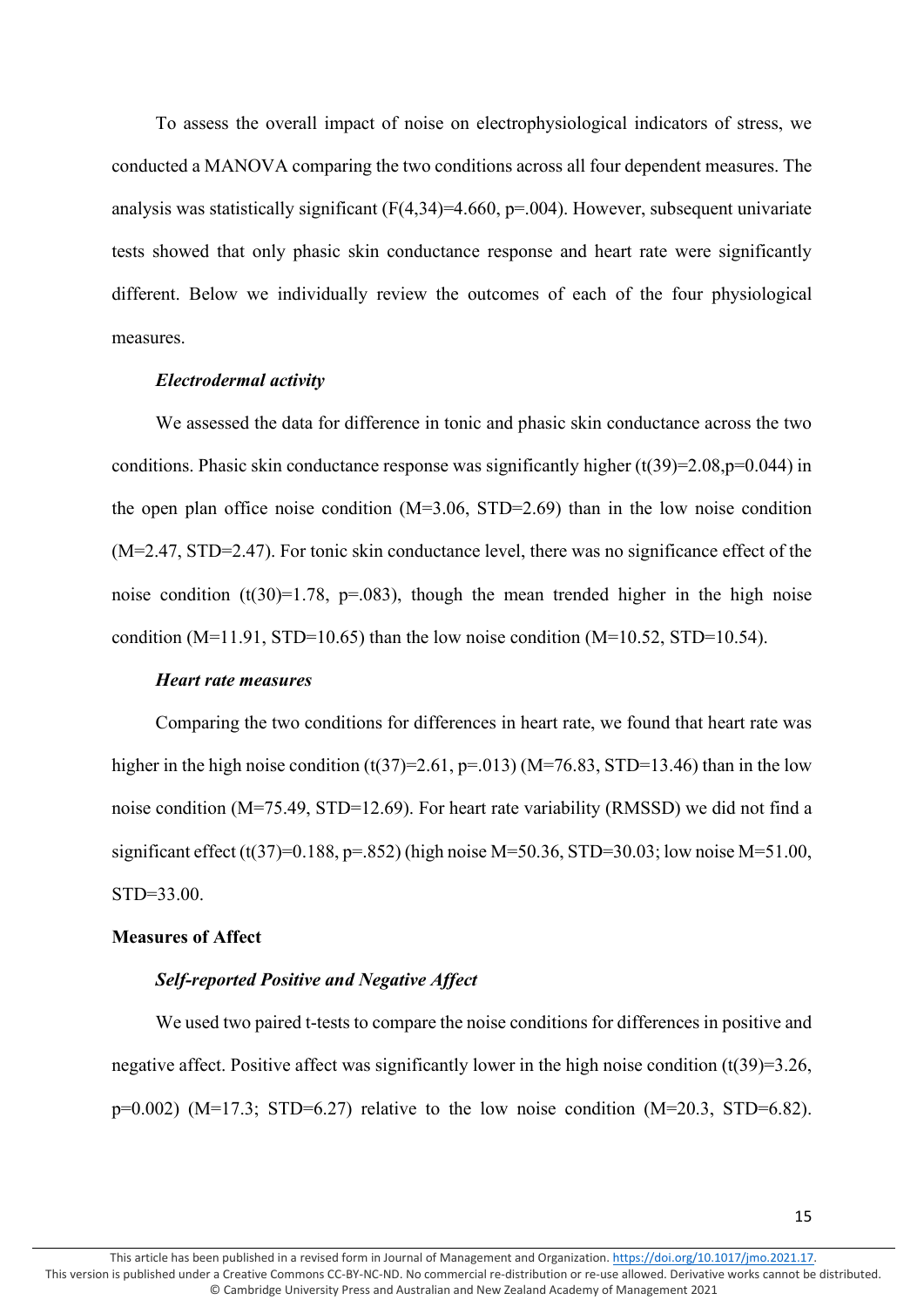To assess the overall impact of noise on electrophysiological indicators of stress, we conducted a MANOVA comparing the two conditions across all four dependent measures. The analysis was statistically significant  $(F(4,34)=4.660, p=.004)$ . However, subsequent univariate tests showed that only phasic skin conductance response and heart rate were significantly different. Below we individually review the outcomes of each of the four physiological measures.

# *Electrodermal activity*

We assessed the data for difference in tonic and phasic skin conductance across the two conditions. Phasic skin conductance response was significantly higher  $(t(39)=2.08, p=0.044)$  in the open plan office noise condition (M=3.06, STD=2.69) than in the low noise condition (M=2.47, STD=2.47). For tonic skin conductance level, there was no significance effect of the noise condition (t(30)=1.78, p=.083), though the mean trended higher in the high noise condition (M=11.91, STD=10.65) than the low noise condition (M=10.52, STD=10.54).

# *Heart rate measures*

Comparing the two conditions for differences in heart rate, we found that heart rate was higher in the high noise condition  $(t(37)=2.61, p=.013)$  (M=76.83, STD=13.46) than in the low noise condition (M=75.49, STD=12.69). For heart rate variability (RMSSD) we did not find a significant effect (t(37)=0.188, p=.852) (high noise M=50.36, STD=30.03; low noise M=51.00, STD=33.00.

#### **Measures of Affect**

# *Self-reported Positive and Negative Affect*

We used two paired t-tests to compare the noise conditions for differences in positive and negative affect. Positive affect was significantly lower in the high noise condition  $(t(39)=3.26$ ,  $p=0.002$ ) (M=17.3; STD=6.27) relative to the low noise condition (M=20.3, STD=6.82).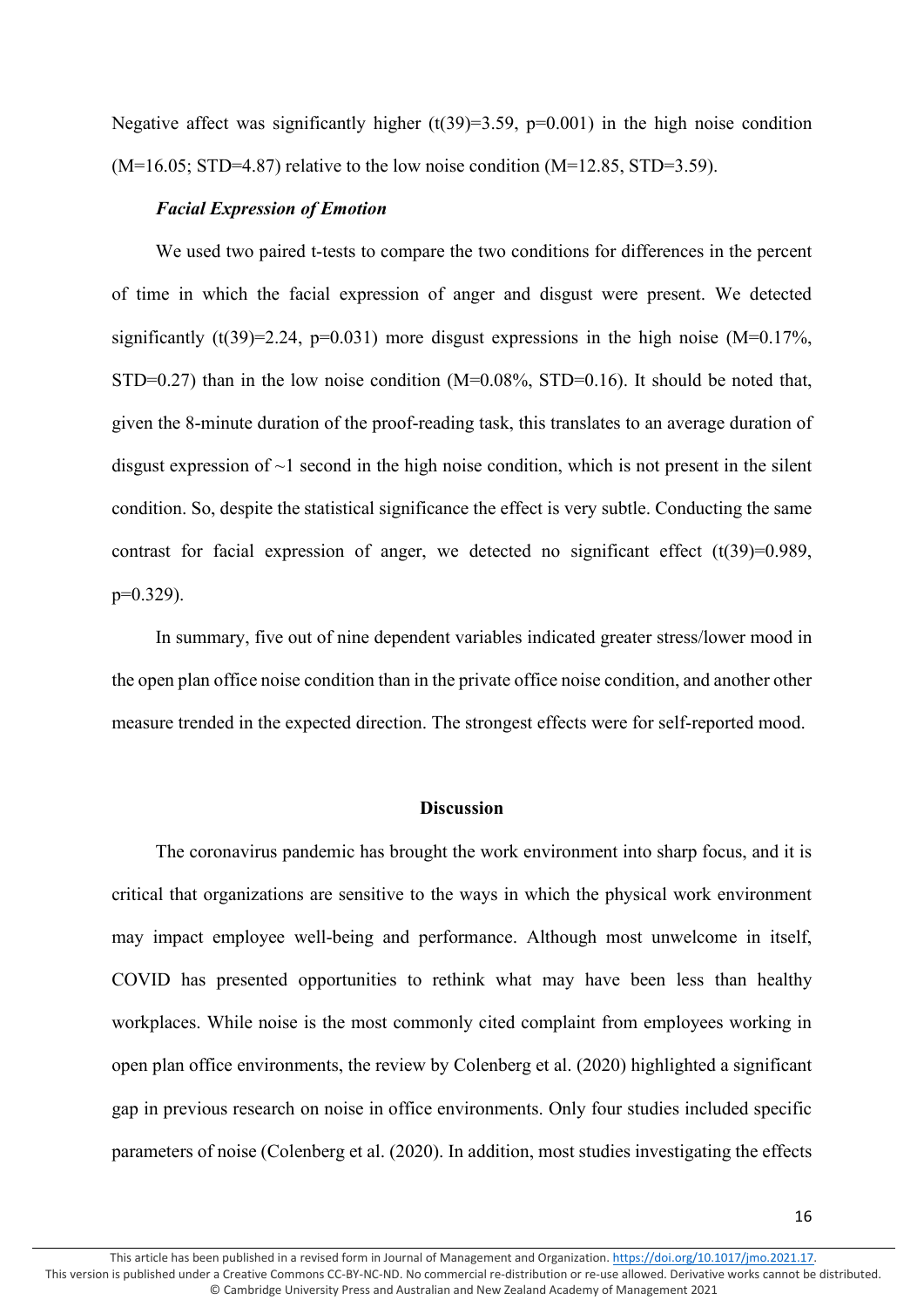Negative affect was significantly higher  $(t(39)=3.59, p=0.001)$  in the high noise condition  $(M=16.05; STD=4.87)$  relative to the low noise condition  $(M=12.85, STD=3.59)$ .

# *Facial Expression of Emotion*

We used two paired t-tests to compare the two conditions for differences in the percent of time in which the facial expression of anger and disgust were present. We detected significantly (t(39)=2.24, p=0.031) more disgust expressions in the high noise (M=0.17%,  $STD=0.27$ ) than in the low noise condition (M=0.08%, STD=0.16). It should be noted that, given the 8-minute duration of the proof-reading task, this translates to an average duration of disgust expression of  $\sim$ 1 second in the high noise condition, which is not present in the silent condition. So, despite the statistical significance the effect is very subtle. Conducting the same contrast for facial expression of anger, we detected no significant effect  $(t(39)=0.989)$ , p=0.329).

In summary, five out of nine dependent variables indicated greater stress/lower mood in the open plan office noise condition than in the private office noise condition, and another other measure trended in the expected direction. The strongest effects were for self-reported mood.

# **Discussion**

The coronavirus pandemic has brought the work environment into sharp focus, and it is critical that organizations are sensitive to the ways in which the physical work environment may impact employee well-being and performance. Although most unwelcome in itself, COVID has presented opportunities to rethink what may have been less than healthy workplaces. While noise is the most commonly cited complaint from employees working in open plan office environments, the review by Colenberg et al. (2020) highlighted a significant gap in previous research on noise in office environments. Only four studies included specific parameters of noise (Colenberg et al. (2020). In addition, most studies investigating the effects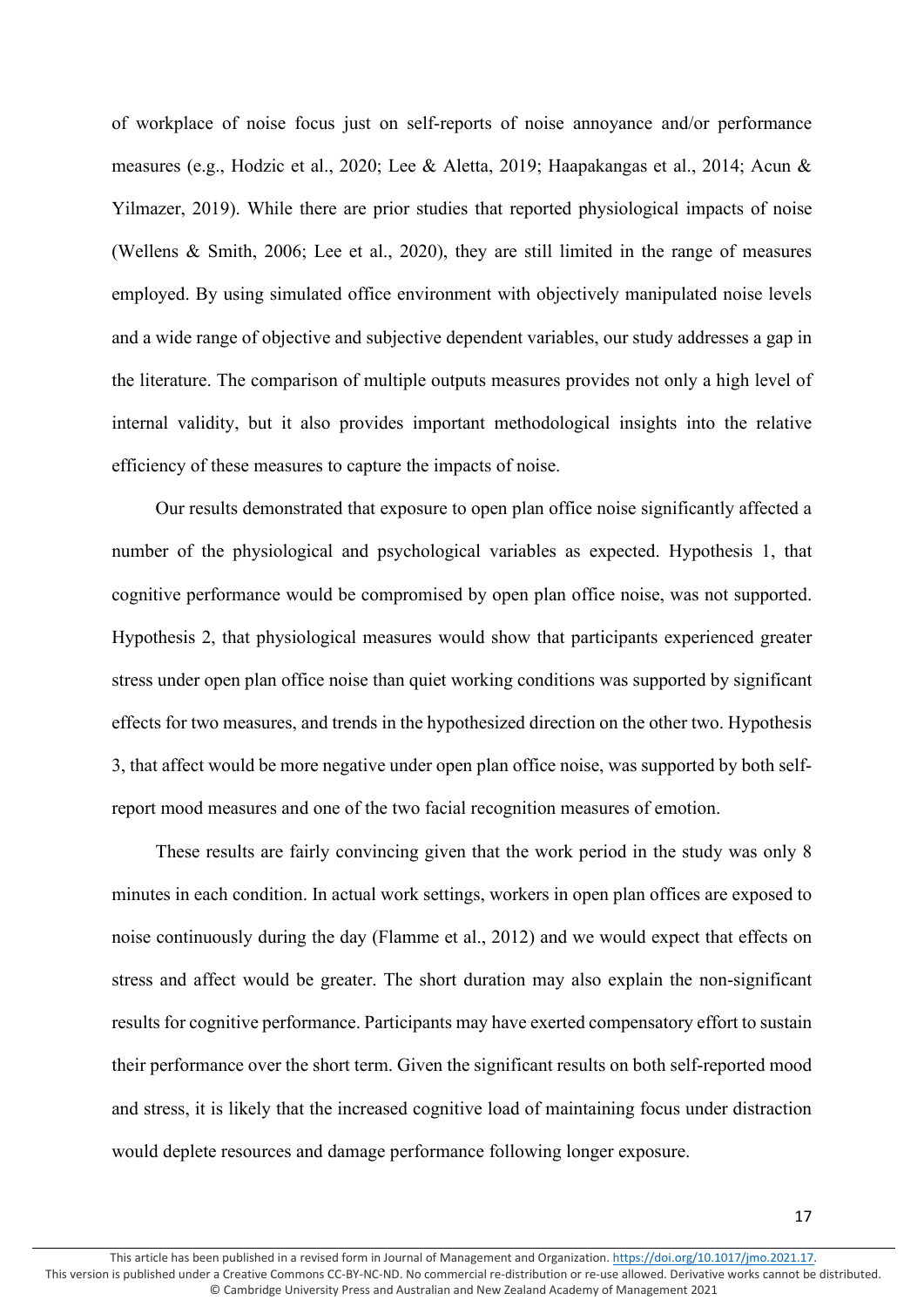of workplace of noise focus just on self-reports of noise annoyance and/or performance measures (e.g., Hodzic et al., 2020; Lee & Aletta, 2019; Haapakangas et al., 2014; Acun & Yilmazer, 2019). While there are prior studies that reported physiological impacts of noise (Wellens & Smith, 2006; Lee et al., 2020), they are still limited in the range of measures employed. By using simulated office environment with objectively manipulated noise levels and a wide range of objective and subjective dependent variables, our study addresses a gap in the literature. The comparison of multiple outputs measures provides not only a high level of internal validity, but it also provides important methodological insights into the relative efficiency of these measures to capture the impacts of noise.

Our results demonstrated that exposure to open plan office noise significantly affected a number of the physiological and psychological variables as expected. Hypothesis 1, that cognitive performance would be compromised by open plan office noise, was not supported. Hypothesis 2, that physiological measures would show that participants experienced greater stress under open plan office noise than quiet working conditions was supported by significant effects for two measures, and trends in the hypothesized direction on the other two. Hypothesis 3, that affect would be more negative under open plan office noise, was supported by both selfreport mood measures and one of the two facial recognition measures of emotion.

These results are fairly convincing given that the work period in the study was only 8 minutes in each condition. In actual work settings, workers in open plan offices are exposed to noise continuously during the day (Flamme et al., 2012) and we would expect that effects on stress and affect would be greater. The short duration may also explain the non-significant results for cognitive performance. Participants may have exerted compensatory effort to sustain their performance over the short term. Given the significant results on both self-reported mood and stress, it is likely that the increased cognitive load of maintaining focus under distraction would deplete resources and damage performance following longer exposure.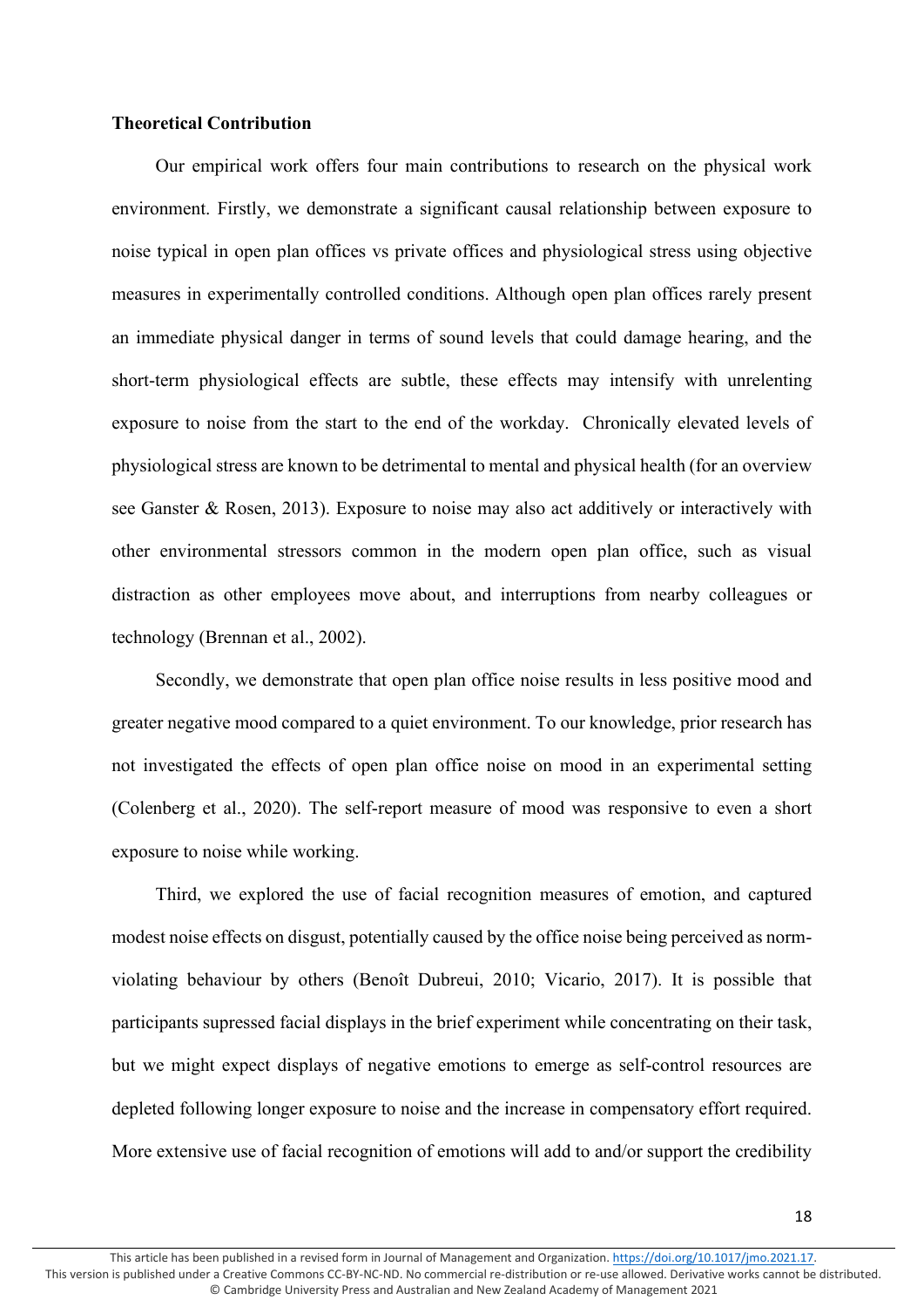# **Theoretical Contribution**

Our empirical work offers four main contributions to research on the physical work environment. Firstly, we demonstrate a significant causal relationship between exposure to noise typical in open plan offices vs private offices and physiological stress using objective measures in experimentally controlled conditions. Although open plan offices rarely present an immediate physical danger in terms of sound levels that could damage hearing, and the short-term physiological effects are subtle, these effects may intensify with unrelenting exposure to noise from the start to the end of the workday. Chronically elevated levels of physiological stress are known to be detrimental to mental and physical health (for an overview see Ganster & Rosen, 2013). Exposure to noise may also act additively or interactively with other environmental stressors common in the modern open plan office, such as visual distraction as other employees move about, and interruptions from nearby colleagues or technology (Brennan et al., 2002).

Secondly, we demonstrate that open plan office noise results in less positive mood and greater negative mood compared to a quiet environment. To our knowledge, prior research has not investigated the effects of open plan office noise on mood in an experimental setting (Colenberg et al., 2020). The self-report measure of mood was responsive to even a short exposure to noise while working.

Third, we explored the use of facial recognition measures of emotion, and captured modest noise effects on disgust, potentially caused by the office noise being perceived as normviolating behaviour by others (Benoît Dubreui, 2010; Vicario, 2017). It is possible that participants supressed facial displays in the brief experiment while concentrating on their task, but we might expect displays of negative emotions to emerge as self-control resources are depleted following longer exposure to noise and the increase in compensatory effort required. More extensive use of facial recognition of emotions will add to and/or support the credibility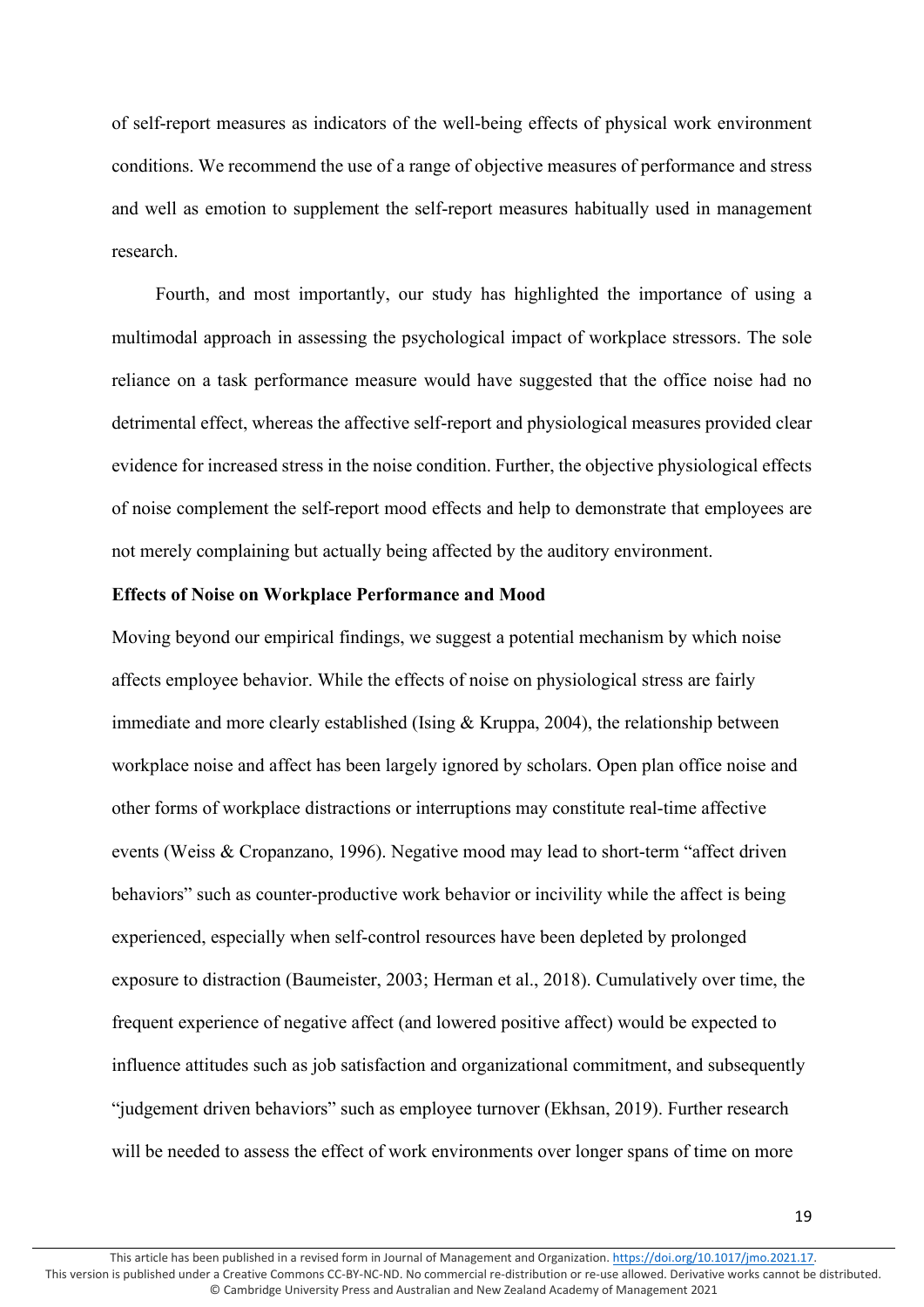of self-report measures as indicators of the well-being effects of physical work environment conditions. We recommend the use of a range of objective measures of performance and stress and well as emotion to supplement the self-report measures habitually used in management research.

Fourth, and most importantly, our study has highlighted the importance of using a multimodal approach in assessing the psychological impact of workplace stressors. The sole reliance on a task performance measure would have suggested that the office noise had no detrimental effect, whereas the affective self-report and physiological measures provided clear evidence for increased stress in the noise condition. Further, the objective physiological effects of noise complement the self-report mood effects and help to demonstrate that employees are not merely complaining but actually being affected by the auditory environment.

# **Effects of Noise on Workplace Performance and Mood**

Moving beyond our empirical findings, we suggest a potential mechanism by which noise affects employee behavior. While the effects of noise on physiological stress are fairly immediate and more clearly established (Ising & Kruppa, 2004), the relationship between workplace noise and affect has been largely ignored by scholars. Open plan office noise and other forms of workplace distractions or interruptions may constitute real-time affective events (Weiss & Cropanzano, 1996). Negative mood may lead to short-term "affect driven behaviors" such as counter-productive work behavior or incivility while the affect is being experienced, especially when self-control resources have been depleted by prolonged exposure to distraction (Baumeister, 2003; Herman et al., 2018). Cumulatively over time, the frequent experience of negative affect (and lowered positive affect) would be expected to influence attitudes such as job satisfaction and organizational commitment, and subsequently "judgement driven behaviors" such as employee turnover (Ekhsan, 2019). Further research will be needed to assess the effect of work environments over longer spans of time on more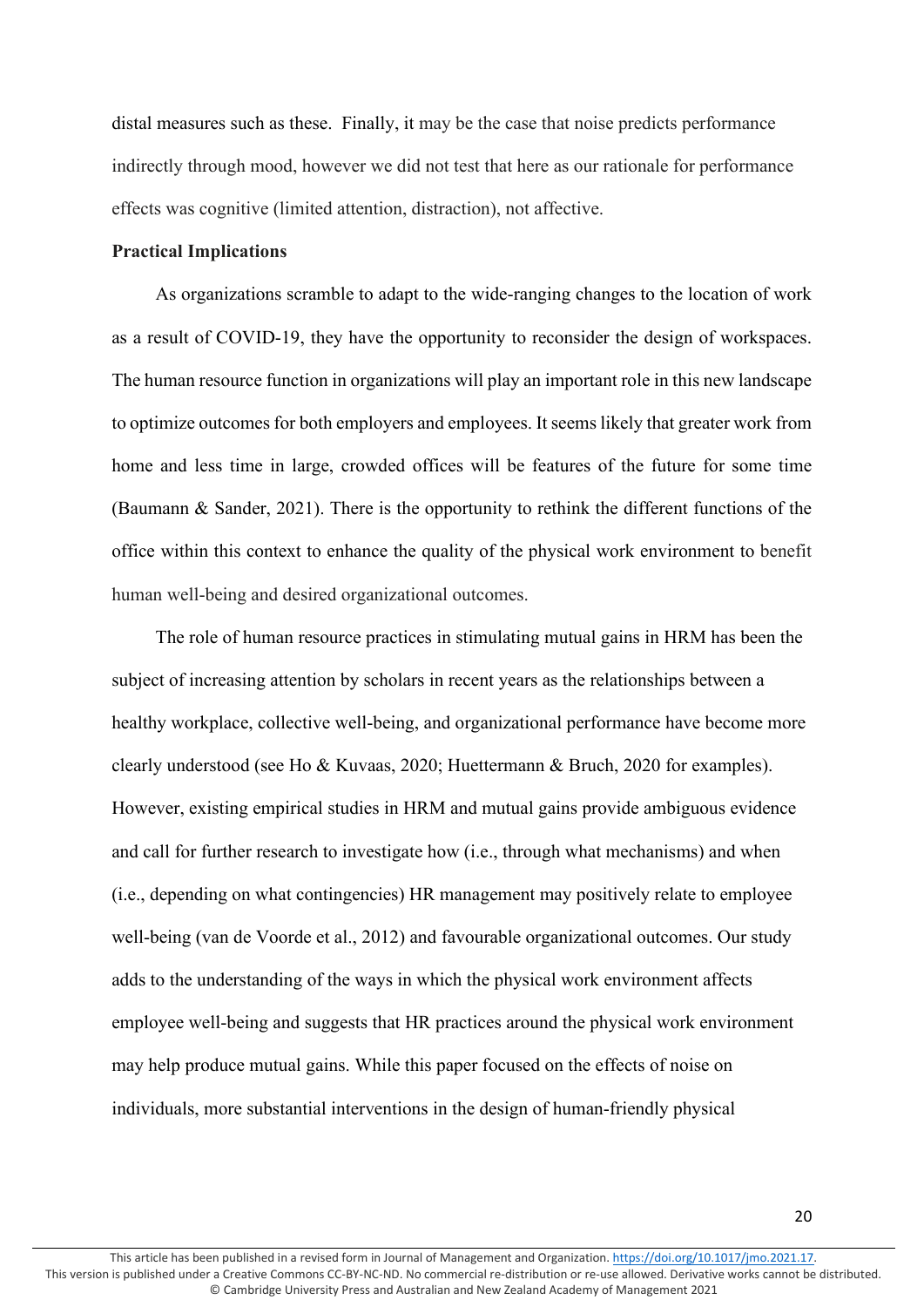distal measures such as these. Finally, it may be the case that noise predicts performance indirectly through mood, however we did not test that here as our rationale for performance effects was cognitive (limited attention, distraction), not affective.

# **Practical Implications**

As organizations scramble to adapt to the wide-ranging changes to the location of work as a result of COVID-19, they have the opportunity to reconsider the design of workspaces. The human resource function in organizations will play an important role in this new landscape to optimize outcomes for both employers and employees. It seems likely that greater work from home and less time in large, crowded offices will be features of the future for some time (Baumann & Sander, 2021). There is the opportunity to rethink the different functions of the office within this context to enhance the quality of the physical work environment to benefit human well-being and desired organizational outcomes.

The role of human resource practices in stimulating mutual gains in HRM has been the subject of increasing attention by scholars in recent years as the relationships between a healthy workplace, collective well-being, and organizational performance have become more clearly understood (see Ho & Kuvaas, 2020; Huettermann & Bruch, 2020 for examples). However, existing empirical studies in HRM and mutual gains provide ambiguous evidence and call for further research to investigate how (i.e., through what mechanisms) and when (i.e., depending on what contingencies) HR management may positively relate to employee well-being (van de Voorde et al., 2012) and favourable organizational outcomes. Our study adds to the understanding of the ways in which the physical work environment affects employee well-being and suggests that HR practices around the physical work environment may help produce mutual gains. While this paper focused on the effects of noise on individuals, more substantial interventions in the design of human-friendly physical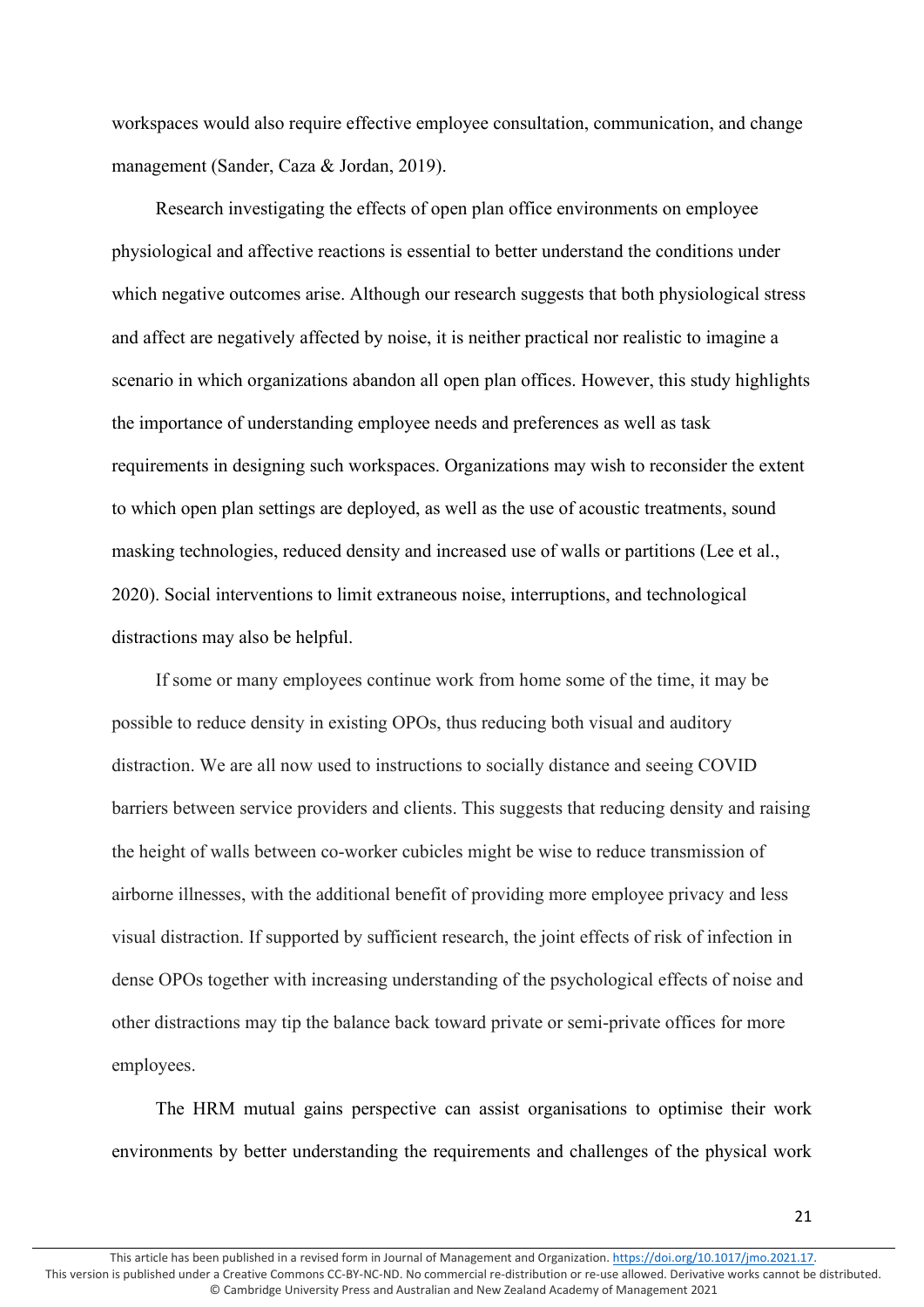workspaces would also require effective employee consultation, communication, and change management (Sander, Caza & Jordan, 2019).

Research investigating the effects of open plan office environments on employee physiological and affective reactions is essential to better understand the conditions under which negative outcomes arise. Although our research suggests that both physiological stress and affect are negatively affected by noise, it is neither practical nor realistic to imagine a scenario in which organizations abandon all open plan offices. However, this study highlights the importance of understanding employee needs and preferences as well as task requirements in designing such workspaces. Organizations may wish to reconsider the extent to which open plan settings are deployed, as well as the use of acoustic treatments, sound masking technologies, reduced density and increased use of walls or partitions (Lee et al., 2020). Social interventions to limit extraneous noise, interruptions, and technological distractions may also be helpful.

If some or many employees continue work from home some of the time, it may be possible to reduce density in existing OPOs, thus reducing both visual and auditory distraction. We are all now used to instructions to socially distance and seeing COVID barriers between service providers and clients. This suggests that reducing density and raising the height of walls between co-worker cubicles might be wise to reduce transmission of airborne illnesses, with the additional benefit of providing more employee privacy and less visual distraction. If supported by sufficient research, the joint effects of risk of infection in dense OPOs together with increasing understanding of the psychological effects of noise and other distractions may tip the balance back toward private or semi-private offices for more employees.

The HRM mutual gains perspective can assist organisations to optimise their work environments by better understanding the requirements and challenges of the physical work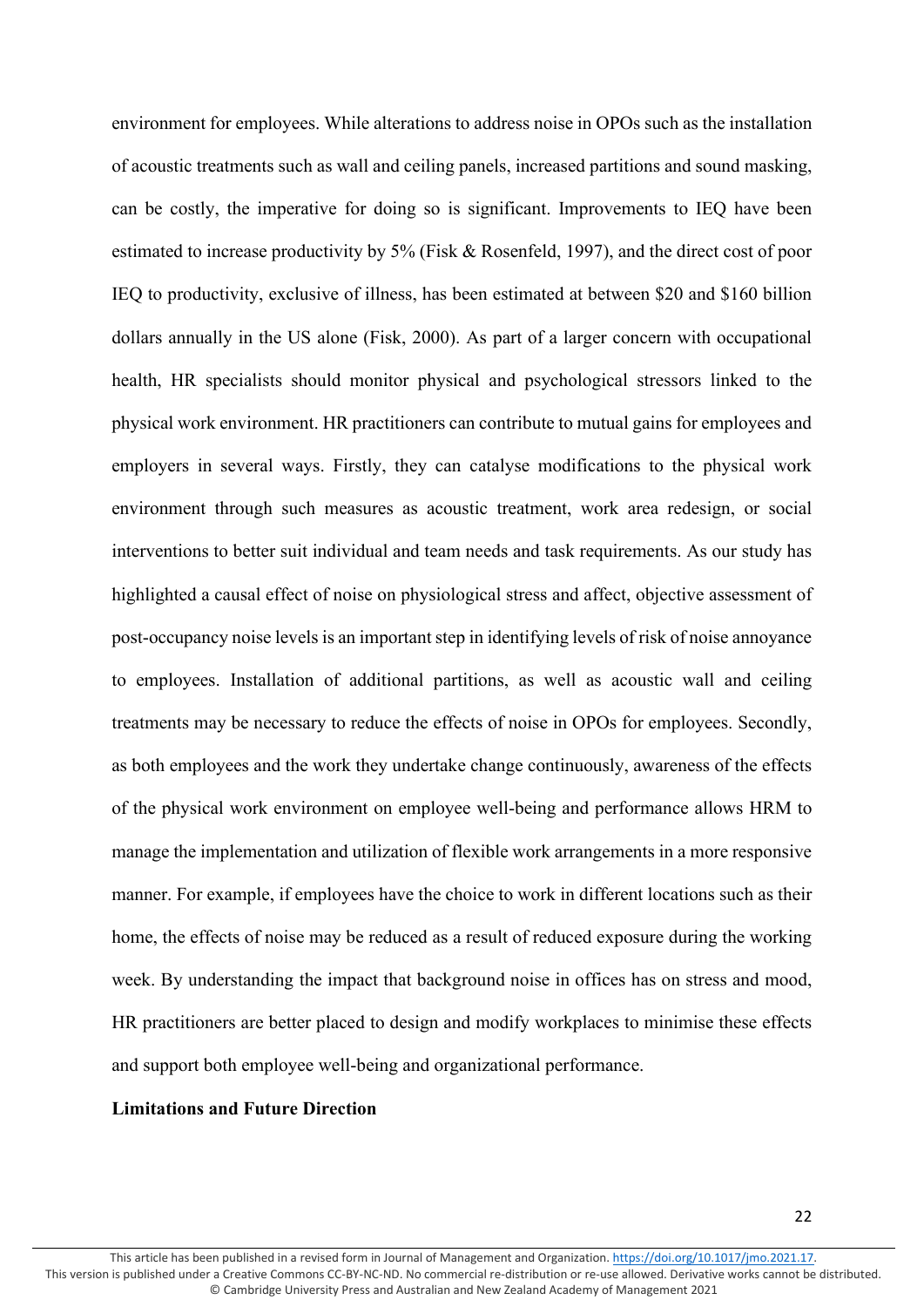environment for employees. While alterations to address noise in OPOs such as the installation of acoustic treatments such as wall and ceiling panels, increased partitions and sound masking, can be costly, the imperative for doing so is significant. Improvements to IEQ have been estimated to increase productivity by 5% (Fisk & Rosenfeld, 1997), and the direct cost of poor IEQ to productivity, exclusive of illness, has been estimated at between \$20 and \$160 billion dollars annually in the US alone (Fisk, 2000). As part of a larger concern with occupational health, HR specialists should monitor physical and psychological stressors linked to the physical work environment. HR practitioners can contribute to mutual gains for employees and employers in several ways. Firstly, they can catalyse modifications to the physical work environment through such measures as acoustic treatment, work area redesign, or social interventions to better suit individual and team needs and task requirements. As our study has highlighted a causal effect of noise on physiological stress and affect, objective assessment of post-occupancy noise levels is an important step in identifying levels of risk of noise annoyance to employees. Installation of additional partitions, as well as acoustic wall and ceiling treatments may be necessary to reduce the effects of noise in OPOs for employees. Secondly, as both employees and the work they undertake change continuously, awareness of the effects of the physical work environment on employee well-being and performance allows HRM to manage the implementation and utilization of flexible work arrangements in a more responsive manner. For example, if employees have the choice to work in different locations such as their home, the effects of noise may be reduced as a result of reduced exposure during the working week. By understanding the impact that background noise in offices has on stress and mood, HR practitioners are better placed to design and modify workplaces to minimise these effects and support both employee well-being and organizational performance.

#### **Limitations and Future Direction**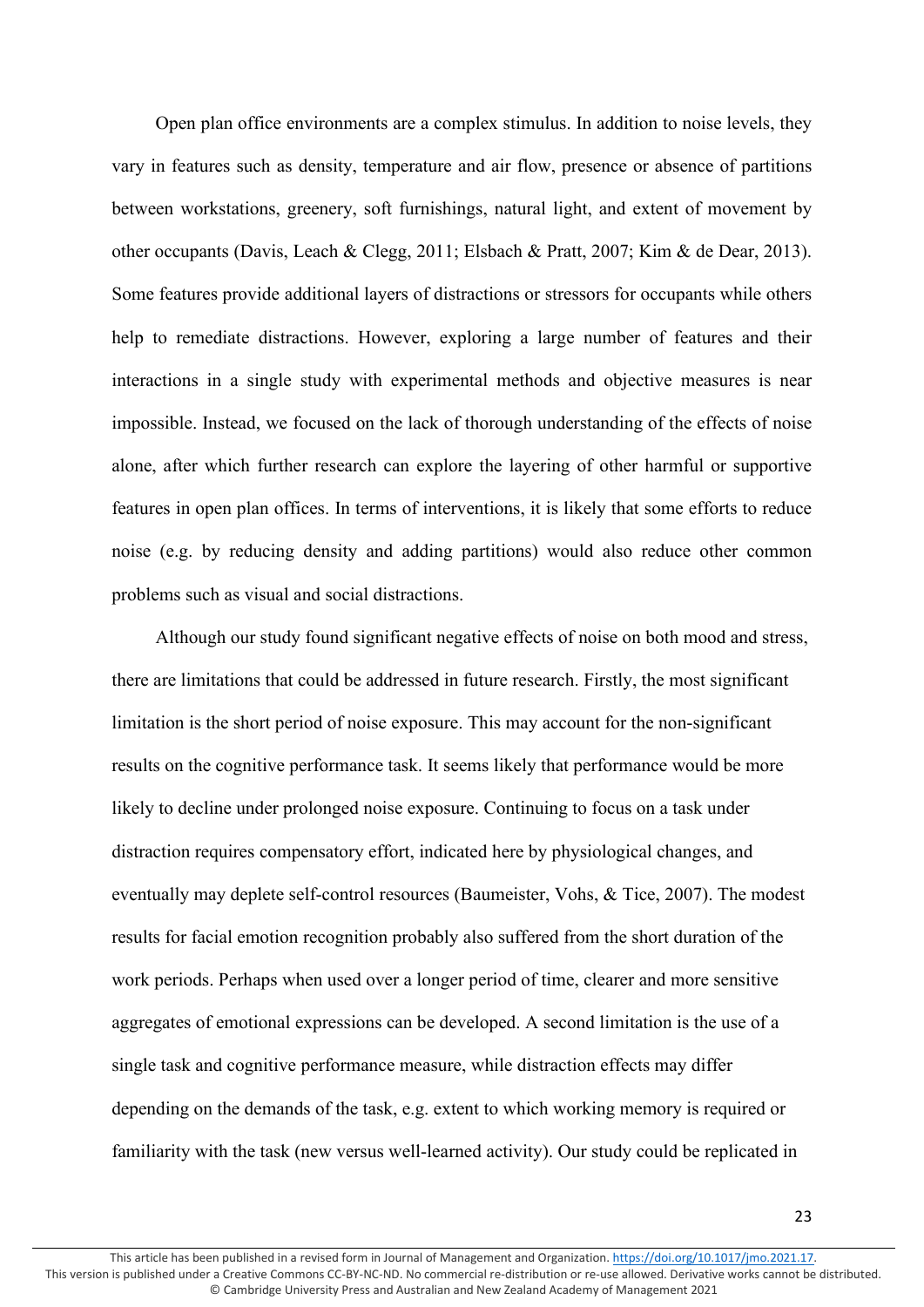Open plan office environments are a complex stimulus. In addition to noise levels, they vary in features such as density, temperature and air flow, presence or absence of partitions between workstations, greenery, soft furnishings, natural light, and extent of movement by other occupants (Davis, Leach & Clegg, 2011; Elsbach & Pratt, 2007; Kim & de Dear, 2013). Some features provide additional layers of distractions or stressors for occupants while others help to remediate distractions. However, exploring a large number of features and their interactions in a single study with experimental methods and objective measures is near impossible. Instead, we focused on the lack of thorough understanding of the effects of noise alone, after which further research can explore the layering of other harmful or supportive features in open plan offices. In terms of interventions, it is likely that some efforts to reduce noise (e.g. by reducing density and adding partitions) would also reduce other common problems such as visual and social distractions.

Although our study found significant negative effects of noise on both mood and stress, there are limitations that could be addressed in future research. Firstly, the most significant limitation is the short period of noise exposure. This may account for the non-significant results on the cognitive performance task. It seems likely that performance would be more likely to decline under prolonged noise exposure. Continuing to focus on a task under distraction requires compensatory effort, indicated here by physiological changes, and eventually may deplete self-control resources (Baumeister, Vohs, & Tice, 2007). The modest results for facial emotion recognition probably also suffered from the short duration of the work periods. Perhaps when used over a longer period of time, clearer and more sensitive aggregates of emotional expressions can be developed. A second limitation is the use of a single task and cognitive performance measure, while distraction effects may differ depending on the demands of the task, e.g. extent to which working memory is required or familiarity with the task (new versus well-learned activity). Our study could be replicated in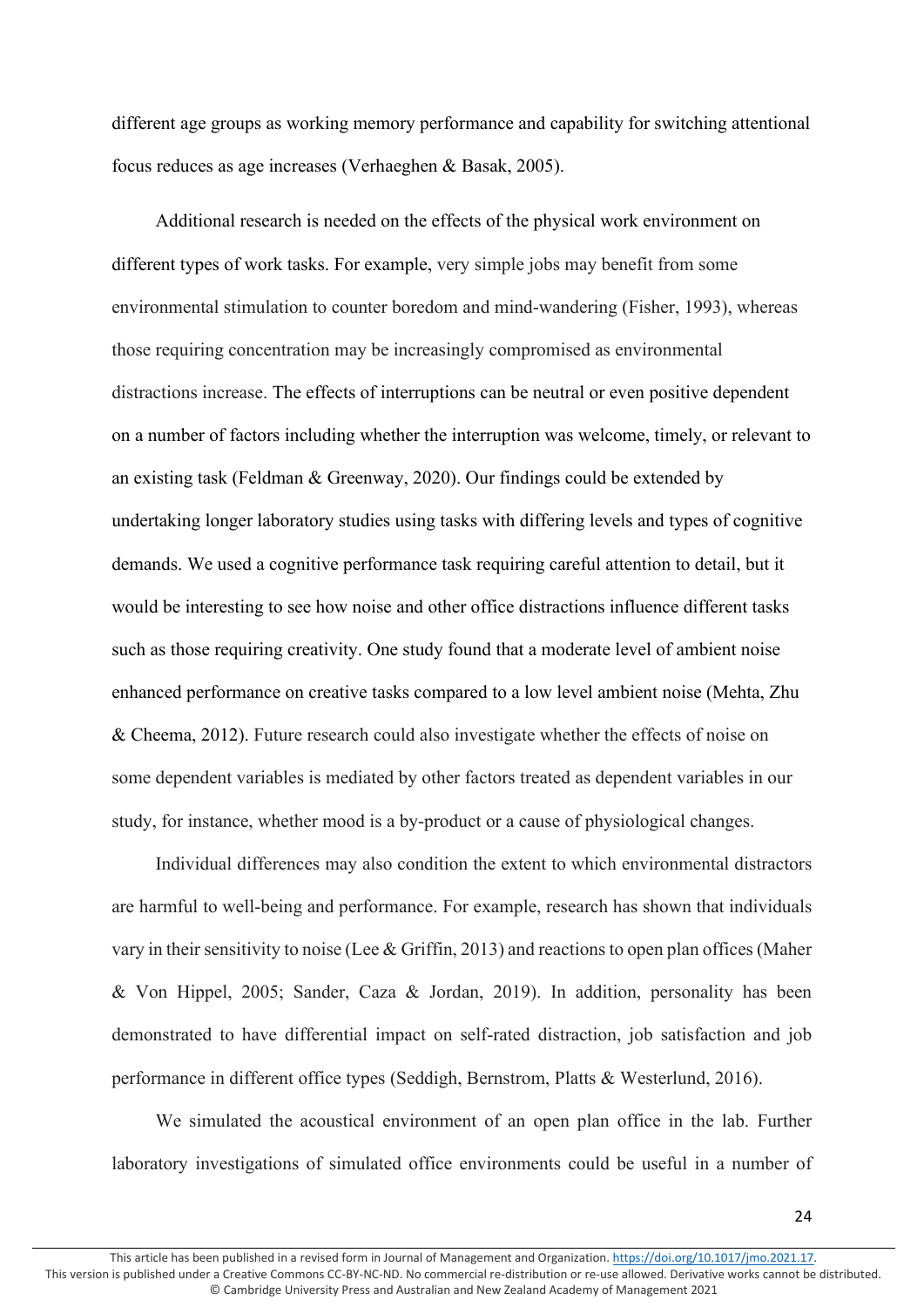different age groups as working memory performance and capability for switching attentional focus reduces as age increases (Verhaeghen & Basak, 2005).

Additional research is needed on the effects of the physical work environment on different types of work tasks. For example, very simple jobs may benefit from some environmental stimulation to counter boredom and mind-wandering (Fisher, 1993), whereas those requiring concentration may be increasingly compromised as environmental distractions increase. The effects of interruptions can be neutral or even positive dependent on a number of factors including whether the interruption was welcome, timely, or relevant to an existing task (Feldman & Greenway, 2020). Our findings could be extended by undertaking longer laboratory studies using tasks with differing levels and types of cognitive demands. We used a cognitive performance task requiring careful attention to detail, but it would be interesting to see how noise and other office distractions influence different tasks such as those requiring creativity. One study found that a moderate level of ambient noise enhanced performance on creative tasks compared to a low level ambient noise (Mehta, Zhu & Cheema, 2012). Future research could also investigate whether the effects of noise on some dependent variables is mediated by other factors treated as dependent variables in our study, for instance, whether mood is a by-product or a cause of physiological changes.

Individual differences may also condition the extent to which environmental distractors are harmful to well-being and performance. For example, research has shown that individuals vary in their sensitivity to noise (Lee & Griffin, 2013) and reactionsto open plan offices(Maher & Von Hippel, 2005; Sander, Caza & Jordan, 2019). In addition, personality has been demonstrated to have differential impact on self-rated distraction, job satisfaction and job performance in different office types (Seddigh, Bernstrom, Platts & Westerlund, 2016).

We simulated the acoustical environment of an open plan office in the lab. Further laboratory investigations of simulated office environments could be useful in a number of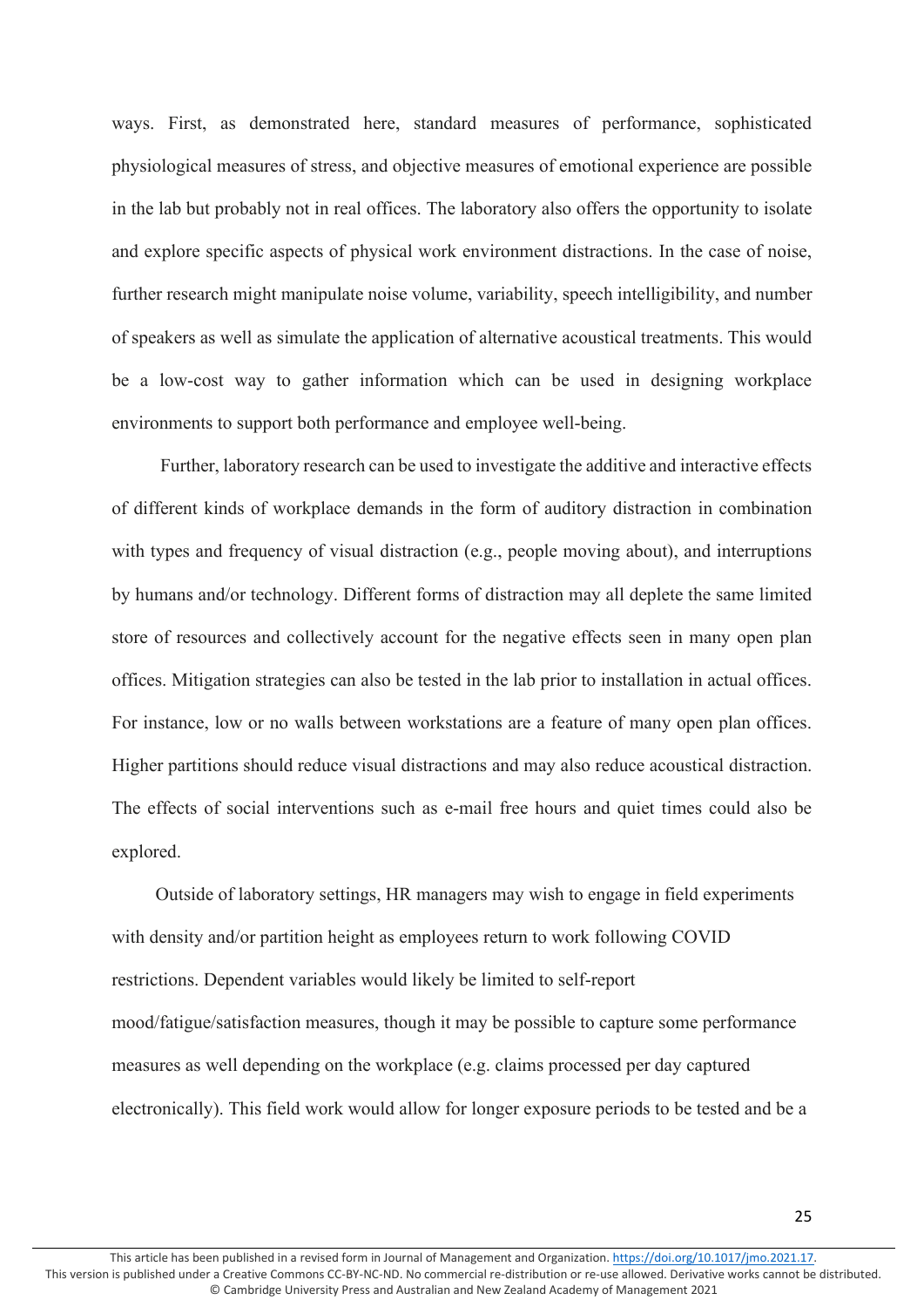ways. First, as demonstrated here, standard measures of performance, sophisticated physiological measures of stress, and objective measures of emotional experience are possible in the lab but probably not in real offices. The laboratory also offers the opportunity to isolate and explore specific aspects of physical work environment distractions. In the case of noise, further research might manipulate noise volume, variability, speech intelligibility, and number of speakers as well as simulate the application of alternative acoustical treatments. This would be a low-cost way to gather information which can be used in designing workplace environments to support both performance and employee well-being.

Further, laboratory research can be used to investigate the additive and interactive effects of different kinds of workplace demands in the form of auditory distraction in combination with types and frequency of visual distraction (e.g., people moving about), and interruptions by humans and/or technology. Different forms of distraction may all deplete the same limited store of resources and collectively account for the negative effects seen in many open plan offices. Mitigation strategies can also be tested in the lab prior to installation in actual offices. For instance, low or no walls between workstations are a feature of many open plan offices. Higher partitions should reduce visual distractions and may also reduce acoustical distraction. The effects of social interventions such as e-mail free hours and quiet times could also be explored.

Outside of laboratory settings, HR managers may wish to engage in field experiments with density and/or partition height as employees return to work following COVID restrictions. Dependent variables would likely be limited to self-report mood/fatigue/satisfaction measures, though it may be possible to capture some performance measures as well depending on the workplace (e.g. claims processed per day captured electronically). This field work would allow for longer exposure periods to be tested and be a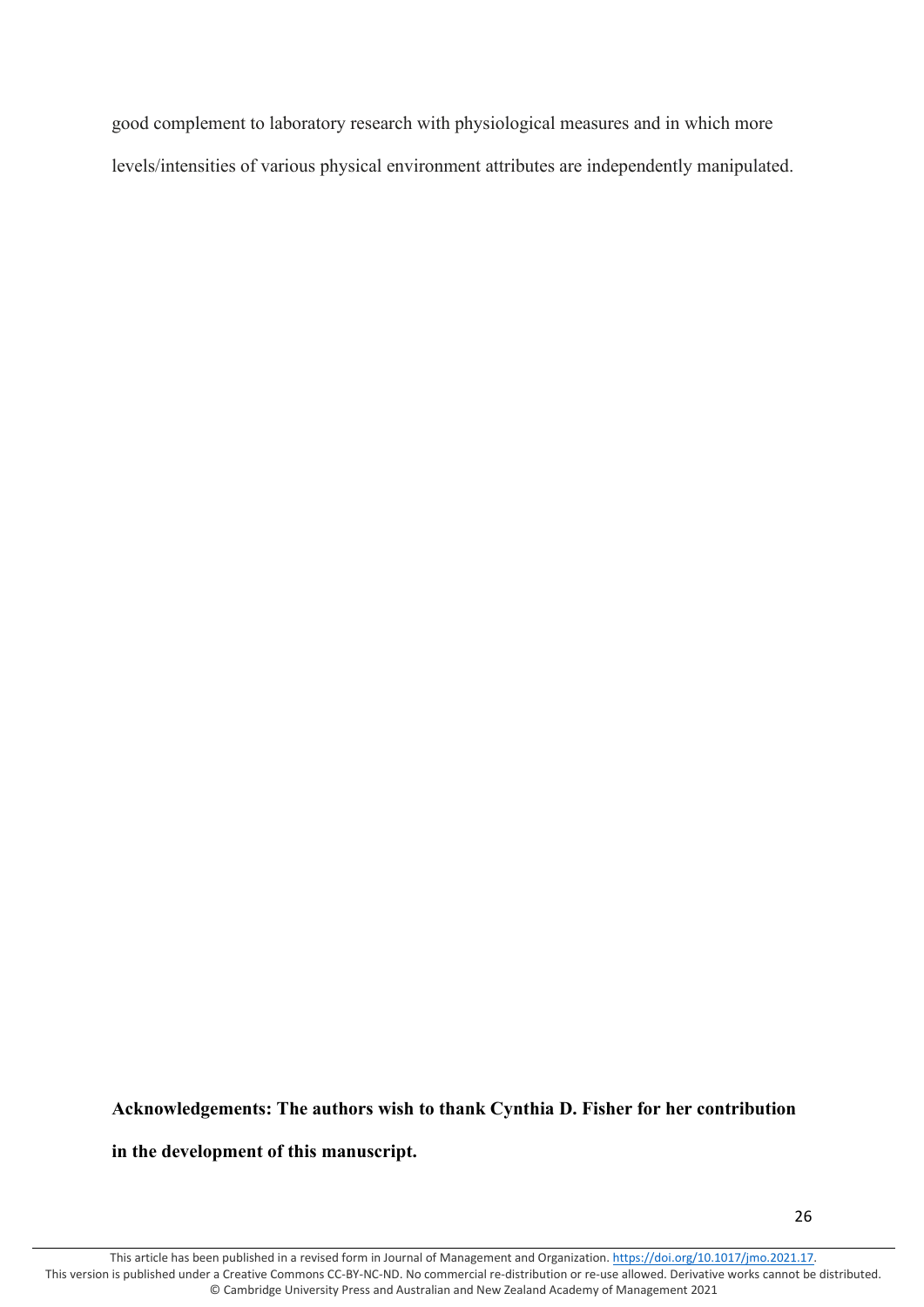good complement to laboratory research with physiological measures and in which more levels/intensities of various physical environment attributes are independently manipulated.

# **Acknowledgements: The authors wish to thank Cynthia D. Fisher for her contribution**

# **in the development of this manuscript.**

This article has been published in a revised form in Journal of Management and Organization[. https://doi.org/10.1017/jmo.2021.17.](https://doi.org/10.1017/jmo.2021.17) This version is published under a Creative Commons CC-BY-NC-ND. No commercial re-distribution or re-use allowed. Derivative works cannot be distributed. © Cambridge University Press and Australian and New Zealand Academy of Management 2021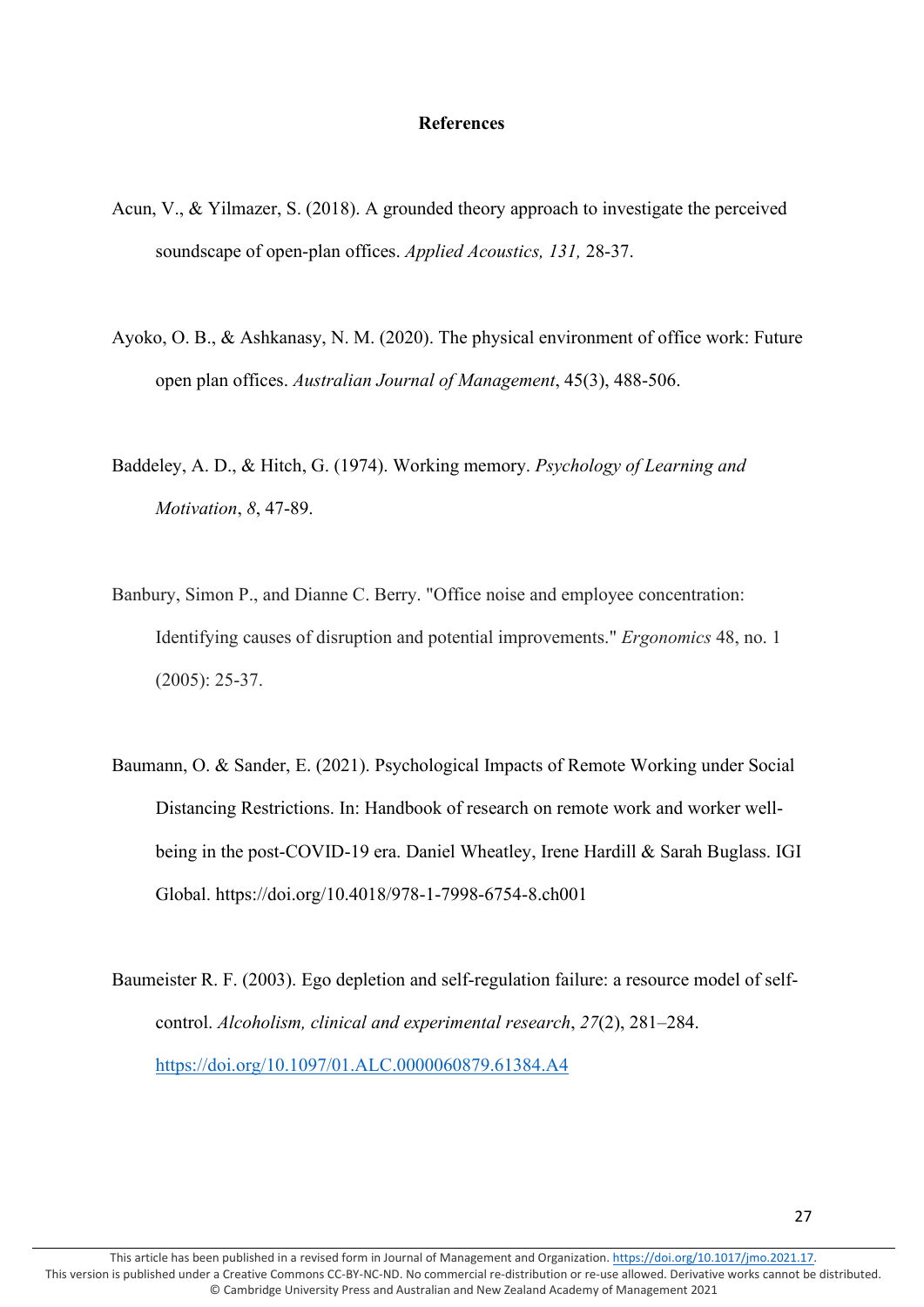# **References**

- Acun, V., & Yilmazer, S. (2018). A grounded theory approach to investigate the perceived soundscape of open-plan offices. *Applied Acoustics, 131,* 28-37.
- Ayoko, O. B., & Ashkanasy, N. M. (2020). The physical environment of office work: Future open plan offices. *Australian Journal of Management*, 45(3), 488-506.
- Baddeley, A. D., & Hitch, G. (1974). Working memory. *Psychology of Learning and Motivation*, *8*, 47-89.
- Banbury, Simon P., and Dianne C. Berry. "Office noise and employee concentration: Identifying causes of disruption and potential improvements." *Ergonomics* 48, no. 1 (2005): 25-37.
- Baumann, O. & Sander, E. (2021). Psychological Impacts of Remote Working under Social Distancing Restrictions. In: Handbook of research on remote work and worker wellbeing in the post-COVID-19 era. Daniel Wheatley, Irene Hardill & Sarah Buglass. IGI Global. https://doi.org/10.4018/978-1-7998-6754-8.ch001
- Baumeister R. F. (2003). Ego depletion and self-regulation failure: a resource model of selfcontrol. *Alcoholism, clinical and experimental research*, *27*(2), 281–284. <https://doi.org/10.1097/01.ALC.0000060879.61384.A4>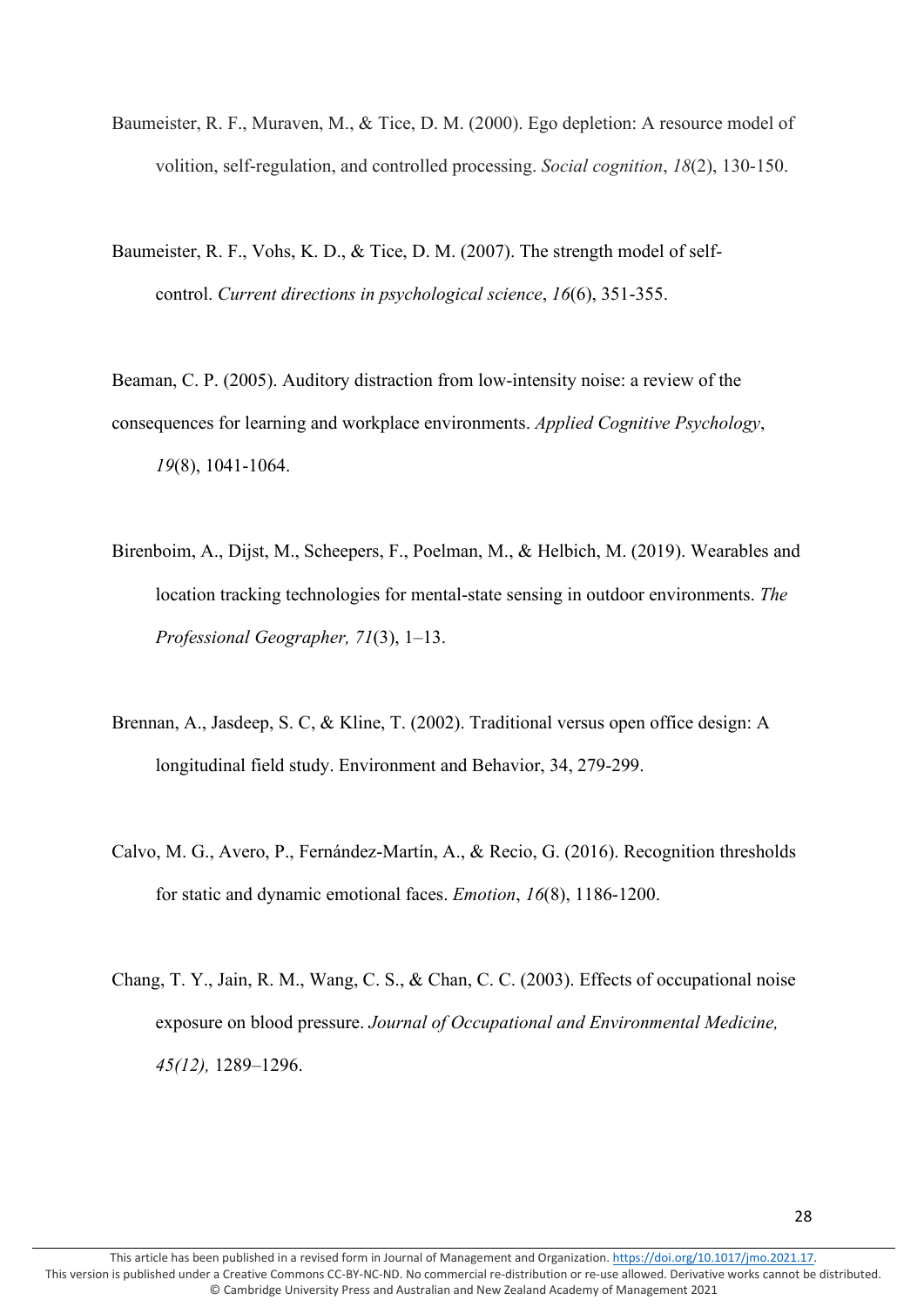- Baumeister, R. F., Muraven, M., & Tice, D. M. (2000). Ego depletion: A resource model of volition, self-regulation, and controlled processing. *Social cognition*, *18*(2), 130-150.
- Baumeister, R. F., Vohs, K. D., & Tice, D. M. (2007). The strength model of selfcontrol. *Current directions in psychological science*, *16*(6), 351-355.

Beaman, C. P. (2005). Auditory distraction from low-intensity noise: a review of the consequences for learning and workplace environments. *Applied Cognitive Psychology*, *19*(8), 1041-1064.

- Birenboim, A., Dijst, M., Scheepers, F., Poelman, M., & Helbich, M. (2019). Wearables and location tracking technologies for mental-state sensing in outdoor environments. *The Professional Geographer, 71*(3), 1–13.
- Brennan, A., Jasdeep, S. C, & Kline, T. (2002). Traditional versus open office design: A longitudinal field study. Environment and Behavior, 34, 279-299.
- Calvo, M. G., Avero, P., Fernández-Martín, A., & Recio, G. (2016). Recognition thresholds for static and dynamic emotional faces. *Emotion*, *16*(8), 1186-1200.
- Chang, T. Y., Jain, R. M., Wang, C. S., & Chan, C. C. (2003). Effects of occupational noise exposure on blood pressure. *Journal of Occupational and Environmental Medicine, 45(12),* 1289–1296.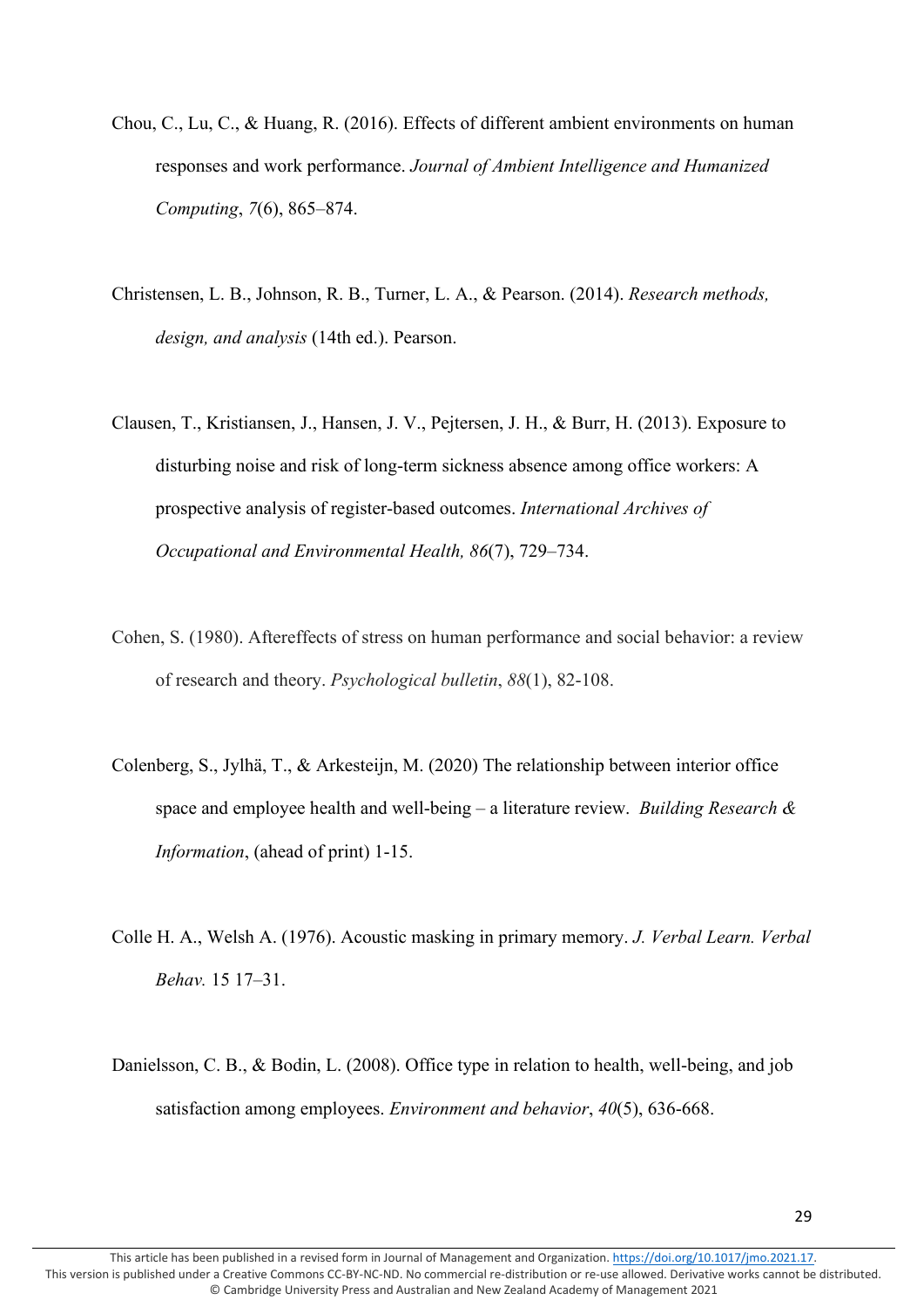- Chou, C., Lu, C., & Huang, R. (2016). Effects of different ambient environments on human responses and work performance. *Journal of Ambient Intelligence and Humanized Computing*, *7*(6), 865–874.
- Christensen, L. B., Johnson, R. B., Turner, L. A., & Pearson. (2014). *Research methods, design, and analysis* (14th ed.). Pearson.
- Clausen, T., Kristiansen, J., Hansen, J. V., Pejtersen, J. H., & Burr, H. (2013). Exposure to disturbing noise and risk of long-term sickness absence among office workers: A prospective analysis of register-based outcomes. *International Archives of Occupational and Environmental Health, 86*(7), 729–734.
- Cohen, S. (1980). Aftereffects of stress on human performance and social behavior: a review of research and theory. *Psychological bulletin*, *88*(1), 82-108.
- Colenberg, S., Jylhä, T., & Arkesteijn, M. (2020) The relationship between interior office space and employee health and well-being – a literature review. *Building Research & Information*, (ahead of print) 1-15.
- Colle H. A., Welsh A. (1976). Acoustic masking in primary memory. *J. Verbal Learn. Verbal Behav.* 15 17–31.
- Danielsson, C. B., & Bodin, L. (2008). Office type in relation to health, well-being, and job satisfaction among employees. *Environment and behavior*, *40*(5), 636-668.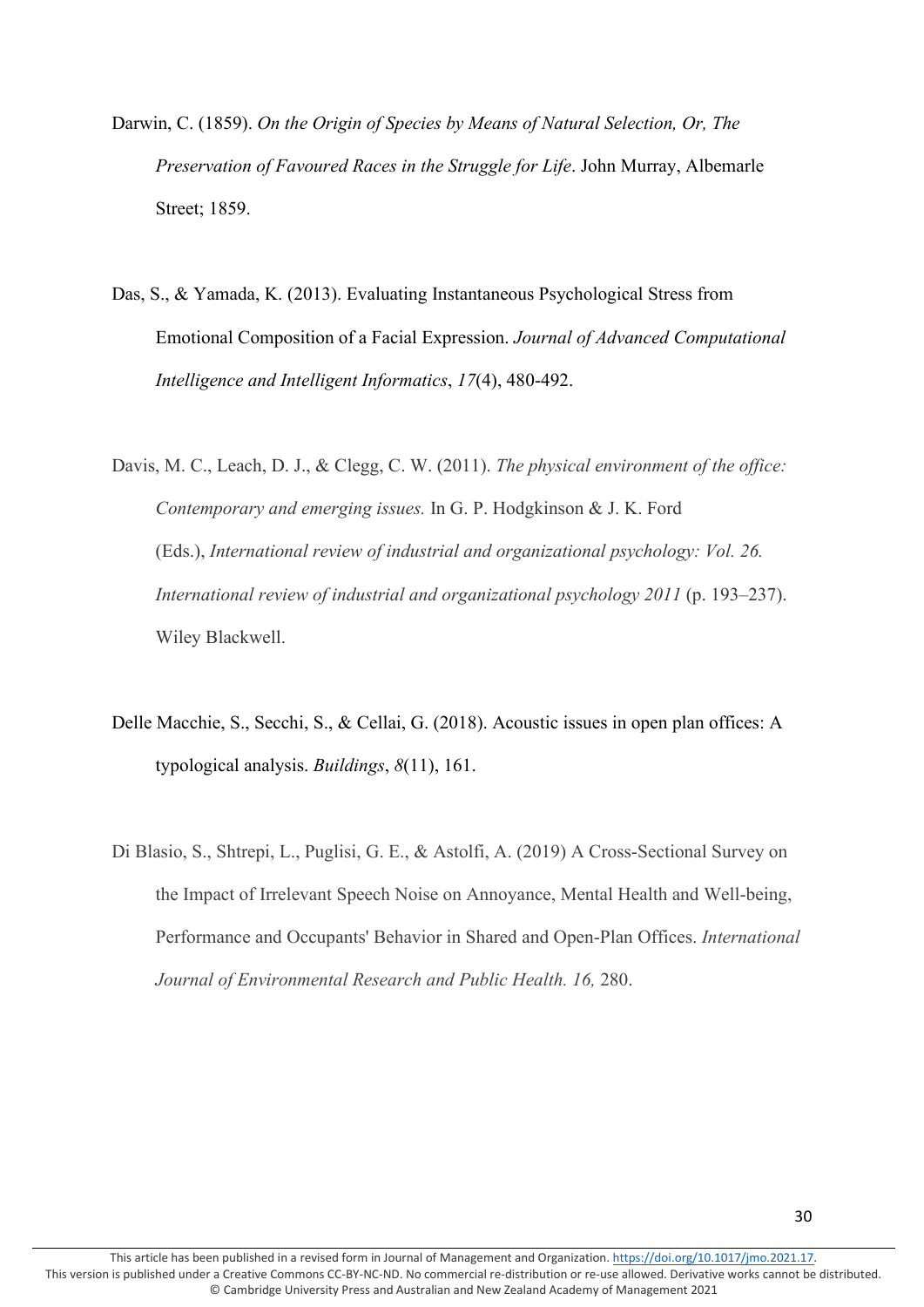- Darwin, C. (1859). *On the Origin of Species by Means of Natural Selection, Or, The Preservation of Favoured Races in the Struggle for Life*. John Murray, Albemarle Street; 1859.
- Das, S., & Yamada, K. (2013). Evaluating Instantaneous Psychological Stress from Emotional Composition of a Facial Expression. *Journal of Advanced Computational Intelligence and Intelligent Informatics*, *17*(4), 480-492.
- Davis, M. C., Leach, D. J., & Clegg, C. W. (2011). *The physical environment of the office: Contemporary and emerging issues.* In G. P. Hodgkinson & J. K. Ford (Eds.), *International review of industrial and organizational psychology: Vol. 26. International review of industrial and organizational psychology 2011* (p. 193–237). Wiley Blackwell.
- Delle Macchie, S., Secchi, S., & Cellai, G. (2018). Acoustic issues in open plan offices: A typological analysis. *Buildings*, *8*(11), 161.
- Di Blasio, S., Shtrepi, L., Puglisi, G. E., & Astolfi, A. (2019) A Cross-Sectional Survey on the Impact of Irrelevant Speech Noise on Annoyance, Mental Health and Well-being, Performance and Occupants' Behavior in Shared and Open-Plan Offices. *International Journal of Environmental Research and Public Health. 16,* 280.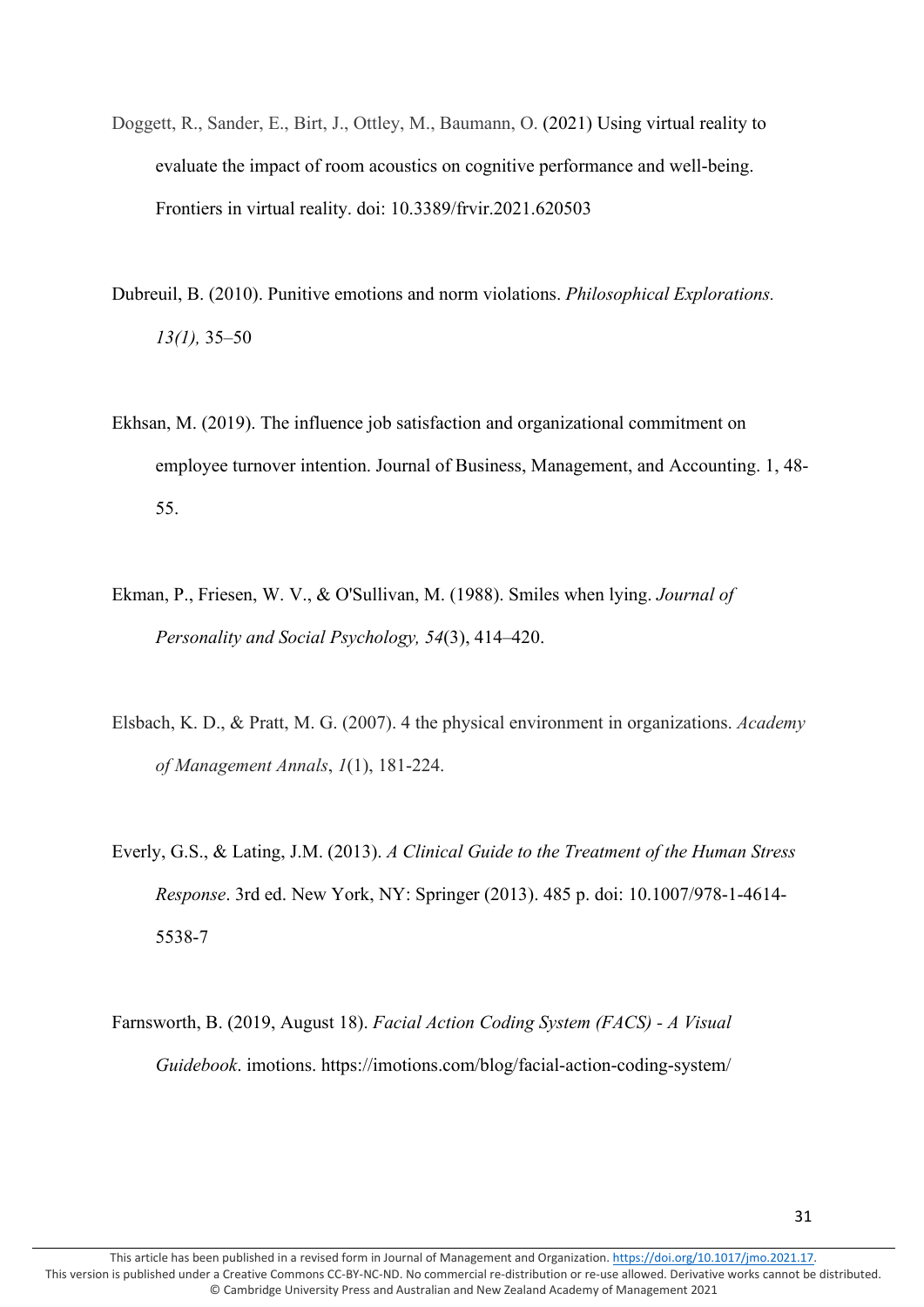- Doggett, R., Sander, E., Birt, J., Ottley, M., Baumann, O. (2021) Using virtual reality to evaluate the impact of room acoustics on cognitive performance and well-being. Frontiers in virtual reality. doi: 10.3389/frvir.2021.620503
- Dubreuil, B. (2010). Punitive emotions and norm violations. *Philosophical Explorations. 13(1),* 35–50
- Ekhsan, M. (2019). The influence job satisfaction and organizational commitment on employee turnover intention. Journal of Business, Management, and Accounting. 1, 48- 55.
- Ekman, P., Friesen, W. V., & O'Sullivan, M. (1988). Smiles when lying. *Journal of Personality and Social Psychology, 54*(3), 414–420.
- Elsbach, K. D., & Pratt, M. G. (2007). 4 the physical environment in organizations. *Academy of Management Annals*, *1*(1), 181-224.
- Everly, G.S., & Lating, J.M. (2013). *A Clinical Guide to the Treatment of the Human Stress Response*. 3rd ed. New York, NY: Springer (2013). 485 p. doi: 10.1007/978-1-4614- 5538-7
- Farnsworth, B. (2019, August 18). *Facial Action Coding System (FACS) - A Visual Guidebook*. imotions. https://imotions.com/blog/facial-action-coding-system/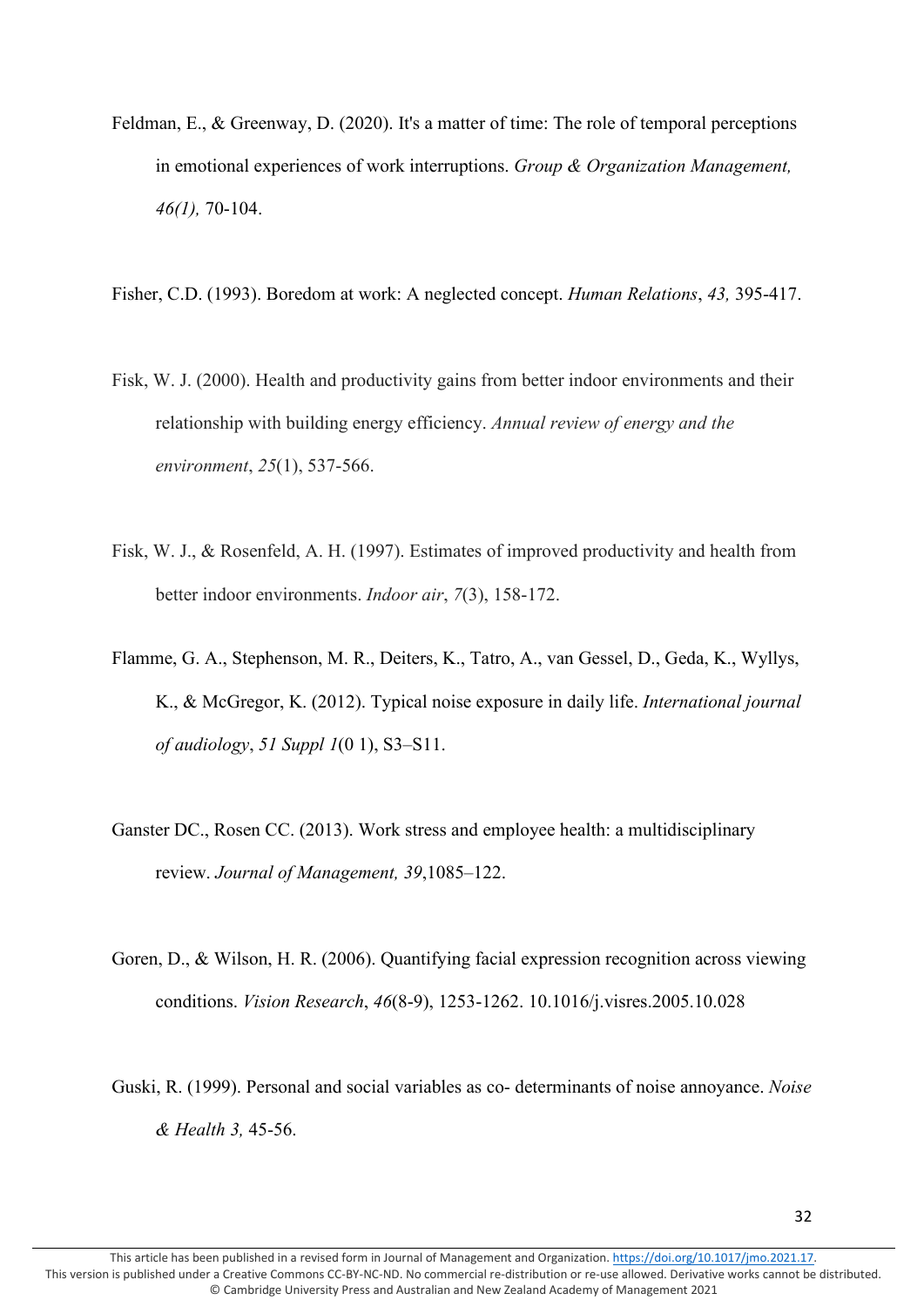- Feldman, E., & Greenway, D. (2020). It's a matter of time: The role of temporal perceptions in emotional experiences of work interruptions. *Group & Organization Management, 46(1),* 70-104.
- Fisher, C.D. (1993). Boredom at work: A neglected concept. *Human Relations*, *43,* 395-417.
- Fisk, W. J. (2000). Health and productivity gains from better indoor environments and their relationship with building energy efficiency. *Annual review of energy and the environment*, *25*(1), 537-566.
- Fisk, W. J., & Rosenfeld, A. H. (1997). Estimates of improved productivity and health from better indoor environments. *Indoor air*, *7*(3), 158-172.
- Flamme, G. A., Stephenson, M. R., Deiters, K., Tatro, A., van Gessel, D., Geda, K., Wyllys, K., & McGregor, K. (2012). Typical noise exposure in daily life. *International journal of audiology*, *51 Suppl 1*(0 1), S3–S11.
- Ganster DC., Rosen CC. (2013). Work stress and employee health: a multidisciplinary review. *Journal of Management, 39*,1085–122.
- Goren, D., & Wilson, H. R. (2006). Quantifying facial expression recognition across viewing conditions. *Vision Research*, *46*(8-9), 1253-1262. 10.1016/j.visres.2005.10.028
- Guski, R. (1999). Personal and social variables as co- determinants of noise annoyance. *Noise & Health 3,* 45-56.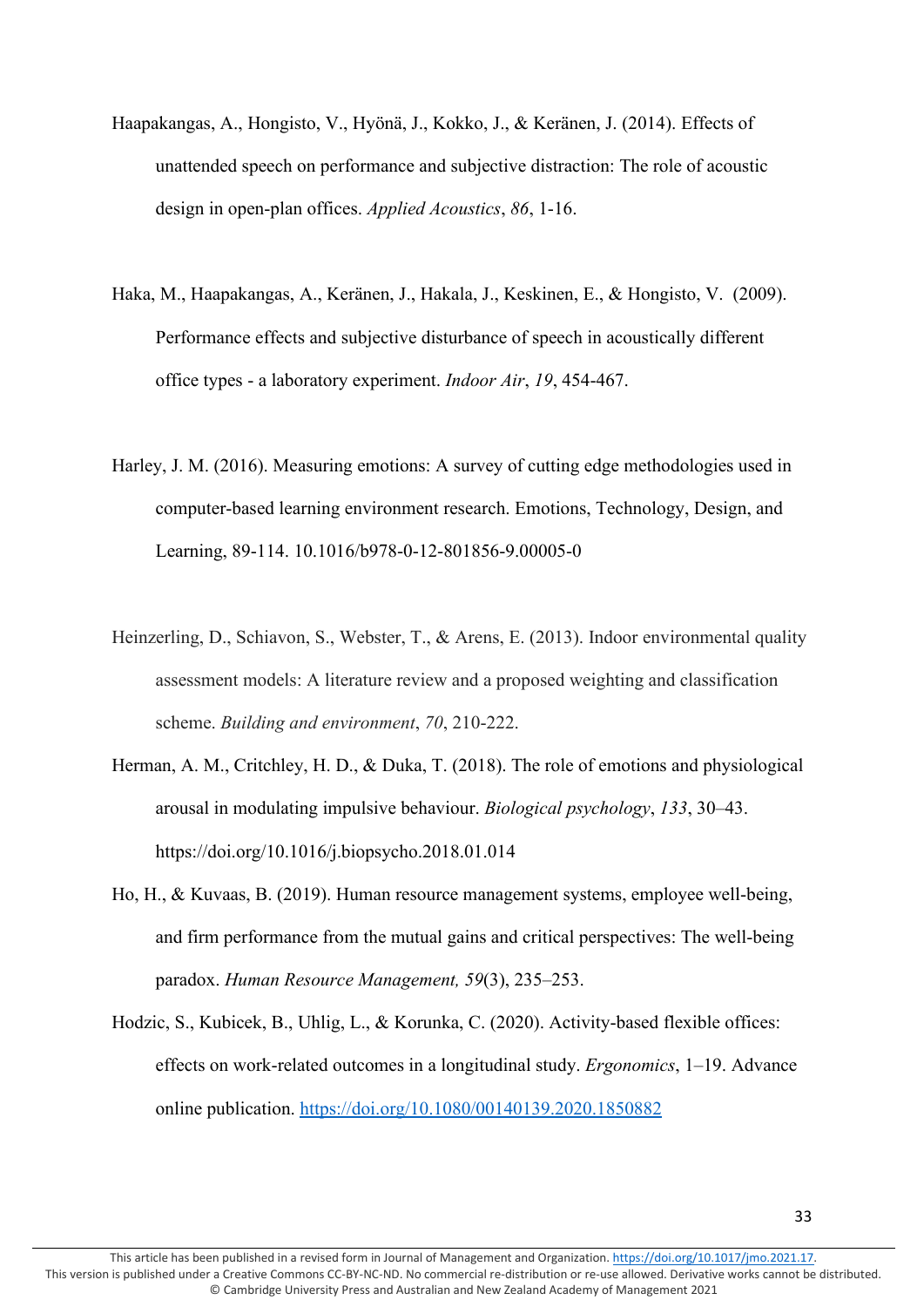- Haapakangas, A., Hongisto, V., Hyönä, J., Kokko, J., & Keränen, J. (2014). Effects of unattended speech on performance and subjective distraction: The role of acoustic design in open-plan offices. *Applied Acoustics*, *86*, 1-16.
- Haka, M., Haapakangas, A., Keränen, J., Hakala, J., Keskinen, E., & Hongisto, V. (2009). Performance effects and subjective disturbance of speech in acoustically different office types - a laboratory experiment. *Indoor Air*, *19*, 454-467.
- Harley, J. M. (2016). Measuring emotions: A survey of cutting edge methodologies used in computer-based learning environment research. Emotions, Technology, Design, and Learning, 89-114. 10.1016/b978-0-12-801856-9.00005-0
- Heinzerling, D., Schiavon, S., Webster, T., & Arens, E. (2013). Indoor environmental quality assessment models: A literature review and a proposed weighting and classification scheme. *Building and environment*, *70*, 210-222.
- Herman, A. M., Critchley, H. D., & Duka, T. (2018). The role of emotions and physiological arousal in modulating impulsive behaviour. *Biological psychology*, *133*, 30–43. https://doi.org/10.1016/j.biopsycho.2018.01.014
- Ho, H., & Kuvaas, B. (2019). Human resource management systems, employee well-being, and firm performance from the mutual gains and critical perspectives: The well-being paradox. *Human Resource Management, 59*(3), 235–253.
- Hodzic, S., Kubicek, B., Uhlig, L., & Korunka, C. (2020). Activity-based flexible offices: effects on work-related outcomes in a longitudinal study. *Ergonomics*, 1–19. Advance online publication.<https://doi.org/10.1080/00140139.2020.1850882>

This article has been published in a revised form in Journal of Management and Organization[. https://doi.org/10.1017/jmo.2021.17.](https://doi.org/10.1017/jmo.2021.17) This version is published under a Creative Commons CC-BY-NC-ND. No commercial re-distribution or re-use allowed. Derivative works cannot be distributed. © Cambridge University Press and Australian and New Zealand Academy of Management 2021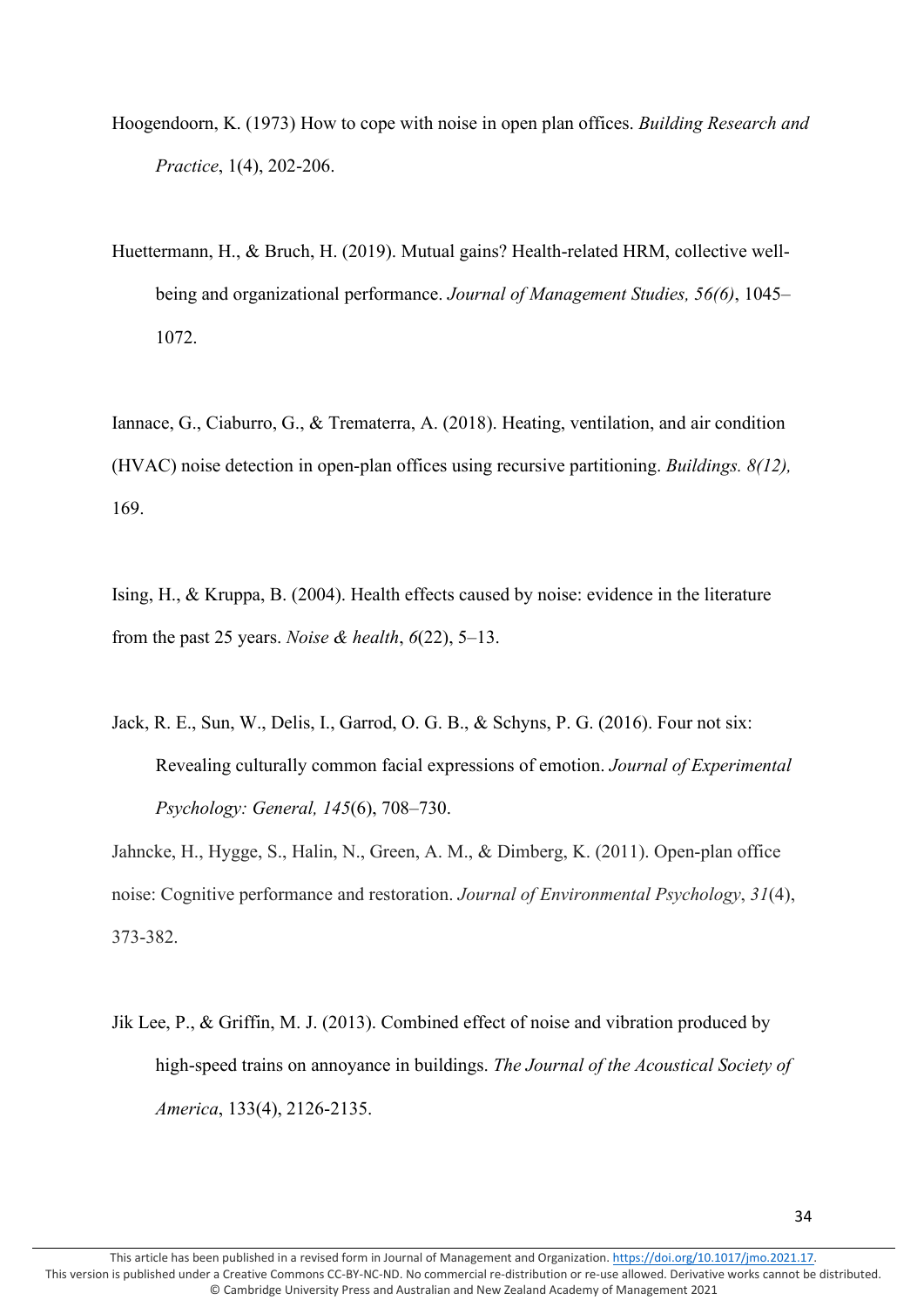- Hoogendoorn, K. (1973) How to cope with noise in open plan offices. *Building Research and Practice*, 1(4), 202-206.
- Huettermann, H., & Bruch, H. (2019). Mutual gains? Health-related HRM, collective wellbeing and organizational performance. *Journal of Management Studies, 56(6)*, 1045– 1072.

Iannace, G., Ciaburro, G., & Trematerra, A. (2018). Heating, ventilation, and air condition (HVAC) noise detection in open-plan offices using recursive partitioning. *Buildings. 8(12),* 169.

Ising, H., & Kruppa, B. (2004). Health effects caused by noise: evidence in the literature from the past 25 years. *Noise & health*, *6*(22), 5–13.

Jack, R. E., Sun, W., Delis, I., Garrod, O. G. B., & Schyns, P. G. (2016). Four not six: Revealing culturally common facial expressions of emotion. *Journal of Experimental Psychology: General, 145*(6), 708–730.

Jahncke, H., Hygge, S., Halin, N., Green, A. M., & Dimberg, K. (2011). Open-plan office noise: Cognitive performance and restoration. *Journal of Environmental Psychology*, *31*(4), 373-382.

Jik Lee, P., & Griffin, M. J. (2013). Combined effect of noise and vibration produced by high-speed trains on annoyance in buildings. *The Journal of the Acoustical Society of America*, 133(4), 2126-2135.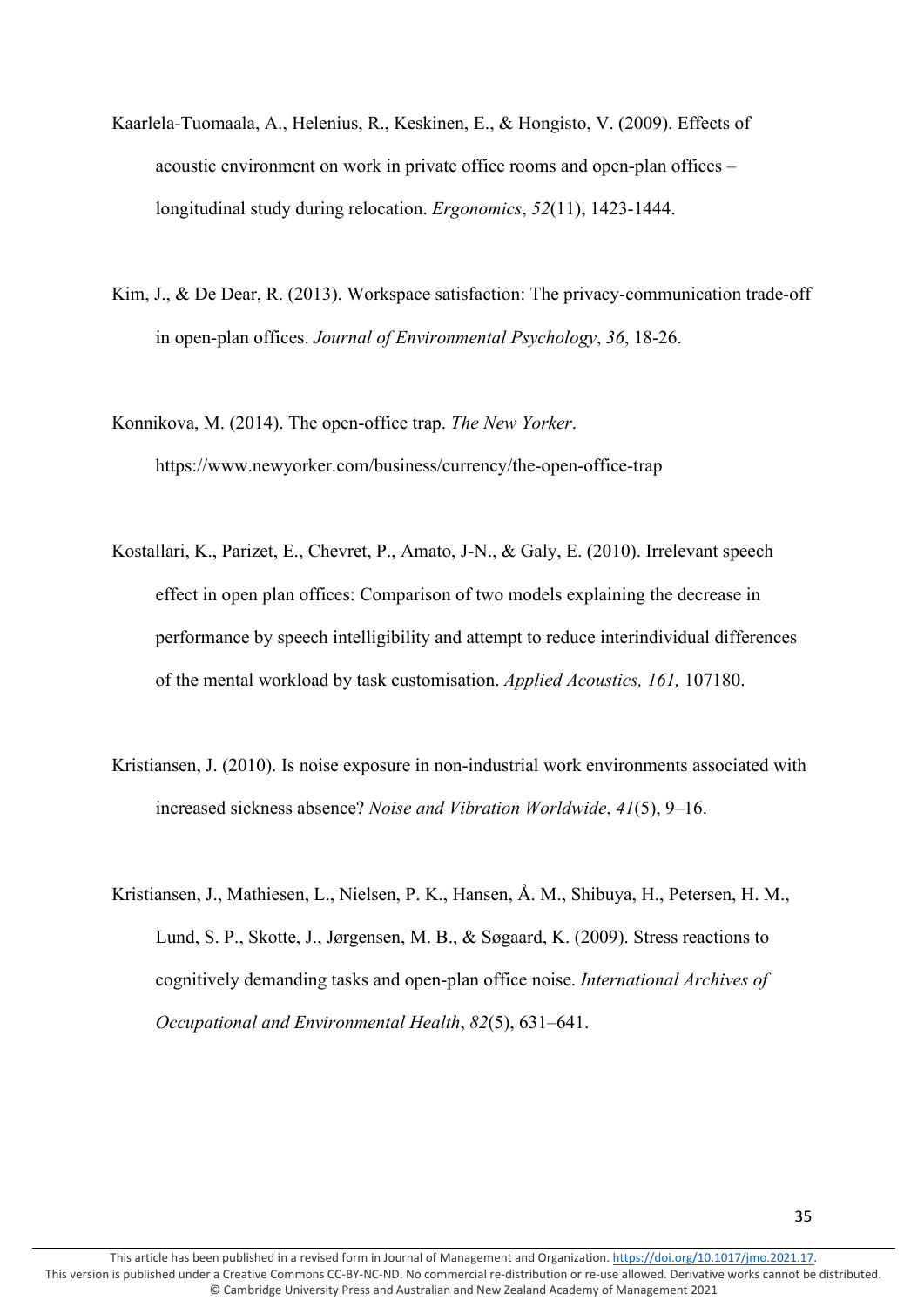- Kaarlela-Tuomaala, A., Helenius, R., Keskinen, E., & Hongisto, V. (2009). Effects of acoustic environment on work in private office rooms and open-plan offices – longitudinal study during relocation. *Ergonomics*, *52*(11), 1423-1444.
- Kim, J., & De Dear, R. (2013). Workspace satisfaction: The privacy-communication trade-off in open-plan offices. *Journal of Environmental Psychology*, *36*, 18-26.
- Konnikova, M. (2014). The open-office trap. *The New Yorker*. https://www.newyorker.com/business/currency/the-open-office-trap
- Kostallari, K., Parizet, E., Chevret, P., Amato, J-N., & Galy, E. (2010). Irrelevant speech effect in open plan offices: Comparison of two models explaining the decrease in performance by speech intelligibility and attempt to reduce interindividual differences of the mental workload by task customisation. *Applied Acoustics, 161,* 107180.
- Kristiansen, J. (2010). Is noise exposure in non-industrial work environments associated with increased sickness absence? *Noise and Vibration Worldwide*, *41*(5), 9–16.
- Kristiansen, J., Mathiesen, L., Nielsen, P. K., Hansen, Å. M., Shibuya, H., Petersen, H. M., Lund, S. P., Skotte, J., Jørgensen, M. B., & Søgaard, K. (2009). Stress reactions to cognitively demanding tasks and open-plan office noise. *International Archives of Occupational and Environmental Health*, *82*(5), 631–641.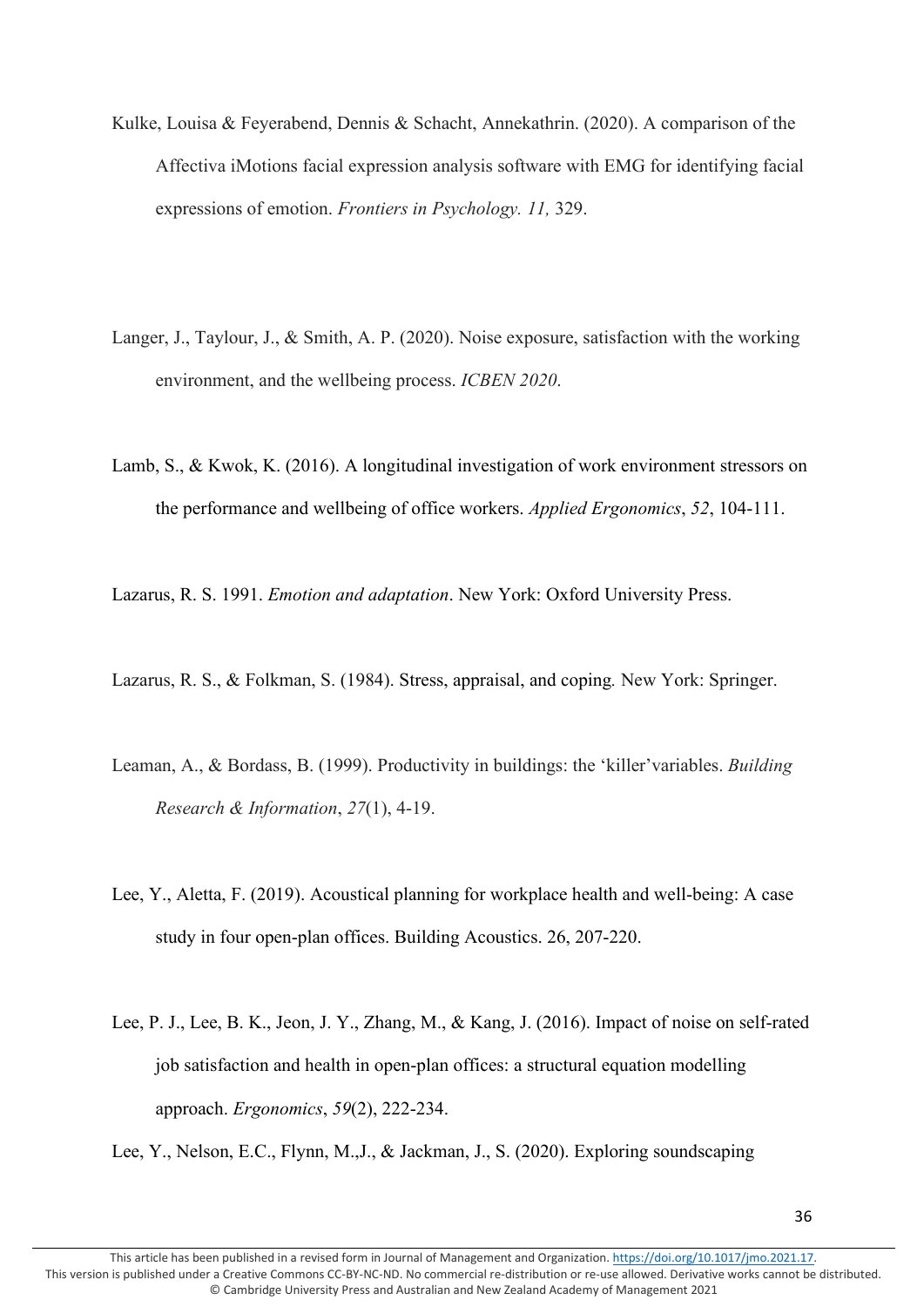- Kulke, Louisa & Feyerabend, Dennis & Schacht, Annekathrin. (2020). A comparison of the Affectiva iMotions facial expression analysis software with EMG for identifying facial expressions of emotion. *Frontiers in Psychology. 11,* 329.
- Langer, J., Taylour, J., & Smith, A. P. (2020). Noise exposure, satisfaction with the working environment, and the wellbeing process. *ICBEN 2020*.
- Lamb, S., & Kwok, K. (2016). A longitudinal investigation of work environment stressors on the performance and wellbeing of office workers. *Applied Ergonomics*, *52*, 104-111.

Lazarus, R. S. 1991. *Emotion and adaptation*. New York: Oxford University Press.

Lazarus, R. S., & Folkman, S. (1984). Stress, [appraisal, and coping](https://ccme.osu.edu/WebCastsFiles/562The%20Management%20of%20Stress%20-%202.pdf)*.* New York: Springer.

- Leaman, A., & Bordass, B. (1999). Productivity in buildings: the 'killer'variables. *Building Research & Information*, *27*(1), 4-19.
- Lee, Y., Aletta, F. (2019). Acoustical planning for workplace health and well-being: A case study in four open-plan offices. Building Acoustics. 26, 207-220.
- Lee, P. J., Lee, B. K., Jeon, J. Y., Zhang, M., & Kang, J. (2016). Impact of noise on self-rated job satisfaction and health in open-plan offices: a structural equation modelling approach. *Ergonomics*, *59*(2), 222-234.

Lee, Y., Nelson, E.C., Flynn, M.,J., & Jackman, J., S. (2020). Exploring soundscaping

This article has been published in a revised form in Journal of Management and Organization[. https://doi.org/10.1017/jmo.2021.17.](https://doi.org/10.1017/jmo.2021.17) This version is published under a Creative Commons CC-BY-NC-ND. No commercial re-distribution or re-use allowed. Derivative works cannot be distributed. © Cambridge University Press and Australian and New Zealand Academy of Management 2021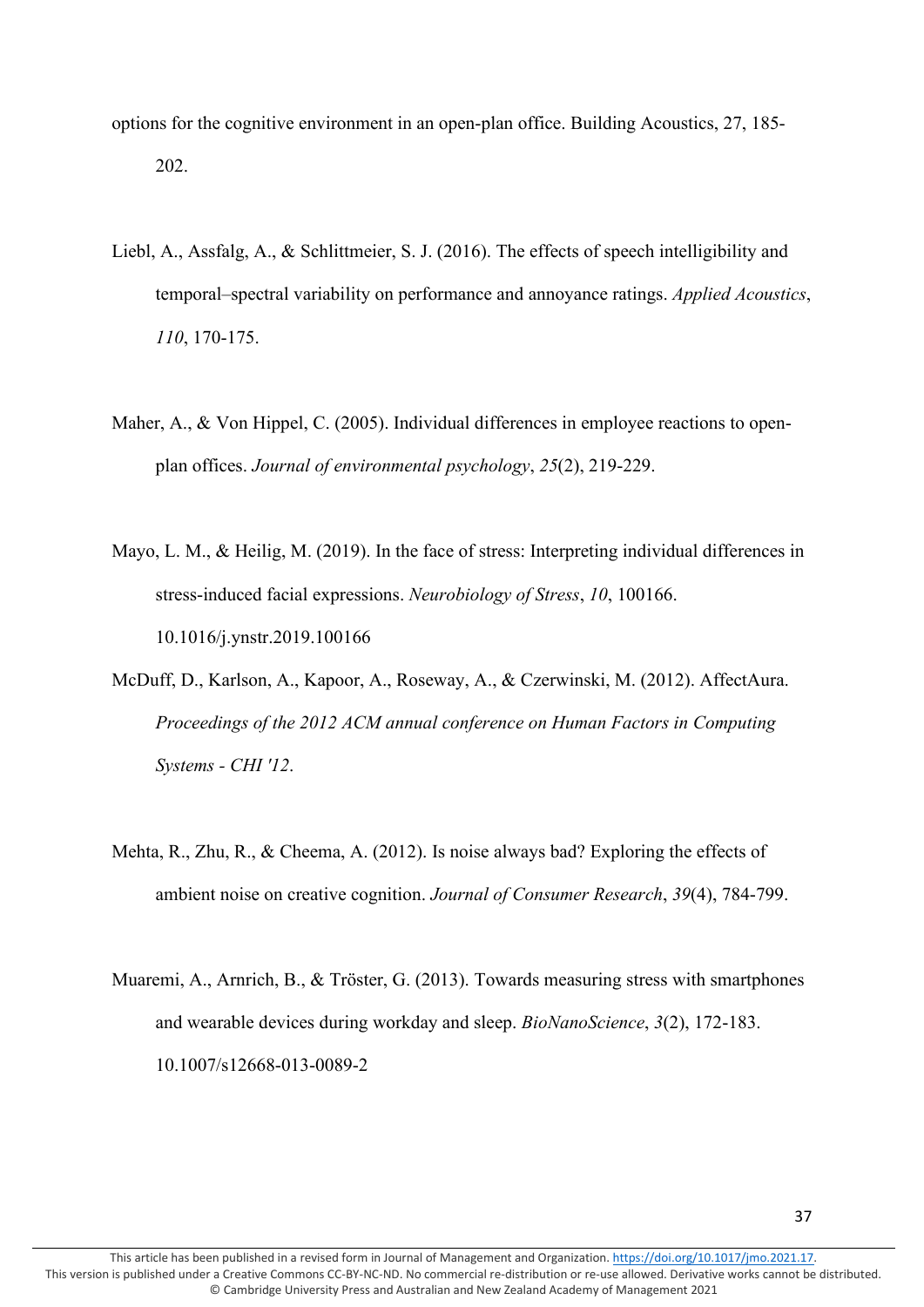options for the cognitive environment in an open-plan office. Building Acoustics, 27, 185- 202.

- Liebl, A., Assfalg, A., & Schlittmeier, S. J. (2016). The effects of speech intelligibility and temporal–spectral variability on performance and annoyance ratings. *Applied Acoustics*, *110*, 170-175.
- Maher, A., & Von Hippel, C. (2005). Individual differences in employee reactions to openplan offices. *Journal of environmental psychology*, *25*(2), 219-229.
- Mayo, L. M., & Heilig, M. (2019). In the face of stress: Interpreting individual differences in stress-induced facial expressions. *Neurobiology of Stress*, *10*, 100166. 10.1016/j.ynstr.2019.100166
- McDuff, D., Karlson, A., Kapoor, A., Roseway, A., & Czerwinski, M. (2012). AffectAura. *Proceedings of the 2012 ACM annual conference on Human Factors in Computing Systems - CHI '12*.
- Mehta, R., Zhu, R., & Cheema, A. (2012). Is noise always bad? Exploring the effects of ambient noise on creative cognition. *Journal of Consumer Research*, *39*(4), 784-799.
- Muaremi, A., Arnrich, B., & Tröster, G. (2013). Towards measuring stress with smartphones and wearable devices during workday and sleep. *BioNanoScience*, *3*(2), 172-183. 10.1007/s12668-013-0089-2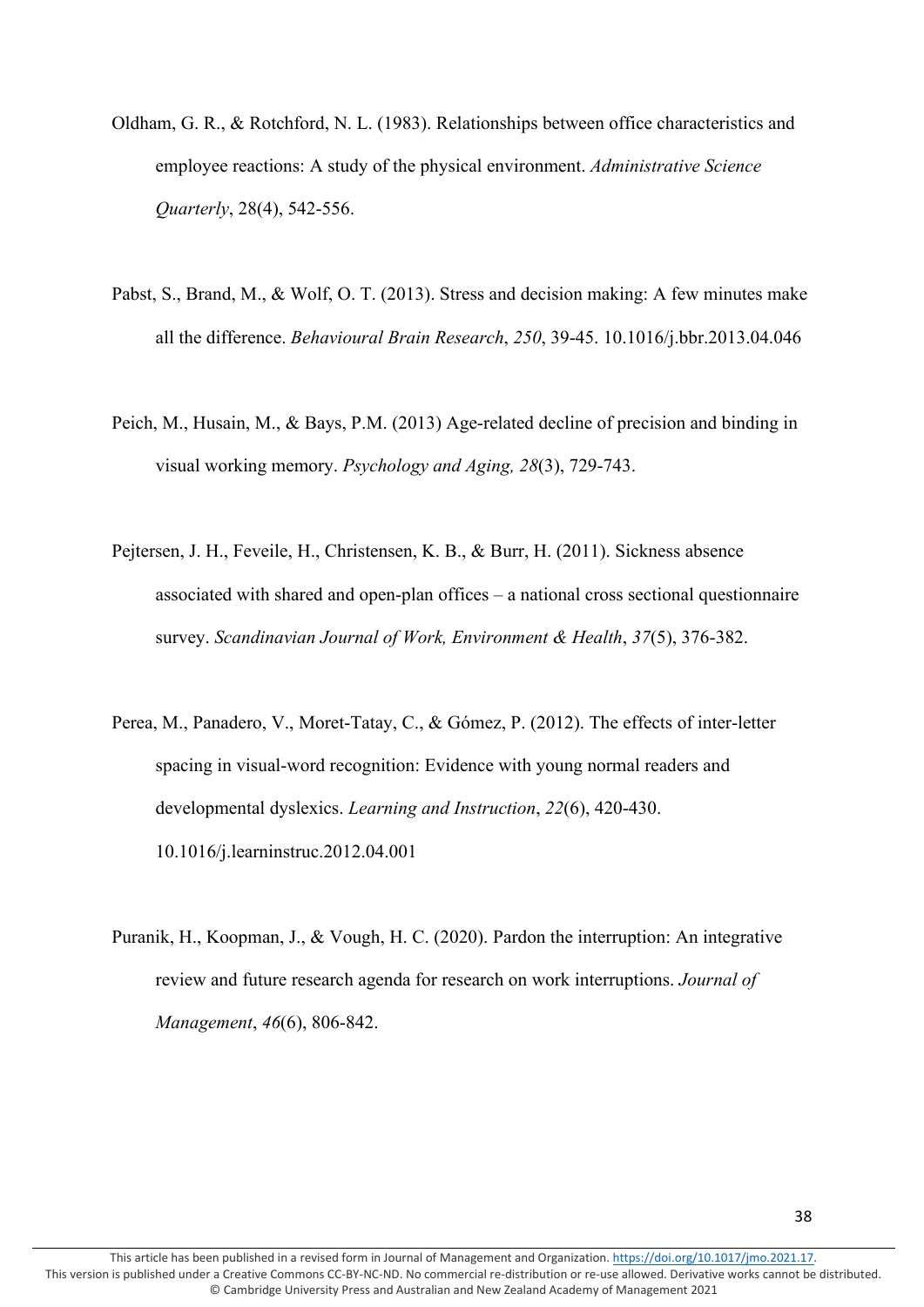- Oldham, G. R., & Rotchford, N. L. (1983). Relationships between office characteristics and employee reactions: A study of the physical environment. *Administrative Science Quarterly*, 28(4), 542-556.
- Pabst, S., Brand, M., & Wolf, O. T. (2013). Stress and decision making: A few minutes make all the difference. *Behavioural Brain Research*, *250*, 39-45. 10.1016/j.bbr.2013.04.046
- Peich, M., Husain, M., & Bays, P.M. (2013) Age-related decline of precision and binding in visual working memory. *Psychology and Aging, 28*(3), 729-743.
- Pejtersen, J. H., Feveile, H., Christensen, K. B., & Burr, H. (2011). Sickness absence associated with shared and open-plan offices – a national cross sectional questionnaire survey. *Scandinavian Journal of Work, Environment & Health*, *37*(5), 376-382.
- Perea, M., Panadero, V., Moret-Tatay, C., & Gómez, P. (2012). The effects of inter-letter spacing in visual-word recognition: Evidence with young normal readers and developmental dyslexics. *Learning and Instruction*, *22*(6), 420-430. 10.1016/j.learninstruc.2012.04.001
- Puranik, H., Koopman, J., & Vough, H. C. (2020). Pardon the interruption: An integrative review and future research agenda for research on work interruptions. *Journal of Management*, *46*(6), 806-842.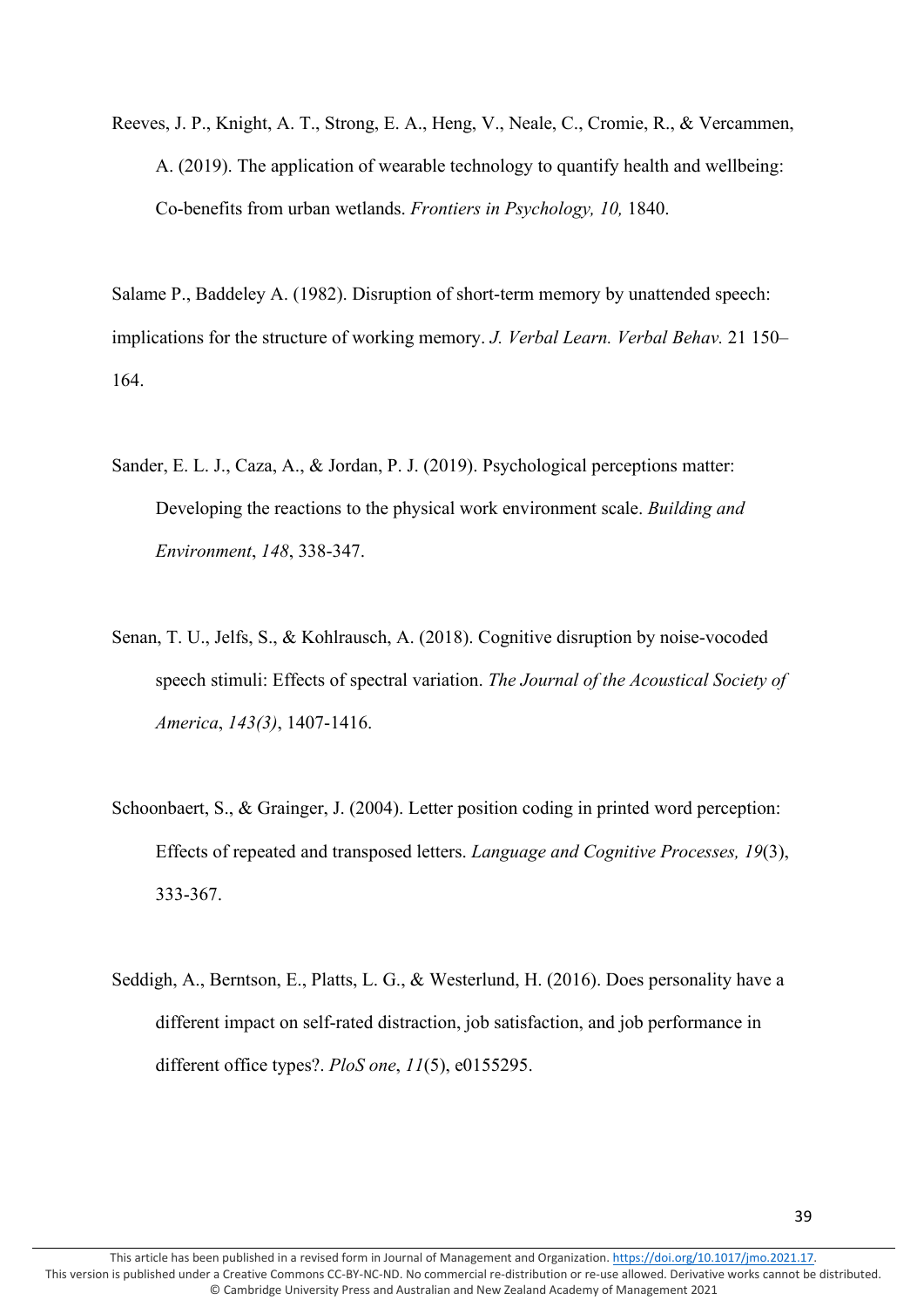Reeves, J. P., Knight, A. T., Strong, E. A., Heng, V., Neale, C., Cromie, R., & Vercammen, A. (2019). The application of wearable technology to quantify health and wellbeing: Co-benefits from urban wetlands. *Frontiers in Psychology, 10,* 1840.

Salame P., Baddeley A. (1982). Disruption of short-term memory by unattended speech: implications for the structure of working memory. *J. Verbal Learn. Verbal Behav.* 21 150– 164.

- Sander, E. L. J., Caza, A., & Jordan, P. J. (2019). Psychological perceptions matter: Developing the reactions to the physical work environment scale. *Building and Environment*, *148*, 338-347.
- Senan, T. U., Jelfs, S., & Kohlrausch, A. (2018). Cognitive disruption by noise-vocoded speech stimuli: Effects of spectral variation. *The Journal of the Acoustical Society of America*, *143(3)*, 1407-1416.
- Schoonbaert, S., & Grainger, J. (2004). Letter position coding in printed word perception: Effects of repeated and transposed letters. *Language and Cognitive Processes, 19*(3), 333-367.
- Seddigh, A., Berntson, E., Platts, L. G., & Westerlund, H. (2016). Does personality have a different impact on self-rated distraction, job satisfaction, and job performance in different office types?. *PloS one*, *11*(5), e0155295.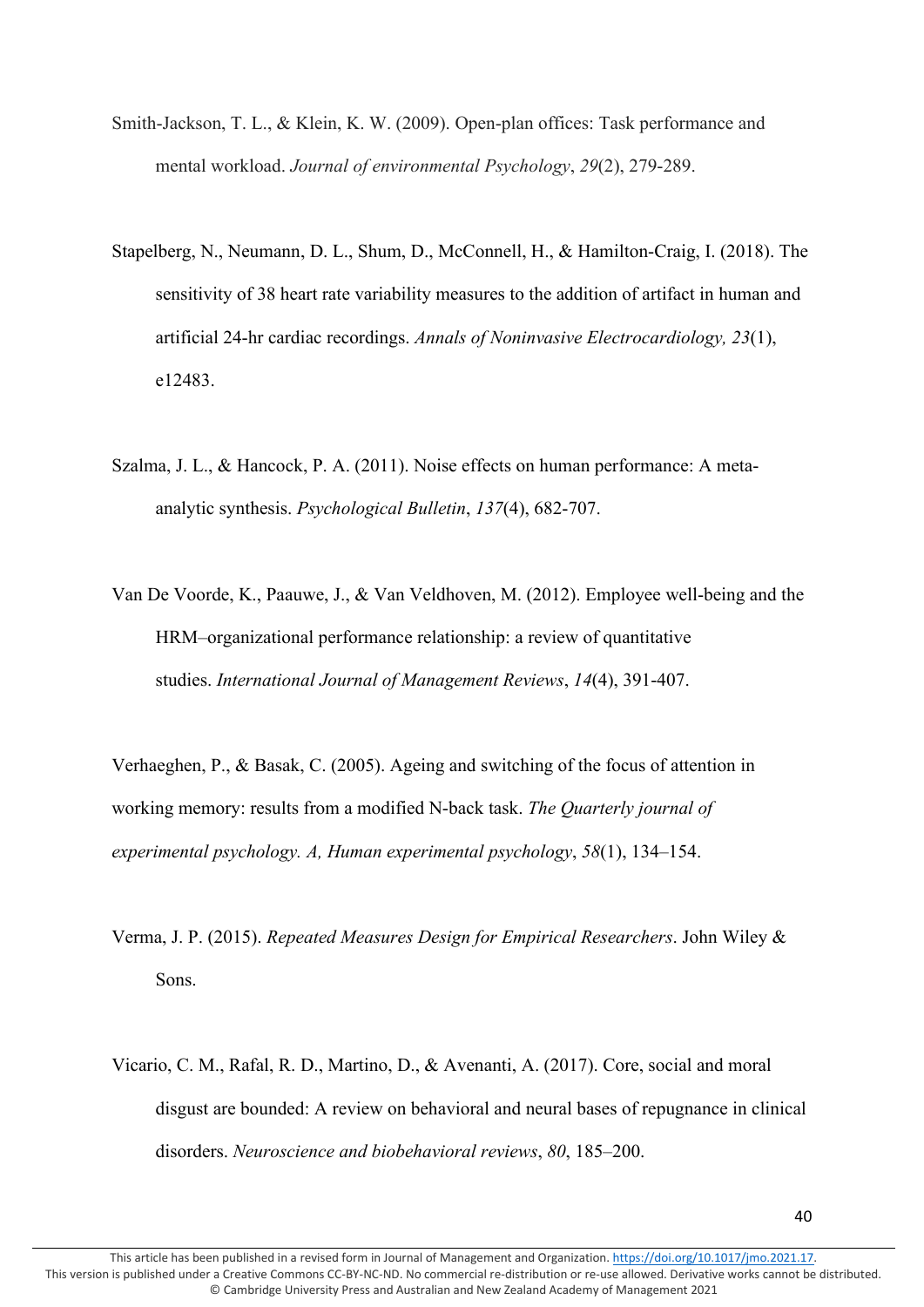- Smith-Jackson, T. L., & Klein, K. W. (2009). Open-plan offices: Task performance and mental workload. *Journal of environmental Psychology*, *29*(2), 279-289.
- Stapelberg, N., Neumann, D. L., Shum, D., McConnell, H., & Hamilton-Craig, I. (2018). The sensitivity of 38 heart rate variability measures to the addition of artifact in human and artificial 24-hr cardiac recordings. *Annals of Noninvasive Electrocardiology, 23*(1), e12483.
- Szalma, J. L., & Hancock, P. A. (2011). Noise effects on human performance: A metaanalytic synthesis. *Psychological Bulletin*, *137*(4), 682-707.
- Van De Voorde, K., Paauwe, J., & Van Veldhoven, M. (2012). Employee well‐being and the HRM–organizational performance relationship: a review of quantitative studies. *International Journal of Management Reviews*, *14*(4), 391-407.

Verhaeghen, P., & Basak, C. (2005). Ageing and switching of the focus of attention in working memory: results from a modified N-back task. *The Quarterly journal of experimental psychology. A, Human experimental psychology*, *58*(1), 134–154.

- Verma, J. P. (2015). *Repeated Measures Design for Empirical Researchers*. John Wiley & Sons.
- Vicario, C. M., Rafal, R. D., Martino, D., & Avenanti, A. (2017). Core, social and moral disgust are bounded: A review on behavioral and neural bases of repugnance in clinical disorders. *Neuroscience and biobehavioral reviews*, *80*, 185–200.

This article has been published in a revised form in Journal of Management and Organization[. https://doi.org/10.1017/jmo.2021.17.](https://doi.org/10.1017/jmo.2021.17) This version is published under a Creative Commons CC-BY-NC-ND. No commercial re-distribution or re-use allowed. Derivative works cannot be distributed. © Cambridge University Press and Australian and New Zealand Academy of Management 2021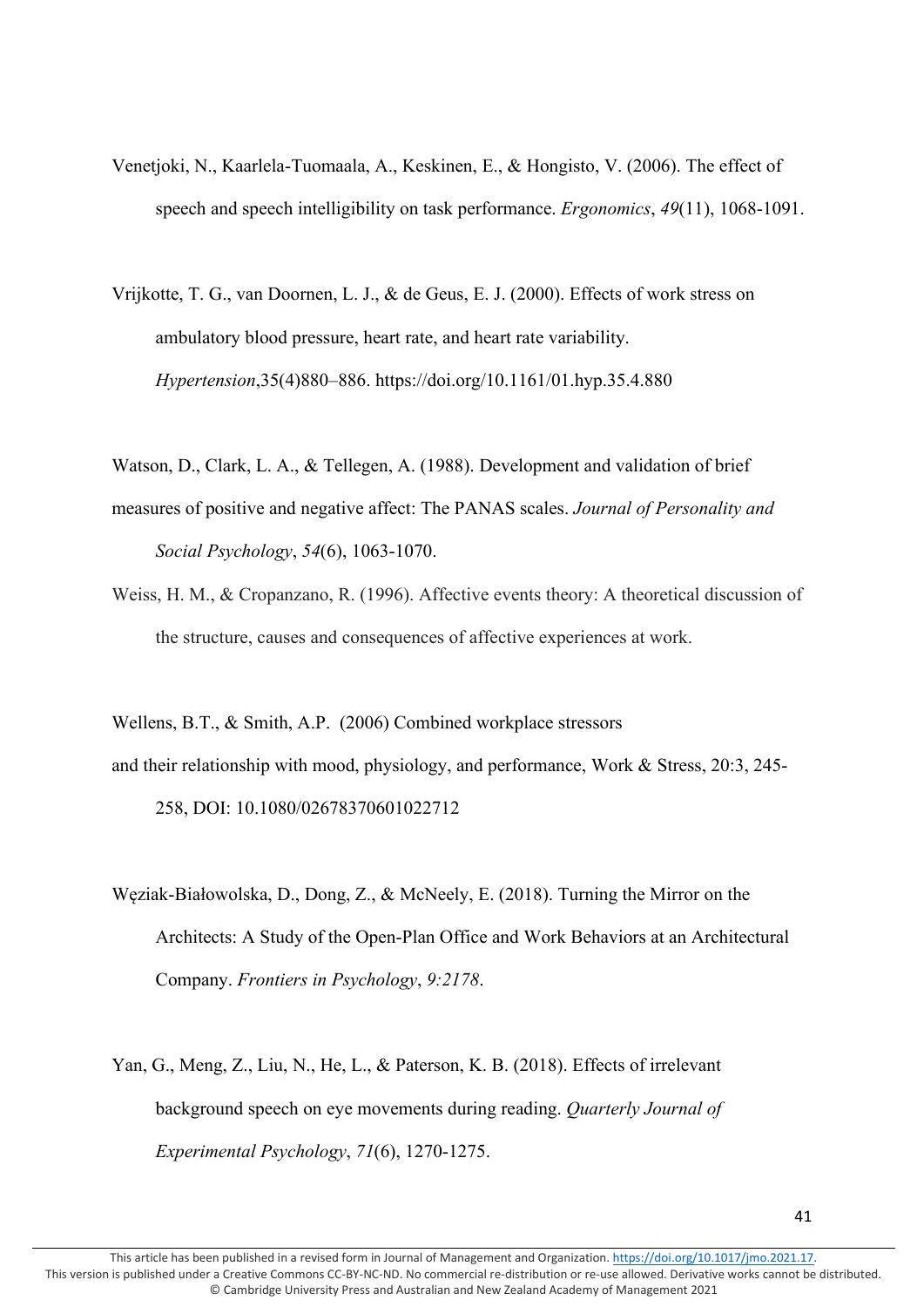- Venetjoki, N., Kaarlela-Tuomaala, A., Keskinen, E., & Hongisto, V. (2006). The effect of speech and speech intelligibility on task performance. *Ergonomics*, *49*(11), 1068-1091.
- Vrijkotte, T. G., van Doornen, L. J., & de Geus, E. J. (2000). Effects of work stress on ambulatory blood pressure, heart rate, and heart rate variability. *Hypertension*,35(4)880–886. https://doi.org/10.1161/01.hyp.35.4.880
- Watson, D., Clark, L. A., & Tellegen, A. (1988). Development and validation of brief
- measures of positive and negative affect: The PANAS scales. *Journal of Personality and Social Psychology*, *54*(6), 1063-1070.
- Weiss, H. M., & Cropanzano, R. (1996). Affective events theory: A theoretical discussion of the structure, causes and consequences of affective experiences at work.

Wellens, B.T., & Smith, A.P. (2006) Combined workplace stressors and their relationship with mood, physiology, and performance, Work & Stress, 20:3, 245-

258, DOI: 10.1080/02678370601022712

- Węziak-Białowolska, D., Dong, Z., & McNeely, E. (2018). Turning the Mirror on the Architects: A Study of the Open-Plan Office and Work Behaviors at an Architectural Company. *Frontiers in Psychology*, *9:2178*.
- Yan, G., Meng, Z., Liu, N., He, L., & Paterson, K. B. (2018). Effects of irrelevant background speech on eye movements during reading. *Quarterly Journal of Experimental Psychology*, *71*(6), 1270-1275.

This article has been published in a revised form in Journal of Management and Organization[. https://doi.org/10.1017/jmo.2021.17.](https://doi.org/10.1017/jmo.2021.17) This version is published under a Creative Commons CC-BY-NC-ND. No commercial re-distribution or re-use allowed. Derivative works cannot be distributed. © Cambridge University Press and Australian and New Zealand Academy of Management 2021